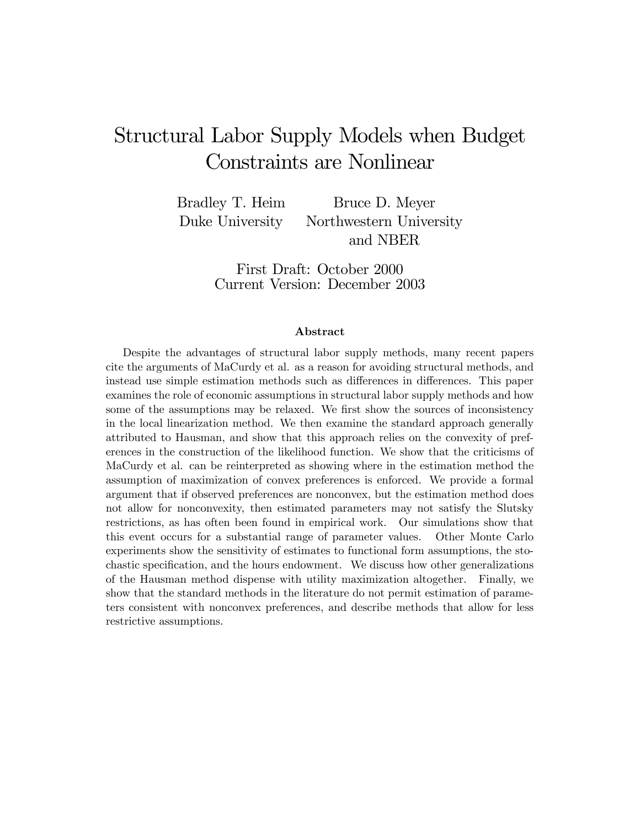# Structural Labor Supply Models when Budget Constraints are Nonlinear

Bradley T. Heim Bruce D. Meyer Duke University Northwestern University and NBER

> First Draft: October 2000 Current Version: December 2003

#### Abstract

Despite the advantages of structural labor supply methods, many recent papers cite the arguments of MaCurdy et al. as a reason for avoiding structural methods, and instead use simple estimation methods such as differences in differences. This paper examines the role of economic assumptions in structural labor supply methods and how some of the assumptions may be relaxed. We first show the sources of inconsistency in the local linearization method. We then examine the standard approach generally attributed to Hausman, and show that this approach relies on the convexity of preferences in the construction of the likelihood function. We show that the criticisms of MaCurdy et al. can be reinterpreted as showing where in the estimation method the assumption of maximization of convex preferences is enforced. We provide a formal argument that if observed preferences are nonconvex, but the estimation method does not allow for nonconvexity, then estimated parameters may not satisfy the Slutsky restrictions, as has often been found in empirical work. Our simulations show that this event occurs for a substantial range of parameter values. Other Monte Carlo experiments show the sensitivity of estimates to functional form assumptions, the stochastic specification, and the hours endowment. We discuss how other generalizations of the Hausman method dispense with utility maximization altogether. Finally, we show that the standard methods in the literature do not permit estimation of parameters consistent with nonconvex preferences, and describe methods that allow for less restrictive assumptions.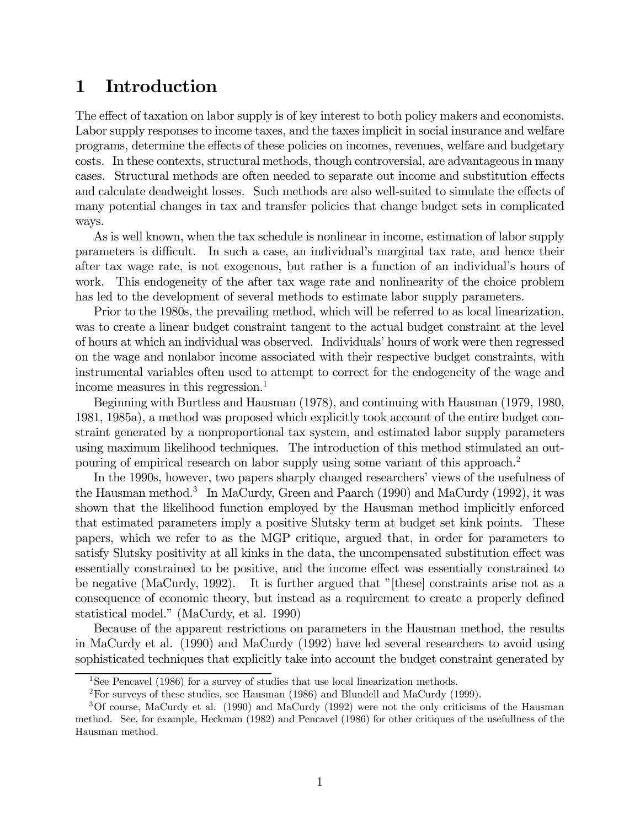## 1 Introduction

The effect of taxation on labor supply is of key interest to both policy makers and economists. Labor supply responses to income taxes, and the taxes implicit in social insurance and welfare programs, determine the effects of these policies on incomes, revenues, welfare and budgetary costs. In these contexts, structural methods, though controversial, are advantageous in many cases. Structural methods are often needed to separate out income and substitution effects and calculate deadweight losses. Such methods are also well-suited to simulate the effects of many potential changes in tax and transfer policies that change budget sets in complicated ways.

As is well known, when the tax schedule is nonlinear in income, estimation of labor supply parameters is difficult. In such a case, an individual's marginal tax rate, and hence their after tax wage rate, is not exogenous, but rather is a function of an individual's hours of work. This endogeneity of the after tax wage rate and nonlinearity of the choice problem has led to the development of several methods to estimate labor supply parameters.

Prior to the 1980s, the prevailing method, which will be referred to as local linearization, was to create a linear budget constraint tangent to the actual budget constraint at the level of hours at which an individual was observed. Individuals' hours of work were then regressed on the wage and nonlabor income associated with their respective budget constraints, with instrumental variables often used to attempt to correct for the endogeneity of the wage and income measures in this regression.<sup>1</sup>

Beginning with Burtless and Hausman (1978), and continuing with Hausman (1979, 1980, 1981, 1985a), a method was proposed which explicitly took account of the entire budget constraint generated by a nonproportional tax system, and estimated labor supply parameters using maximum likelihood techniques. The introduction of this method stimulated an outpouring of empirical research on labor supply using some variant of this approach.2

In the 1990s, however, two papers sharply changed researchers' views of the usefulness of the Hausman method.<sup>3</sup> In MaCurdy, Green and Paarch (1990) and MaCurdy (1992), it was shown that the likelihood function employed by the Hausman method implicitly enforced that estimated parameters imply a positive Slutsky term at budget set kink points. These papers, which we refer to as the MGP critique, argued that, in order for parameters to satisfy Slutsky positivity at all kinks in the data, the uncompensated substitution effect was essentially constrained to be positive, and the income effect was essentially constrained to be negative (MaCurdy, 1992). It is further argued that "[these] constraints arise not as a consequence of economic theory, but instead as a requirement to create a properly defined statistical model." (MaCurdy, et al. 1990)

Because of the apparent restrictions on parameters in the Hausman method, the results in MaCurdy et al. (1990) and MaCurdy (1992) have led several researchers to avoid using sophisticated techniques that explicitly take into account the budget constraint generated by

<sup>&</sup>lt;sup>1</sup>See Pencavel (1986) for a survey of studies that use local linearization methods.

 $2$ For surveys of these studies, see Hausman (1986) and Blundell and MaCurdy (1999).

<sup>3</sup>Of course, MaCurdy et al. (1990) and MaCurdy (1992) were not the only criticisms of the Hausman method. See, for example, Heckman (1982) and Pencavel (1986) for other critiques of the usefullness of the Hausman method.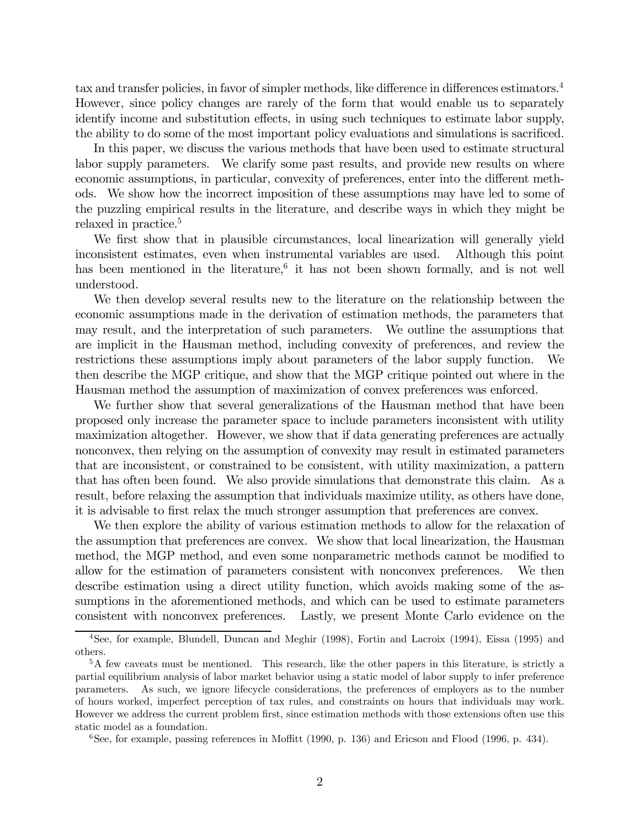tax and transfer policies, in favor of simpler methods, like difference in differences estimators.4 However, since policy changes are rarely of the form that would enable us to separately identify income and substitution effects, in using such techniques to estimate labor supply, the ability to do some of the most important policy evaluations and simulations is sacrificed.

In this paper, we discuss the various methods that have been used to estimate structural labor supply parameters. We clarify some past results, and provide new results on where economic assumptions, in particular, convexity of preferences, enter into the different methods. We show how the incorrect imposition of these assumptions may have led to some of the puzzling empirical results in the literature, and describe ways in which they might be relaxed in practice.<sup>5</sup>

We first show that in plausible circumstances, local linearization will generally yield inconsistent estimates, even when instrumental variables are used. Although this point has been mentioned in the literature,<sup>6</sup> it has not been shown formally, and is not well understood.

We then develop several results new to the literature on the relationship between the economic assumptions made in the derivation of estimation methods, the parameters that may result, and the interpretation of such parameters. We outline the assumptions that are implicit in the Hausman method, including convexity of preferences, and review the restrictions these assumptions imply about parameters of the labor supply function. We then describe the MGP critique, and show that the MGP critique pointed out where in the Hausman method the assumption of maximization of convex preferences was enforced.

We further show that several generalizations of the Hausman method that have been proposed only increase the parameter space to include parameters inconsistent with utility maximization altogether. However, we show that if data generating preferences are actually nonconvex, then relying on the assumption of convexity may result in estimated parameters that are inconsistent, or constrained to be consistent, with utility maximization, a pattern that has often been found. We also provide simulations that demonstrate this claim. As a result, before relaxing the assumption that individuals maximize utility, as others have done, it is advisable to first relax the much stronger assumption that preferences are convex.

We then explore the ability of various estimation methods to allow for the relaxation of the assumption that preferences are convex. We show that local linearization, the Hausman method, the MGP method, and even some nonparametric methods cannot be modified to allow for the estimation of parameters consistent with nonconvex preferences. We then describe estimation using a direct utility function, which avoids making some of the assumptions in the aforementioned methods, and which can be used to estimate parameters consistent with nonconvex preferences. Lastly, we present Monte Carlo evidence on the

<sup>4</sup>See, for example, Blundell, Duncan and Meghir (1998), Fortin and Lacroix (1994), Eissa (1995) and others.

<sup>&</sup>lt;sup>5</sup>A few caveats must be mentioned. This research, like the other papers in this literature, is strictly a partial equilibrium analysis of labor market behavior using a static model of labor supply to infer preference parameters. As such, we ignore lifecycle considerations, the preferences of employers as to the number of hours worked, imperfect perception of tax rules, and constraints on hours that individuals may work. However we address the current problem first, since estimation methods with those extensions often use this static model as a foundation.

 $6$ See, for example, passing references in Moffitt (1990, p. 136) and Ericson and Flood (1996, p. 434).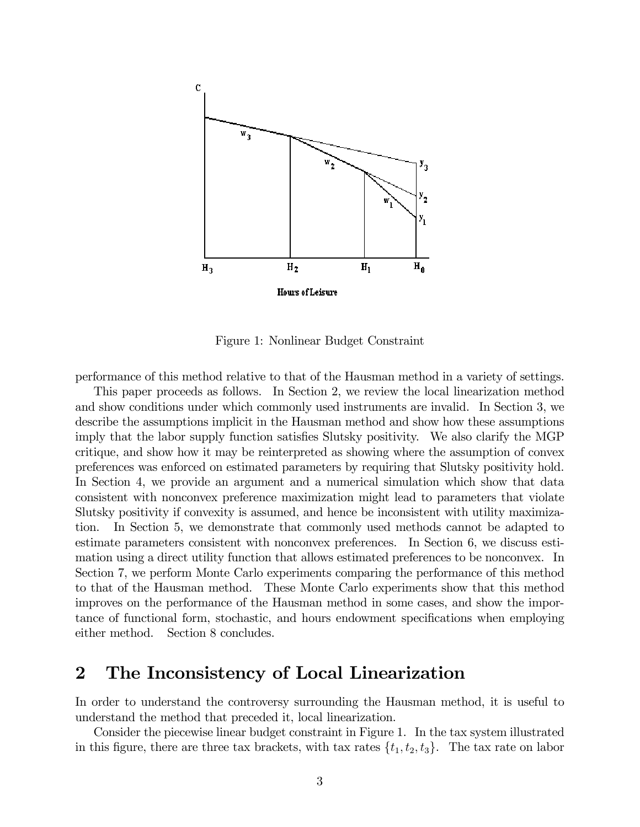

Figure 1: Nonlinear Budget Constraint

performance of this method relative to that of the Hausman method in a variety of settings.

This paper proceeds as follows. In Section 2, we review the local linearization method and show conditions under which commonly used instruments are invalid. In Section 3, we describe the assumptions implicit in the Hausman method and show how these assumptions imply that the labor supply function satisfies Slutsky positivity. We also clarify the MGP critique, and show how it may be reinterpreted as showing where the assumption of convex preferences was enforced on estimated parameters by requiring that Slutsky positivity hold. In Section 4, we provide an argument and a numerical simulation which show that data consistent with nonconvex preference maximization might lead to parameters that violate Slutsky positivity if convexity is assumed, and hence be inconsistent with utility maximization. In Section 5, we demonstrate that commonly used methods cannot be adapted to estimate parameters consistent with nonconvex preferences. In Section 6, we discuss estimation using a direct utility function that allows estimated preferences to be nonconvex. In Section 7, we perform Monte Carlo experiments comparing the performance of this method to that of the Hausman method. These Monte Carlo experiments show that this method improves on the performance of the Hausman method in some cases, and show the importance of functional form, stochastic, and hours endowment specifications when employing either method. Section 8 concludes.

## 2 The Inconsistency of Local Linearization

In order to understand the controversy surrounding the Hausman method, it is useful to understand the method that preceded it, local linearization.

Consider the piecewise linear budget constraint in Figure 1. In the tax system illustrated in this figure, there are three tax brackets, with tax rates  $\{t_1, t_2, t_3\}$ . The tax rate on labor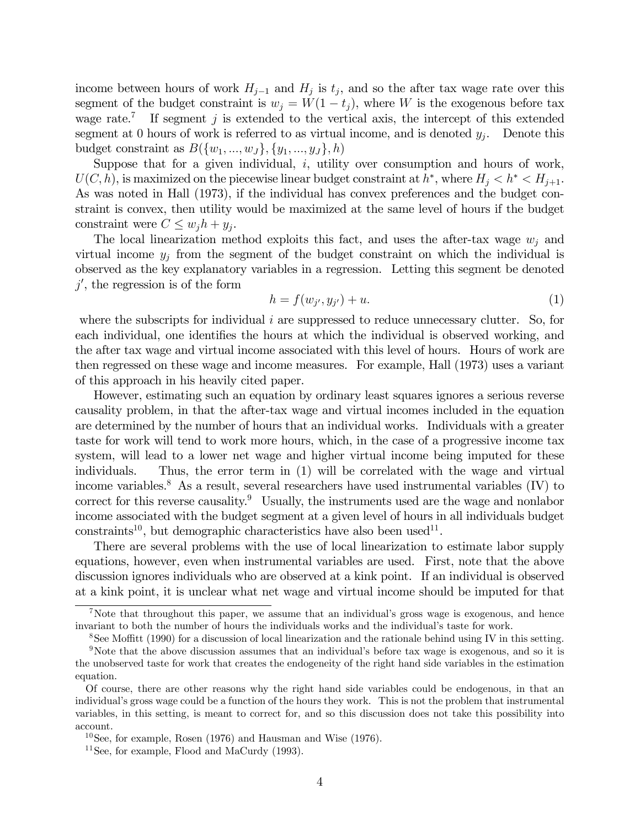income between hours of work  $H_{i-1}$  and  $H_i$  is  $t_i$ , and so the after tax wage rate over this segment of the budget constraint is  $w_j = W(1 - t_j)$ , where W is the exogenous before tax wage rate.<sup>7</sup> If segment j is extended to the vertical axis, the intercept of this extended segment at 0 hours of work is referred to as virtual income, and is denoted  $y_i$ . Denote this budget constraint as  $B({w_1,...,w_J}, {y_1,...,y_J}, h)$ 

Suppose that for a given individual,  $i$ , utility over consumption and hours of work,  $U(C, h)$ , is maximized on the piecewise linear budget constraint at  $h^*$ , where  $H_j < h^* < H_{j+1}$ . As was noted in Hall (1973), if the individual has convex preferences and the budget constraint is convex, then utility would be maximized at the same level of hours if the budget constraint were  $C \leq w_i h + y_i$ .

The local linearization method exploits this fact, and uses the after-tax wage  $w_j$  and virtual income  $y_j$  from the segment of the budget constraint on which the individual is observed as the key explanatory variables in a regression. Letting this segment be denoted  $j'$ , the regression is of the form

$$
h = f(w_{j'}, y_{j'}) + u.
$$
 (1)

where the subscripts for individual i are suppressed to reduce unnecessary clutter. So, for each individual, one identifies the hours at which the individual is observed working, and the after tax wage and virtual income associated with this level of hours. Hours of work are then regressed on these wage and income measures. For example, Hall (1973) uses a variant of this approach in his heavily cited paper.

However, estimating such an equation by ordinary least squares ignores a serious reverse causality problem, in that the after-tax wage and virtual incomes included in the equation are determined by the number of hours that an individual works. Individuals with a greater taste for work will tend to work more hours, which, in the case of a progressive income tax system, will lead to a lower net wage and higher virtual income being imputed for these individuals. Thus, the error term in (1) will be correlated with the wage and virtual income variables.<sup>8</sup> As a result, several researchers have used instrumental variables  $(IV)$  to correct for this reverse causality.<sup>9</sup> Usually, the instruments used are the wage and nonlabor income associated with the budget segment at a given level of hours in all individuals budget constraints<sup>10</sup>, but demographic characteristics have also been used<sup>11</sup>.

There are several problems with the use of local linearization to estimate labor supply equations, however, even when instrumental variables are used. First, note that the above discussion ignores individuals who are observed at a kink point. If an individual is observed at a kink point, it is unclear what net wage and virtual income should be imputed for that

<sup>&</sup>lt;sup>7</sup>Note that throughout this paper, we assume that an individual's gross wage is exogenous, and hence invariant to both the number of hours the individuals works and the individual's taste for work.

<sup>8</sup>See Moffitt (1990) for a discussion of local linearization and the rationale behind using IV in this setting.

<sup>9</sup>Note that the above discussion assumes that an individual's before tax wage is exogenous, and so it is the unobserved taste for work that creates the endogeneity of the right hand side variables in the estimation equation.

Of course, there are other reasons why the right hand side variables could be endogenous, in that an individual's gross wage could be a function of the hours they work. This is not the problem that instrumental variables, in this setting, is meant to correct for, and so this discussion does not take this possibility into account.

<sup>&</sup>lt;sup>10</sup>See, for example, Rosen (1976) and Hausman and Wise (1976).

<sup>&</sup>lt;sup>11</sup>See, for example, Flood and MaCurdy  $(1993)$ .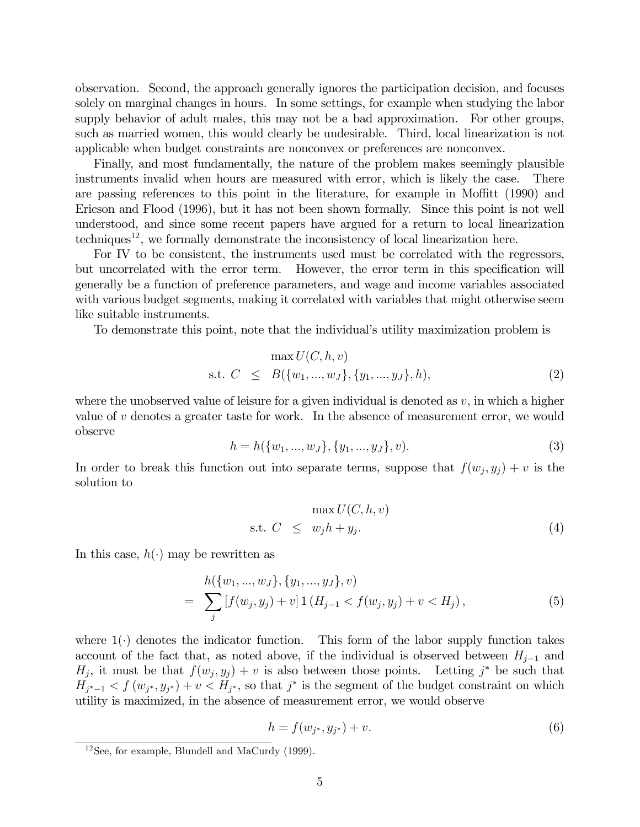observation. Second, the approach generally ignores the participation decision, and focuses solely on marginal changes in hours. In some settings, for example when studying the labor supply behavior of adult males, this may not be a bad approximation. For other groups, such as married women, this would clearly be undesirable. Third, local linearization is not applicable when budget constraints are nonconvex or preferences are nonconvex.

Finally, and most fundamentally, the nature of the problem makes seemingly plausible instruments invalid when hours are measured with error, which is likely the case. There are passing references to this point in the literature, for example in Moffitt (1990) and Ericson and Flood (1996), but it has not been shown formally. Since this point is not well understood, and since some recent papers have argued for a return to local linearization techniques<sup>12</sup>, we formally demonstrate the inconsistency of local linearization here.

For IV to be consistent, the instruments used must be correlated with the regressors, but uncorrelated with the error term. However, the error term in this specification will generally be a function of preference parameters, and wage and income variables associated with various budget segments, making it correlated with variables that might otherwise seem like suitable instruments.

To demonstrate this point, note that the individual's utility maximization problem is

$$
\max U(C, h, v)
$$
  
s.t.  $C \leq B({w_1, ..., w_J}, {y_1, ..., y_J}, h),$  (2)

where the unobserved value of leisure for a given individual is denoted as  $v$ , in which a higher value of v denotes a greater taste for work. In the absence of measurement error, we would observe

$$
h = h({w1, ..., wJ}, {y1, ..., yJ}, v).
$$
\n(3)

In order to break this function out into separate terms, suppose that  $f(w_j, y_j) + v$  is the solution to

$$
\max U(C, h, v)
$$
  
s.t.  $C \leq w_j h + y_j.$  (4)

In this case,  $h(\cdot)$  may be rewritten as

$$
= \sum_{j} h(\{w_1, ..., w_J\}, \{y_1, ..., y_J\}, v)
$$
  
= 
$$
\sum_{j} [f(w_j, y_j) + v] \mathbf{1} (H_{j-1} < f(w_j, y_j) + v < H_j),
$$
 (5)

where  $1(\cdot)$  denotes the indicator function. This form of the labor supply function takes account of the fact that, as noted above, if the individual is observed between  $H_{i-1}$  and  $H_j$ , it must be that  $f(w_j, y_j) + v$  is also between those points. Letting j<sup>\*</sup> be such that  $H_{j^*-1} < f(w_{j^*}, y_{j^*}) + v < H_{j^*}$ , so that  $j^*$  is the segment of the budget constraint on which utility is maximized, in the absence of measurement error, we would observe

$$
h = f(w_{j^*}, y_{j^*}) + v.
$$
\n(6)

 $12$ See, for example, Blundell and MaCurdy (1999).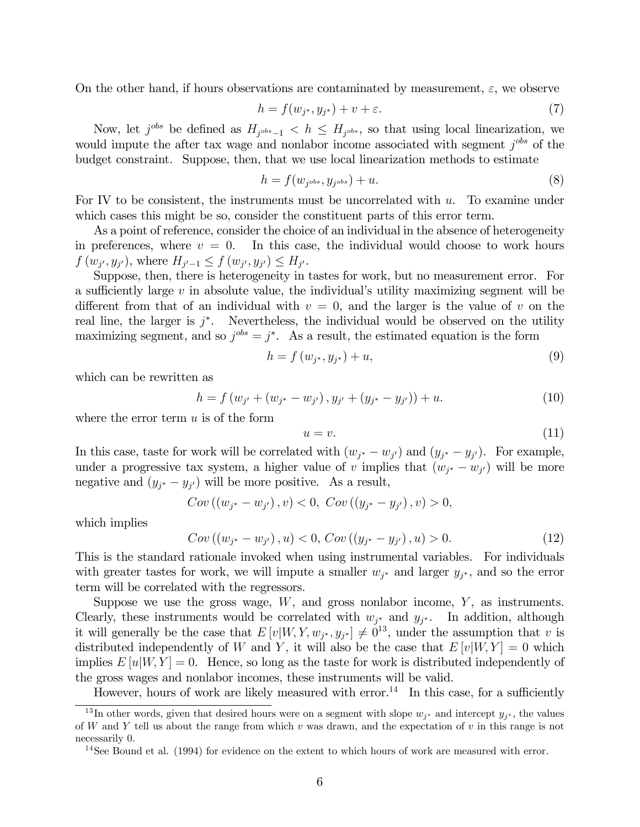On the other hand, if hours observations are contaminated by measurement,  $\varepsilon$ , we observe

$$
h = f(w_{j^*}, y_{j^*}) + v + \varepsilon. \tag{7}
$$

Now, let  $j^{obs}$  be defined as  $H_{j^{obs}-1} < h \leq H_{j^{obs}}$ , so that using local linearization, we would impute the after tax wage and nonlabor income associated with segment  $j^{obs}$  of the budget constraint. Suppose, then, that we use local linearization methods to estimate

$$
h = f(w_{j^{obs}}, y_{j^{obs}}) + u.
$$
\n
$$
(8)
$$

For IV to be consistent, the instruments must be uncorrelated with  $u$ . To examine under which cases this might be so, consider the constituent parts of this error term.

As a point of reference, consider the choice of an individual in the absence of heterogeneity in preferences, where  $v = 0$ . In this case, the individual would choose to work hours  $f(w_{i'}, y_{i'})$ , where  $H_{i'-1} \leq f(w_{i'}, y_{i'}) \leq H_{i'}$ .

Suppose, then, there is heterogeneity in tastes for work, but no measurement error. For a sufficiently large  $v$  in absolute value, the individual's utility maximizing segment will be different from that of an individual with  $v = 0$ , and the larger is the value of v on the real line, the larger is  $j^*$ . Nevertheless, the individual would be observed on the utility maximizing segment, and so  $j^{obs} = j^*$ . As a result, the estimated equation is the form

$$
h = f(w_{j^*}, y_{j^*}) + u,\tag{9}
$$

which can be rewritten as

$$
h = f(w_{j'} + (w_{j^*} - w_{j'}), y_{j'} + (y_{j^*} - y_{j'})) + u.
$$
\n(10)

where the error term  $u$  is of the form

$$
u = v.\t\t(11)
$$

In this case, taste for work will be correlated with  $(w_{j^*} - w_{j'})$  and  $(y_{j^*} - y_{j'})$ . For example, under a progressive tax system, a higher value of v implies that  $(w_{i^*} - w_{i'})$  will be more negative and  $(y_{j^*} - y_{j'})$  will be more positive. As a result,

$$
Cov((w_{j^*}-w_{j'}),v)<0, \ Cov((y_{j^*}-y_{j'}),v)>0,
$$

which implies

$$
Cov((w_{j^*} - w_{j'}), u) < 0, \, Cov((y_{j^*} - y_{j'}), u) > 0. \tag{12}
$$

This is the standard rationale invoked when using instrumental variables. For individuals with greater tastes for work, we will impute a smaller  $w_{j^*}$  and larger  $y_{j^*}$ , and so the error term will be correlated with the regressors.

Suppose we use the gross wage,  $W$ , and gross nonlabor income,  $Y$ , as instruments. Clearly, these instruments would be correlated with  $w_{j^*}$  and  $y_{j^*}$ . In addition, although it will generally be the case that  $E[v|W, Y, w_{j^*}, y_{j^*}] \neq 0^{13}$ , under the assumption that v is distributed independently of W and Y, it will also be the case that  $E[v|W, Y] = 0$  which implies  $E[u|W, Y] = 0$ . Hence, so long as the taste for work is distributed independently of the gross wages and nonlabor incomes, these instruments will be valid.

However, hours of work are likely measured with error.<sup>14</sup> In this case, for a sufficiently

<sup>&</sup>lt;sup>13</sup>In other words, given that desired hours were on a segment with slope  $w_{j^*}$  and intercept  $y_{j^*}$ , the values of W and Y tell us about the range from which v was drawn, and the expectation of v in this range is not necessarily 0.

<sup>&</sup>lt;sup>14</sup>See Bound et al.  $(1994)$  for evidence on the extent to which hours of work are measured with error.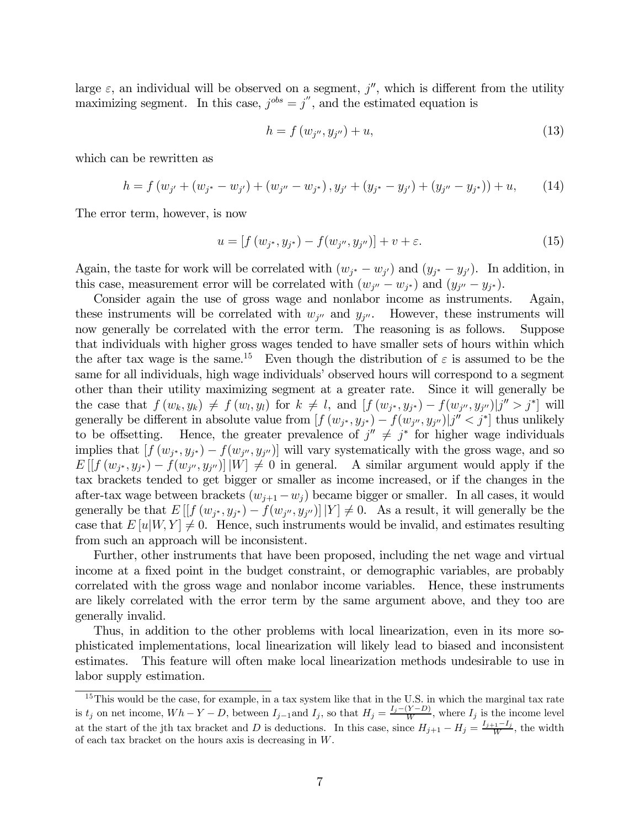large  $\varepsilon$ , an individual will be observed on a segment, j'', which is different from the utility maximizing segment. In this case,  $j^{obs} = j''$ , and the estimated equation is

$$
h = f(w_{j''}, y_{j''}) + u,\tag{13}
$$

which can be rewritten as

$$
h = f(w_{j'} + (w_{j^*} - w_{j'}) + (w_{j''} - w_{j^*}), y_{j'} + (y_{j^*} - y_{j'}) + (y_{j''} - y_{j^*})) + u,
$$
 (14)

The error term, however, is now

$$
u = [f(w_{j^*}, y_{j^*}) - f(w_{j''}, y_{j''})] + v + \varepsilon.
$$
\n(15)

Again, the taste for work will be correlated with  $(w_{j^*} - w_{j'})$  and  $(y_{j^*} - y_{j'})$ . In addition, in this case, measurement error will be correlated with  $(w_{j''}-w_{j^*})$  and  $(y_{j''}-y_{j^*})$ .

Consider again the use of gross wage and nonlabor income as instruments. Again, these instruments will be correlated with  $w_{j''}$  and  $y_{j''}$ . However, these instruments will now generally be correlated with the error term. The reasoning is as follows. Suppose that individuals with higher gross wages tended to have smaller sets of hours within which the after tax wage is the same.<sup>15</sup> Even though the distribution of  $\varepsilon$  is assumed to be the same for all individuals, high wage individuals' observed hours will correspond to a segment other than their utility maximizing segment at a greater rate. Since it will generally be the case that  $f(w_k, y_k) \neq f(w_l, y_l)$  for  $k \neq l$ , and  $[f(w_{j^*}, y_{j^*}) - f(w_{j^{\prime\prime}}, y_{j^{\prime\prime}})]j^{\prime\prime} > j^*$  will generally be different in absolute value from  $[f(w_{j^*}, y_{j^*}) - f(w_{j^*}, y_{j^*})|j'' < j^*]$  thus unlikely<br>to be offsetting. Hence, the greater prevalence of  $j'' \neq j^*$  for higher wage individuals Hence, the greater prevalence of  $j'' \neq j^*$  for higher wage individuals implies that  $[f(w_{i^*}, y_{i^*}) - f(w_{i^{\prime\prime}}, y_{i^{\prime\prime}})]$  will vary systematically with the gross wage, and so  $E[[f(w_{i^*}, y_{i^*}) - f(w_{i''}, y_{i''})] |W| \neq 0$  in general. A similar argument would apply if the tax brackets tended to get bigger or smaller as income increased, or if the changes in the after-tax wage between brackets  $(w_{j+1} - w_j)$  became bigger or smaller. In all cases, it would generally be that  $E[[f(w_{j^*}, y_{j^*}) - f(w_{j''}, y_{j''})] | Y] \neq 0$ . As a result, it will generally be the case that  $E[u|W, Y] \neq 0$ . Hence, such instruments would be invalid, and estimates resulting from such an approach will be inconsistent.

Further, other instruments that have been proposed, including the net wage and virtual income at a fixed point in the budget constraint, or demographic variables, are probably correlated with the gross wage and nonlabor income variables. Hence, these instruments are likely correlated with the error term by the same argument above, and they too are generally invalid.

Thus, in addition to the other problems with local linearization, even in its more sophisticated implementations, local linearization will likely lead to biased and inconsistent estimates. This feature will often make local linearization methods undesirable to use in labor supply estimation.

<sup>&</sup>lt;sup>15</sup>This would be the case, for example, in a tax system like that in the U.S. in which the marginal tax rate is  $t_j$  on net income,  $Wh - Y - D$ , between  $I_{j-1}$  and  $I_j$ , so that  $H_j = \frac{I_j - (Y - D)}{W}$ , where  $I_j$  is the income level at the start of the jth tax bracket and D is deductions. In this case, since  $H_{j+1} - H_j = \frac{I_{j+1} - I_j}{W}$ , the width of each tax bracket on the hours axis is decreasing in W.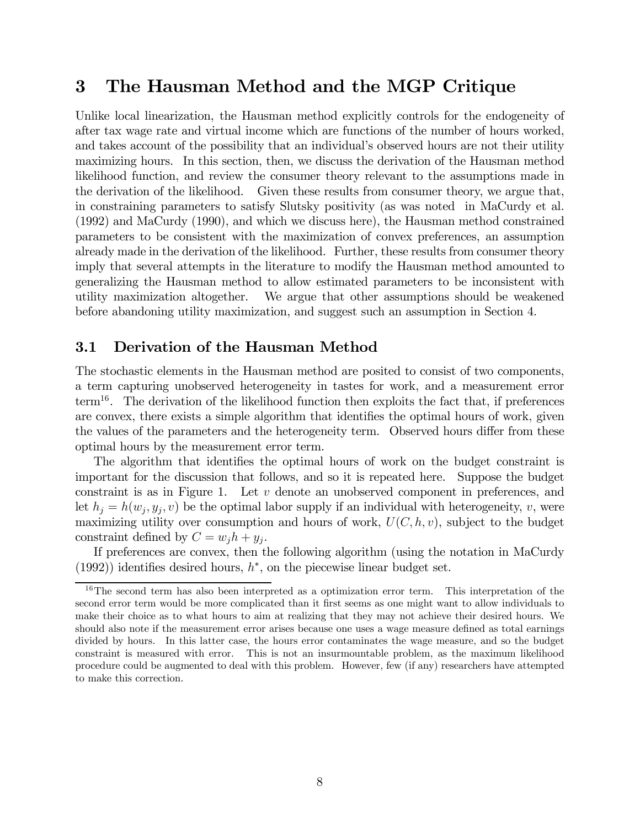## 3 The Hausman Method and the MGP Critique

Unlike local linearization, the Hausman method explicitly controls for the endogeneity of after tax wage rate and virtual income which are functions of the number of hours worked, and takes account of the possibility that an individual's observed hours are not their utility maximizing hours. In this section, then, we discuss the derivation of the Hausman method likelihood function, and review the consumer theory relevant to the assumptions made in the derivation of the likelihood. Given these results from consumer theory, we argue that, in constraining parameters to satisfy Slutsky positivity (as was noted in MaCurdy et al. (1992) and MaCurdy (1990), and which we discuss here), the Hausman method constrained parameters to be consistent with the maximization of convex preferences, an assumption already made in the derivation of the likelihood. Further, these results from consumer theory imply that several attempts in the literature to modify the Hausman method amounted to generalizing the Hausman method to allow estimated parameters to be inconsistent with utility maximization altogether. We argue that other assumptions should be weakened before abandoning utility maximization, and suggest such an assumption in Section 4.

#### 3.1 Derivation of the Hausman Method

The stochastic elements in the Hausman method are posited to consist of two components, a term capturing unobserved heterogeneity in tastes for work, and a measurement error term<sup>16</sup>. The derivation of the likelihood function then exploits the fact that, if preferences are convex, there exists a simple algorithm that identifies the optimal hours of work, given the values of the parameters and the heterogeneity term. Observed hours differ from these optimal hours by the measurement error term.

The algorithm that identifies the optimal hours of work on the budget constraint is important for the discussion that follows, and so it is repeated here. Suppose the budget constraint is as in Figure 1. Let  $v$  denote an unobserved component in preferences, and let  $h_j = h(w_j, y_j, v)$  be the optimal labor supply if an individual with heterogeneity, v, were maximizing utility over consumption and hours of work,  $U(C, h, v)$ , subject to the budget constraint defined by  $C = w_i h + y_i$ .

If preferences are convex, then the following algorithm (using the notation in MaCurdy (1992)) identifies desired hours,  $h^*$ , on the piecewise linear budget set.

 $16$ The second term has also been interpreted as a optimization error term. This interpretation of the second error term would be more complicated than it first seems as one might want to allow individuals to make their choice as to what hours to aim at realizing that they may not achieve their desired hours. We should also note if the measurement error arises because one uses a wage measure defined as total earnings divided by hours. In this latter case, the hours error contaminates the wage measure, and so the budget constraint is measured with error. This is not an insurmountable problem, as the maximum likelihood procedure could be augmented to deal with this problem. However, few (if any) researchers have attempted to make this correction.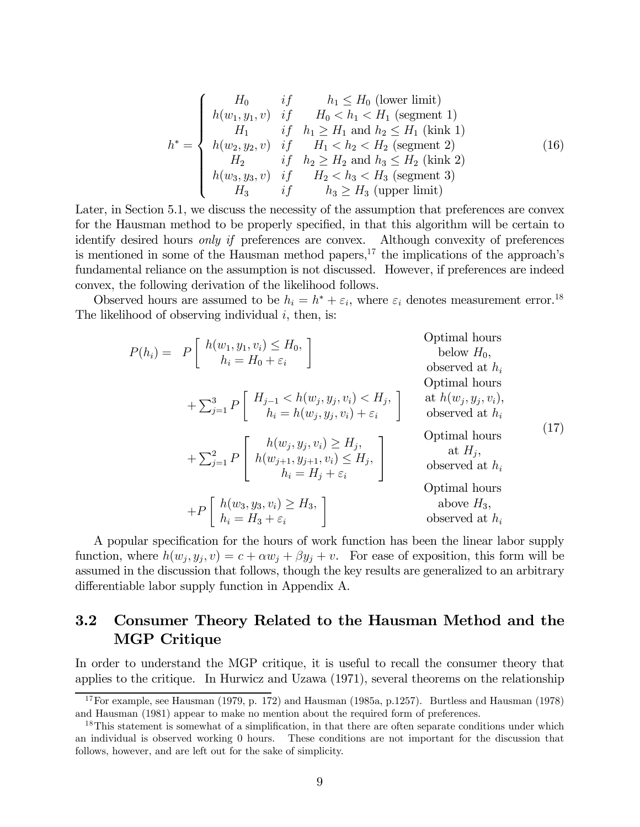$$
h^* = \begin{cases} H_0 & if & h_1 \leq H_0 \text{ (lower limit)} \\ h(w_1, y_1, v) & if & H_0 < h_1 < H_1 \text{ (segment 1)} \\ H_1 & if & h_1 \geq H_1 \text{ and } h_2 \leq H_1 \text{ (kink 1)} \\ h(w_2, y_2, v) & if & H_1 < h_2 < H_2 \text{ (segment 2)} \\ H_2 & if & h_2 \geq H_2 \text{ and } h_3 \leq H_2 \text{ (kink 2)} \\ h(w_3, y_3, v) & if & H_2 < h_3 < H_3 \text{ (segment 3)} \\ H_3 & if & h_3 \geq H_3 \text{ (upper limit)} \end{cases} \tag{16}
$$

Later, in Section 5.1, we discuss the necessity of the assumption that preferences are convex for the Hausman method to be properly specified, in that this algorithm will be certain to identify desired hours only if preferences are convex. Although convexity of preferences is mentioned in some of the Hausman method papers,  $17$  the implications of the approach's fundamental reliance on the assumption is not discussed. However, if preferences are indeed convex, the following derivation of the likelihood follows.

Observed hours are assumed to be  $h_i = h^* + \varepsilon_i$ , where  $\varepsilon_i$  denotes measurement error.<sup>18</sup> The likelihood of observing individual  $i$ , then, is:

$$
P(h_i) = P\begin{bmatrix} h(w_1, y_1, v_i) \le H_0, & \text{Optimal hours} \\ h_i = H_0 + \varepsilon_i \end{bmatrix}
$$
Optimal hours  
\n
$$
+ \sum_{j=1}^3 P\begin{bmatrix} H_{j-1} < h(w_j, y_j, v_i) < H_j, \\ h_i = h(w_j, y_j, v_i) + \varepsilon_i \end{bmatrix}
$$
gptimal hours  
\n
$$
+ \sum_{j=1}^2 P\begin{bmatrix} h(w_j, y_j, v_i) \ge H_j, \\ h(w_{j+1}, y_{j+1}, v_i) \le H_j, \\ h_i = H_j + \varepsilon_i \end{bmatrix}
$$
Optimal hours  
\n
$$
+ P\begin{bmatrix} h(w_3, y_3, v_i) \ge H_3, \\ h_i = H_3 + \varepsilon_i \end{bmatrix}
$$
Optimal hours  
\n
$$
+ P\begin{bmatrix} h(w_3, y_3, v_i) \ge H_3, \\ h_i = H_3 + \varepsilon_i \end{bmatrix}
$$
Observed at  $h_i$   
\n
$$
- P\begin{bmatrix} h(w_3, y_3, v_i) \ge H_3, \\ h_i = H_3 + \varepsilon_i \end{bmatrix}
$$

A popular specification for the hours of work function has been the linear labor supply function, where  $h(w_i, y_i, v) = c + \alpha w_i + \beta y_i + v$ . For ease of exposition, this form will be assumed in the discussion that follows, though the key results are generalized to an arbitrary differentiable labor supply function in Appendix A.

## 3.2 Consumer Theory Related to the Hausman Method and the MGP Critique

In order to understand the MGP critique, it is useful to recall the consumer theory that applies to the critique. In Hurwicz and Uzawa (1971), several theorems on the relationship

<sup>&</sup>lt;sup>17</sup>For example, see Hausman (1979, p. 172) and Hausman (1985a, p.1257). Burtless and Hausman (1978) and Hausman (1981) appear to make no mention about the required form of preferences.

<sup>&</sup>lt;sup>18</sup>This statement is somewhat of a simplification, in that there are often separate conditions under which an individual is observed working 0 hours. These conditions are not important for the discussion that follows, however, and are left out for the sake of simplicity.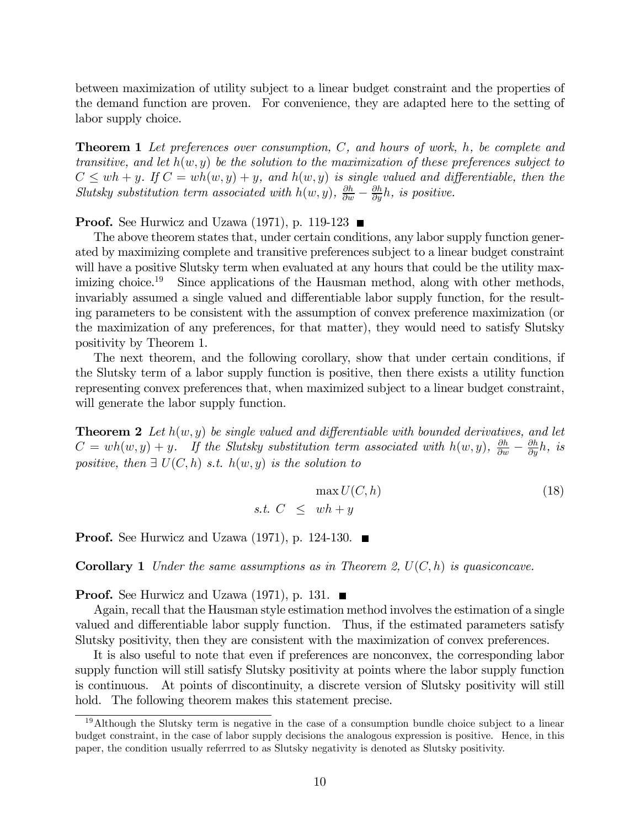between maximization of utility subject to a linear budget constraint and the properties of the demand function are proven. For convenience, they are adapted here to the setting of labor supply choice.

**Theorem 1** Let preferences over consumption, C, and hours of work, h, be complete and transitive, and let  $h(w, y)$  be the solution to the maximization of these preferences subject to  $C \le wh + y$ . If  $C = wh(w, y) + y$ , and  $h(w, y)$  is single valued and differentiable, then the Slutsky substitution term associated with  $h(w, y)$ ,  $\frac{\partial h}{\partial w} - \frac{\partial h}{\partial y}h$ , is positive.

**Proof.** See Hurwicz and Uzawa (1971), p. 119-123  $\blacksquare$ 

The above theorem states that, under certain conditions, any labor supply function generated by maximizing complete and transitive preferences subject to a linear budget constraint will have a positive Slutsky term when evaluated at any hours that could be the utility maximizing choice.<sup>19</sup> Since applications of the Hausman method, along with other methods, invariably assumed a single valued and differentiable labor supply function, for the resulting parameters to be consistent with the assumption of convex preference maximization (or the maximization of any preferences, for that matter), they would need to satisfy Slutsky positivity by Theorem 1.

The next theorem, and the following corollary, show that under certain conditions, if the Slutsky term of a labor supply function is positive, then there exists a utility function representing convex preferences that, when maximized subject to a linear budget constraint, will generate the labor supply function.

**Theorem 2** Let  $h(w, y)$  be single valued and differentiable with bounded derivatives, and let  $C = wh(w, y) + y$ . If the Slutsky substitution term associated with  $h(w, y)$ ,  $\frac{\partial h}{\partial w} - \frac{\partial h}{\partial y}h$ , is positive, then  $\exists U(C, h)$  s.t.  $h(w, y)$  is the solution to

$$
\max U(C, h) \tag{18}
$$
  
s.t.  $C \le wh + y$ 

**Proof.** See Hurwicz and Uzawa (1971), p. 124-130.  $\blacksquare$ 

**Corollary 1** Under the same assumptions as in Theorem 2,  $U(C, h)$  is quasiconcave.

**Proof.** See Hurwicz and Uzawa (1971), p. 131.  $\blacksquare$ 

Again, recall that the Hausman style estimation method involves the estimation of a single valued and differentiable labor supply function. Thus, if the estimated parameters satisfy Slutsky positivity, then they are consistent with the maximization of convex preferences.

It is also useful to note that even if preferences are nonconvex, the corresponding labor supply function will still satisfy Slutsky positivity at points where the labor supply function is continuous. At points of discontinuity, a discrete version of Slutsky positivity will still hold. The following theorem makes this statement precise.

<sup>19</sup>Although the Slutsky term is negative in the case of a consumption bundle choice subject to a linear budget constraint, in the case of labor supply decisions the analogous expression is positive. Hence, in this paper, the condition usually referrred to as Slutsky negativity is denoted as Slutsky positivity.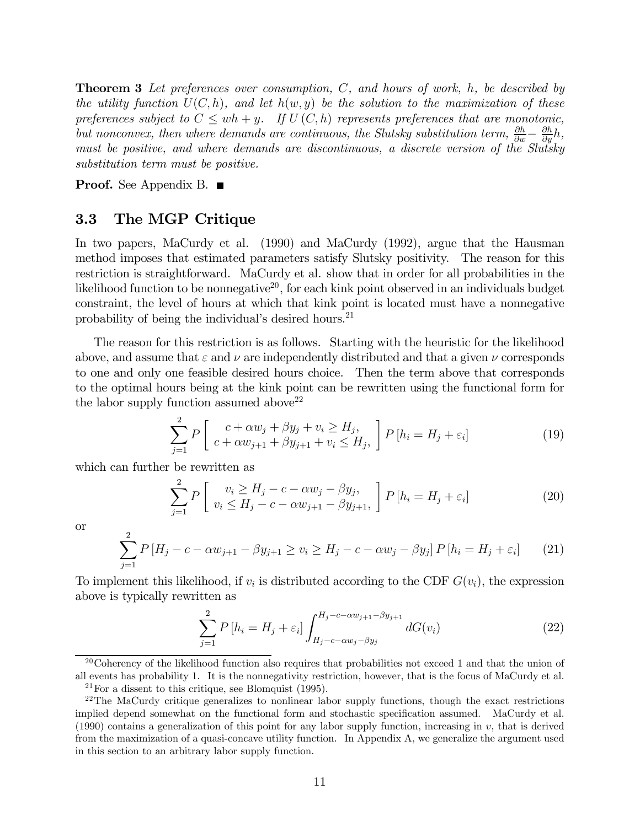**Theorem 3** Let preferences over consumption,  $C$ , and hours of work,  $h$ , be described by the utility function  $U(C, h)$ , and let  $h(w, y)$  be the solution to the maximization of these preferences subject to  $C \le wh + y$ . If  $U(C, h)$  represents preferences that are monotonic, but nonconvex, then where demands are continuous, the Slutsky substitution term,  $\frac{\partial h}{\partial w} - \frac{\partial h}{\partial y}h$ , must be positive, and where demands are discontinuous, a discrete version of the Slutsky substitution term must be positive.

**Proof.** See Appendix B.  $\blacksquare$ 

#### 3.3 The MGP Critique

In two papers, MaCurdy et al. (1990) and MaCurdy (1992), argue that the Hausman method imposes that estimated parameters satisfy Slutsky positivity. The reason for this restriction is straightforward. MaCurdy et al. show that in order for all probabilities in the likelihood function to be nonnegative<sup>20</sup>, for each kink point observed in an individuals budget constraint, the level of hours at which that kink point is located must have a nonnegative probability of being the individual's desired hours.<sup>21</sup>

The reason for this restriction is as follows. Starting with the heuristic for the likelihood above, and assume that  $\varepsilon$  and  $\nu$  are independently distributed and that a given  $\nu$  corresponds to one and only one feasible desired hours choice. Then the term above that corresponds to the optimal hours being at the kink point can be rewritten using the functional form for the labor supply function assumed above  $2^2$ 

$$
\sum_{j=1}^{2} P\left[\begin{array}{c} c + \alpha w_j + \beta y_j + v_i \ge H_j, \\ c + \alpha w_{j+1} + \beta y_{j+1} + v_i \le H_j, \end{array}\right] P\left[h_i = H_j + \varepsilon_i\right]
$$
\n(19)

which can further be rewritten as

$$
\sum_{j=1}^{2} P\left[\begin{array}{c}v_i \ge H_j - c - \alpha w_j - \beta y_j, \\v_i \le H_j - c - \alpha w_{j+1} - \beta y_{j+1},\end{array}\right] P\left[h_i = H_j + \varepsilon_i\right]
$$
(20)

or

$$
\sum_{j=1}^{2} P\left[H_j - c - \alpha w_{j+1} - \beta y_{j+1} \ge v_i \ge H_j - c - \alpha w_j - \beta y_j\right] P\left[h_i = H_j + \varepsilon_i\right] \tag{21}
$$

To implement this likelihood, if  $v_i$  is distributed according to the CDF  $G(v_i)$ , the expression above is typically rewritten as

$$
\sum_{j=1}^{2} P[h_i = H_j + \varepsilon_i] \int_{H_j - c - \alpha w_j - \beta y_j}^{H_j - c - \alpha w_{j+1} - \beta y_{j+1}} dG(v_i)
$$
 (22)

<sup>20</sup>Coherency of the likelihood function also requires that probabilities not exceed 1 and that the union of all events has probability 1. It is the nonnegativity restriction, however, that is the focus of MaCurdy et al.

 $21$  For a dissent to this critique, see Blomquist (1995).

<sup>&</sup>lt;sup>22</sup>The MaCurdy critique generalizes to nonlinear labor supply functions, though the exact restrictions implied depend somewhat on the functional form and stochastic specification assumed. MaCurdy et al. (1990) contains a generalization of this point for any labor supply function, increasing in v, that is derived from the maximization of a quasi-concave utility function. In Appendix A, we generalize the argument used in this section to an arbitrary labor supply function.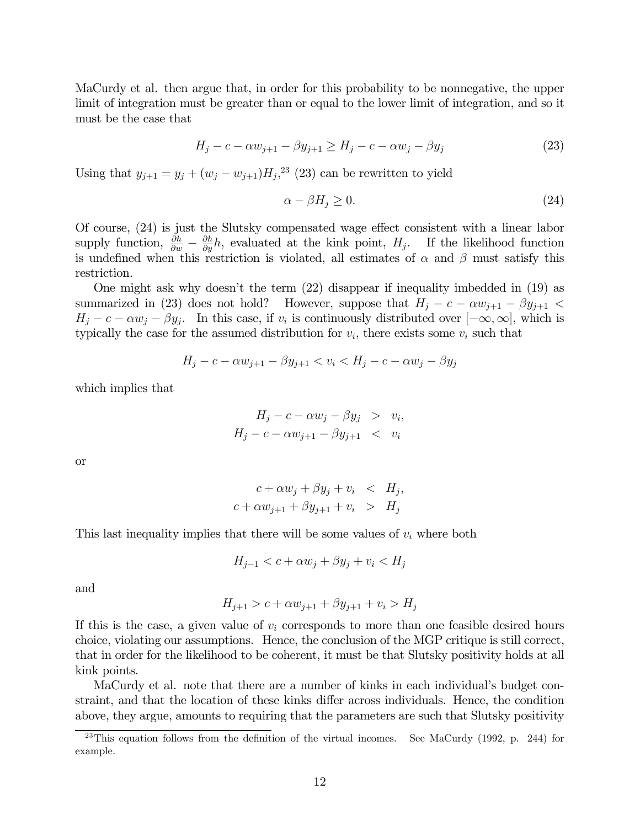MaCurdy et al. then argue that, in order for this probability to be nonnegative, the upper limit of integration must be greater than or equal to the lower limit of integration, and so it must be the case that

$$
H_j - c - \alpha w_{j+1} - \beta y_{j+1} \ge H_j - c - \alpha w_j - \beta y_j \tag{23}
$$

Using that  $y_{j+1} = y_j + (w_j - w_{j+1})H_j^{23}$  (23) can be rewritten to yield

$$
\alpha - \beta H_j \ge 0. \tag{24}
$$

Of course, (24) is just the Slutsky compensated wage effect consistent with a linear labor supply function,  $\frac{\partial h}{\partial w} - \frac{\partial h}{\partial y}h$ , evaluated at the kink point,  $H_j$ . If the likelihood function is undefined when this restriction is violated, all estimates of  $\alpha$  and  $\beta$  must satisfy this restriction.

One might ask why doesn't the term (22) disappear if inequality imbedded in (19) as summarized in (23) does not hold? However, suppose that  $H_j - c - \alpha w_{j+1} - \beta y_{j+1}$  $H_j - c - \alpha w_j - \beta y_j$ . In this case, if  $v_i$  is continuously distributed over  $[-\infty, \infty]$ , which is typically the case for the assumed distribution for  $v_i$ , there exists some  $v_i$  such that

$$
H_j - c - \alpha w_{j+1} - \beta y_{j+1} < v_i < H_j - c - \alpha w_j - \beta y_j
$$

which implies that

$$
H_j - c - \alpha w_j - \beta y_j > v_i,
$$
  

$$
H_j - c - \alpha w_{j+1} - \beta y_{j+1} < v_i
$$

or

$$
c + \alpha w_j + \beta y_j + v_i < H_j,
$$
\n
$$
c + \alpha w_{j+1} + \beta y_{j+1} + v_i > H_j
$$

This last inequality implies that there will be some values of  $v_i$  where both

$$
H_{j-1} < c + \alpha w_j + \beta y_j + v_i < H_j
$$

and

$$
H_{j+1} > c + \alpha w_{j+1} + \beta y_{j+1} + v_i > H_j
$$

If this is the case, a given value of  $v_i$  corresponds to more than one feasible desired hours choice, violating our assumptions. Hence, the conclusion of the MGP critique is still correct, that in order for the likelihood to be coherent, it must be that Slutsky positivity holds at all kink points.

MaCurdy et al. note that there are a number of kinks in each individual's budget constraint, and that the location of these kinks differ across individuals. Hence, the condition above, they argue, amounts to requiring that the parameters are such that Slutsky positivity

<sup>&</sup>lt;sup>23</sup>This equation follows from the definition of the virtual incomes. See MaCurdy (1992, p. 244) for example.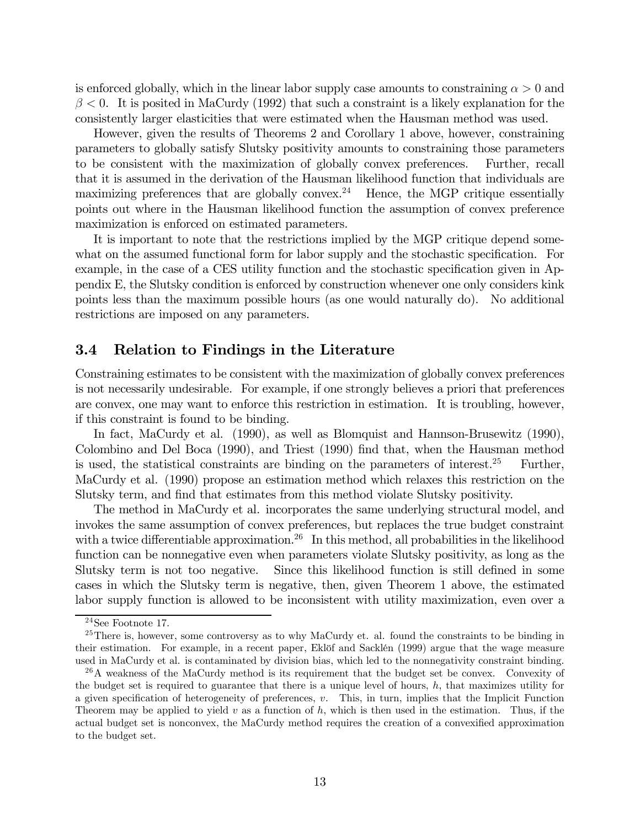is enforced globally, which in the linear labor supply case amounts to constraining  $\alpha > 0$  and  $\beta$  < 0. It is posited in MaCurdy (1992) that such a constraint is a likely explanation for the consistently larger elasticities that were estimated when the Hausman method was used.

However, given the results of Theorems 2 and Corollary 1 above, however, constraining parameters to globally satisfy Slutsky positivity amounts to constraining those parameters to be consistent with the maximization of globally convex preferences. Further, recall that it is assumed in the derivation of the Hausman likelihood function that individuals are maximizing preferences that are globally convex.<sup>24</sup> Hence, the MGP critique essentially points out where in the Hausman likelihood function the assumption of convex preference maximization is enforced on estimated parameters.

It is important to note that the restrictions implied by the MGP critique depend somewhat on the assumed functional form for labor supply and the stochastic specification. For example, in the case of a CES utility function and the stochastic specification given in Appendix E, the Slutsky condition is enforced by construction whenever one only considers kink points less than the maximum possible hours (as one would naturally do). No additional restrictions are imposed on any parameters.

#### 3.4 Relation to Findings in the Literature

Constraining estimates to be consistent with the maximization of globally convex preferences is not necessarily undesirable. For example, if one strongly believes a priori that preferences are convex, one may want to enforce this restriction in estimation. It is troubling, however, if this constraint is found to be binding.

In fact, MaCurdy et al. (1990), as well as Blomquist and Hannson-Brusewitz (1990), Colombino and Del Boca (1990), and Triest (1990) find that, when the Hausman method is used, the statistical constraints are binding on the parameters of interest.<sup>25</sup> Further, MaCurdy et al. (1990) propose an estimation method which relaxes this restriction on the Slutsky term, and find that estimates from this method violate Slutsky positivity.

The method in MaCurdy et al. incorporates the same underlying structural model, and invokes the same assumption of convex preferences, but replaces the true budget constraint with a twice differentiable approximation.<sup>26</sup> In this method, all probabilities in the likelihood function can be nonnegative even when parameters violate Slutsky positivity, as long as the Slutsky term is not too negative. Since this likelihood function is still defined in some cases in which the Slutsky term is negative, then, given Theorem 1 above, the estimated labor supply function is allowed to be inconsistent with utility maximization, even over a

<sup>24</sup>See Footnote 17.

 $25$ There is, however, some controversy as to why MaCurdy et. al. found the constraints to be binding in their estimation. For example, in a recent paper, Eklöf and Sacklén (1999) argue that the wage measure used in MaCurdy et al. is contaminated by division bias, which led to the nonnegativity constraint binding.

<sup>&</sup>lt;sup>26</sup>A weakness of the MaCurdy method is its requirement that the budget set be convex. Convexity of the budget set is required to guarantee that there is a unique level of hours, h, that maximizes utility for a given specification of heterogeneity of preferences, v. This, in turn, implies that the Implicit Function Theorem may be applied to yield v as a function of  $h$ , which is then used in the estimation. Thus, if the actual budget set is nonconvex, the MaCurdy method requires the creation of a convexified approximation to the budget set.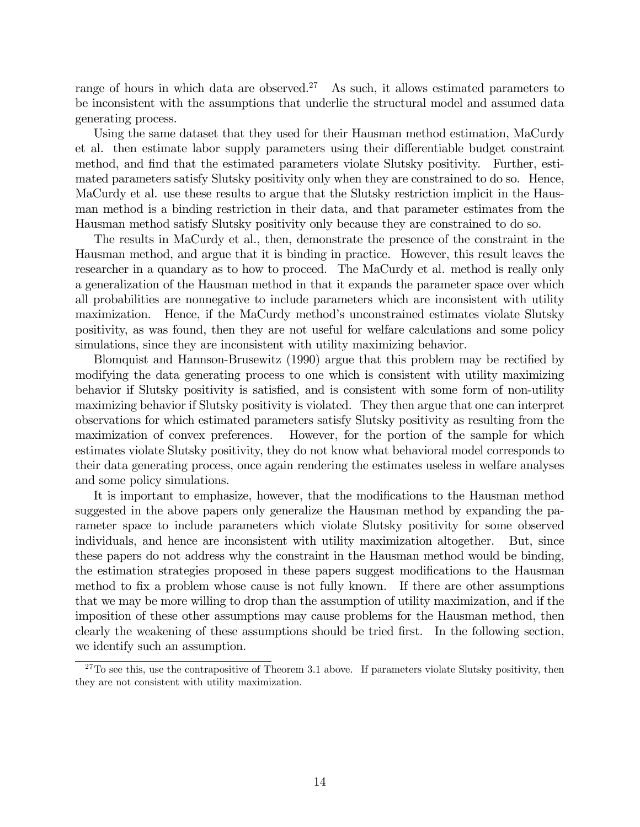range of hours in which data are observed.<sup>27</sup> As such, it allows estimated parameters to be inconsistent with the assumptions that underlie the structural model and assumed data generating process.

Using the same dataset that they used for their Hausman method estimation, MaCurdy et al. then estimate labor supply parameters using their differentiable budget constraint method, and find that the estimated parameters violate Slutsky positivity. Further, estimated parameters satisfy Slutsky positivity only when they are constrained to do so. Hence, MaCurdy et al. use these results to argue that the Slutsky restriction implicit in the Hausman method is a binding restriction in their data, and that parameter estimates from the Hausman method satisfy Slutsky positivity only because they are constrained to do so.

The results in MaCurdy et al., then, demonstrate the presence of the constraint in the Hausman method, and argue that it is binding in practice. However, this result leaves the researcher in a quandary as to how to proceed. The MaCurdy et al. method is really only a generalization of the Hausman method in that it expands the parameter space over which all probabilities are nonnegative to include parameters which are inconsistent with utility maximization. Hence, if the MaCurdy method's unconstrained estimates violate Slutsky positivity, as was found, then they are not useful for welfare calculations and some policy simulations, since they are inconsistent with utility maximizing behavior.

Blomquist and Hannson-Brusewitz (1990) argue that this problem may be rectified by modifying the data generating process to one which is consistent with utility maximizing behavior if Slutsky positivity is satisfied, and is consistent with some form of non-utility maximizing behavior if Slutsky positivity is violated. They then argue that one can interpret observations for which estimated parameters satisfy Slutsky positivity as resulting from the maximization of convex preferences. However, for the portion of the sample for which estimates violate Slutsky positivity, they do not know what behavioral model corresponds to their data generating process, once again rendering the estimates useless in welfare analyses and some policy simulations.

It is important to emphasize, however, that the modifications to the Hausman method suggested in the above papers only generalize the Hausman method by expanding the parameter space to include parameters which violate Slutsky positivity for some observed individuals, and hence are inconsistent with utility maximization altogether. But, since these papers do not address why the constraint in the Hausman method would be binding, the estimation strategies proposed in these papers suggest modifications to the Hausman method to fix a problem whose cause is not fully known. If there are other assumptions that we may be more willing to drop than the assumption of utility maximization, and if the imposition of these other assumptions may cause problems for the Hausman method, then clearly the weakening of these assumptions should be tried first. In the following section, we identify such an assumption.

 $27$ To see this, use the contrapositive of Theorem 3.1 above. If parameters violate Slutsky positivity, then they are not consistent with utility maximization.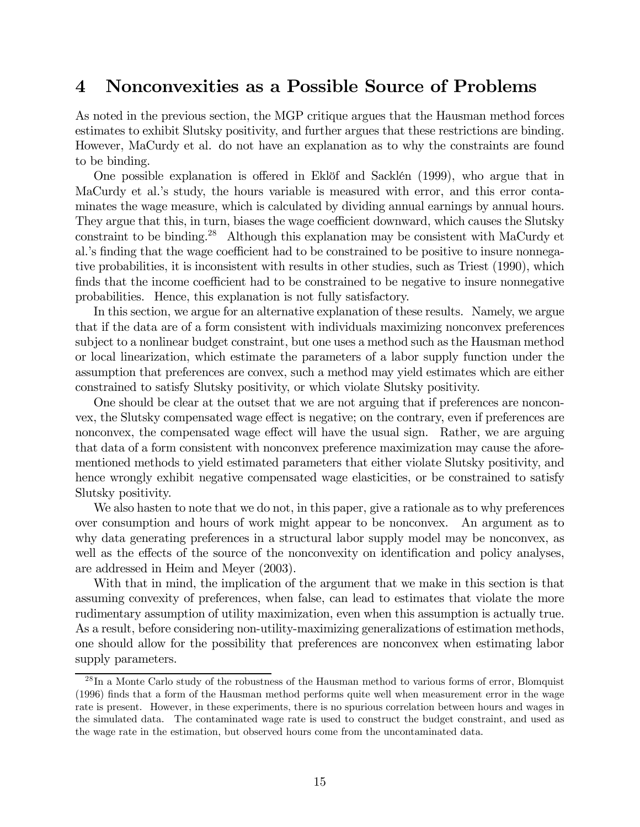## 4 Nonconvexities as a Possible Source of Problems

As noted in the previous section, the MGP critique argues that the Hausman method forces estimates to exhibit Slutsky positivity, and further argues that these restrictions are binding. However, MaCurdy et al. do not have an explanation as to why the constraints are found to be binding.

One possible explanation is offered in Eklöf and Sacklén (1999), who argue that in MaCurdy et al.'s study, the hours variable is measured with error, and this error contaminates the wage measure, which is calculated by dividing annual earnings by annual hours. They argue that this, in turn, biases the wage coefficient downward, which causes the Slutsky constraint to be binding.<sup>28</sup> Although this explanation may be consistent with MaCurdy et al.'s finding that the wage coefficient had to be constrained to be positive to insure nonnegative probabilities, it is inconsistent with results in other studies, such as Triest (1990), which finds that the income coefficient had to be constrained to be negative to insure nonnegative probabilities. Hence, this explanation is not fully satisfactory.

In this section, we argue for an alternative explanation of these results. Namely, we argue that if the data are of a form consistent with individuals maximizing nonconvex preferences subject to a nonlinear budget constraint, but one uses a method such as the Hausman method or local linearization, which estimate the parameters of a labor supply function under the assumption that preferences are convex, such a method may yield estimates which are either constrained to satisfy Slutsky positivity, or which violate Slutsky positivity.

One should be clear at the outset that we are not arguing that if preferences are nonconvex, the Slutsky compensated wage effect is negative; on the contrary, even if preferences are nonconvex, the compensated wage effect will have the usual sign. Rather, we are arguing that data of a form consistent with nonconvex preference maximization may cause the aforementioned methods to yield estimated parameters that either violate Slutsky positivity, and hence wrongly exhibit negative compensated wage elasticities, or be constrained to satisfy Slutsky positivity.

We also hasten to note that we do not, in this paper, give a rationale as to why preferences over consumption and hours of work might appear to be nonconvex. An argument as to why data generating preferences in a structural labor supply model may be nonconvex, as well as the effects of the source of the nonconvexity on identification and policy analyses, are addressed in Heim and Meyer (2003).

With that in mind, the implication of the argument that we make in this section is that assuming convexity of preferences, when false, can lead to estimates that violate the more rudimentary assumption of utility maximization, even when this assumption is actually true. As a result, before considering non-utility-maximizing generalizations of estimation methods, one should allow for the possibility that preferences are nonconvex when estimating labor supply parameters.

<sup>&</sup>lt;sup>28</sup>In a Monte Carlo study of the robustness of the Hausman method to various forms of error, Blomquist (1996) finds that a form of the Hausman method performs quite well when measurement error in the wage rate is present. However, in these experiments, there is no spurious correlation between hours and wages in the simulated data. The contaminated wage rate is used to construct the budget constraint, and used as the wage rate in the estimation, but observed hours come from the uncontaminated data.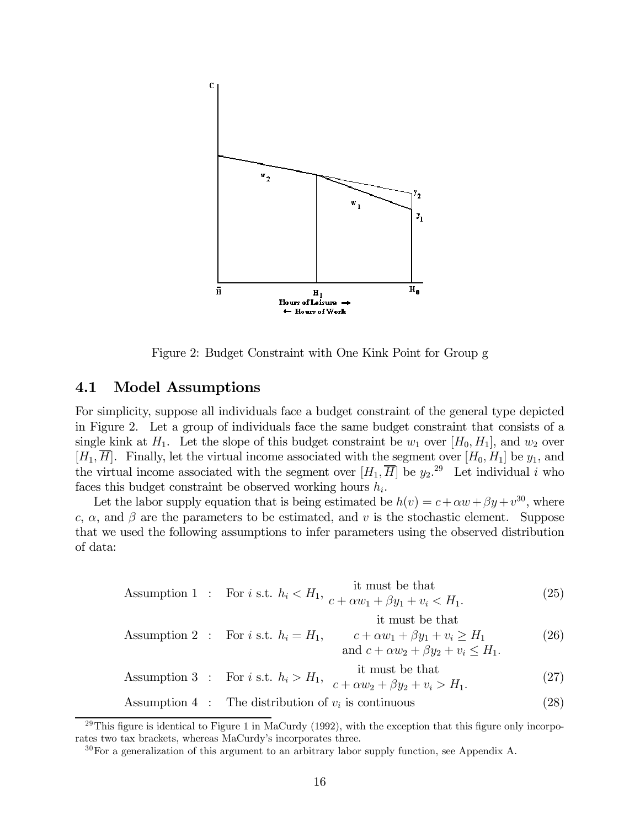

Figure 2: Budget Constraint with One Kink Point for Group g

### 4.1 Model Assumptions

For simplicity, suppose all individuals face a budget constraint of the general type depicted in Figure 2. Let a group of individuals face the same budget constraint that consists of a single kink at  $H_1$ . Let the slope of this budget constraint be  $w_1$  over  $[H_0, H_1]$ , and  $w_2$  over  $[H_1, \overline{H}]$ . Finally, let the virtual income associated with the segment over  $[H_0, H_1]$  be  $y_1$ , and the virtual income associated with the segment over  $[H_1, \overline{H}]$  be  $y_2$ <sup>29</sup> Let individual i who faces this budget constraint be observed working hours  $h_i$ .

Let the labor supply equation that is being estimated be  $h(v) = c + \alpha w + \beta y + v^{30}$ , where c,  $\alpha$ , and  $\beta$  are the parameters to be estimated, and v is the stochastic element. Suppose that we used the following assumptions to infer parameters using the observed distribution of data:

Assumption 1: For *i* s.t. 
$$
h_i < H_1
$$
,  $\frac{1}{c + \alpha w_1 + \beta y_1 + v_i} < H_1$ . (25)

$$
\begin{array}{ll}\n & \text{it must be that} \\
\text{Assumption 2:} & \text{For } i \text{ s.t. } h_i = H_1, \qquad c + \alpha w_1 + \beta y_1 + v_i \ge H_1 \\
 & \text{and } c + \alpha w_2 + \beta y_2 + v_i \le H_1.\n\end{array} \tag{26}
$$

Assumption 3: For 
$$
i
$$
 s.t.  $h_i > H_1$ ,  $\frac{\text{it must be that}}{c + \alpha w_2 + \beta y_2 + v_i > H_1}$ . (27)

Assumption 4 : The distribution of  $v_i$  is continuous (28)

<sup>&</sup>lt;sup>29</sup>This figure is identical to Figure 1 in MaCurdy (1992), with the exception that this figure only incorporates two tax brackets, whereas MaCurdy's incorporates three.

 $30$  For a generalization of this argument to an arbitrary labor supply function, see Appendix A.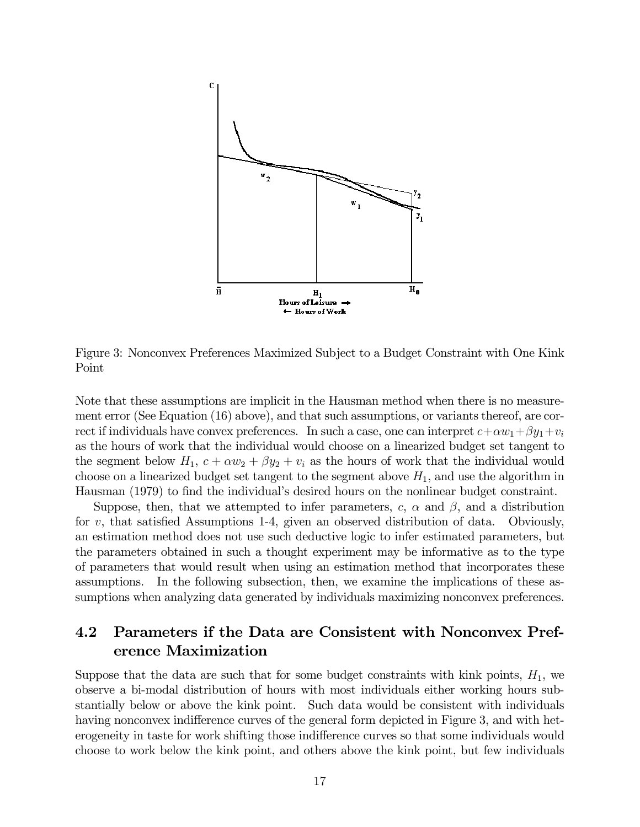

Figure 3: Nonconvex Preferences Maximized Subject to a Budget Constraint with One Kink Point

Note that these assumptions are implicit in the Hausman method when there is no measurement error (See Equation (16) above), and that such assumptions, or variants thereof, are correct if individuals have convex preferences. In such a case, one can interpret  $c + \alpha w_1 + \beta y_1 + v_i$ as the hours of work that the individual would choose on a linearized budget set tangent to the segment below  $H_1$ ,  $c + \alpha w_2 + \beta y_2 + v_i$  as the hours of work that the individual would choose on a linearized budget set tangent to the segment above  $H_1$ , and use the algorithm in Hausman (1979) to find the individual's desired hours on the nonlinear budget constraint.

Suppose, then, that we attempted to infer parameters, c,  $\alpha$  and  $\beta$ , and a distribution for  $v$ , that satisfied Assumptions 1-4, given an observed distribution of data. Obviously, an estimation method does not use such deductive logic to infer estimated parameters, but the parameters obtained in such a thought experiment may be informative as to the type of parameters that would result when using an estimation method that incorporates these assumptions. In the following subsection, then, we examine the implications of these assumptions when analyzing data generated by individuals maximizing nonconvex preferences.

## 4.2 Parameters if the Data are Consistent with Nonconvex Preference Maximization

Suppose that the data are such that for some budget constraints with kink points,  $H_1$ , we observe a bi-modal distribution of hours with most individuals either working hours substantially below or above the kink point. Such data would be consistent with individuals having nonconvex indifference curves of the general form depicted in Figure 3, and with heterogeneity in taste for work shifting those indifference curves so that some individuals would choose to work below the kink point, and others above the kink point, but few individuals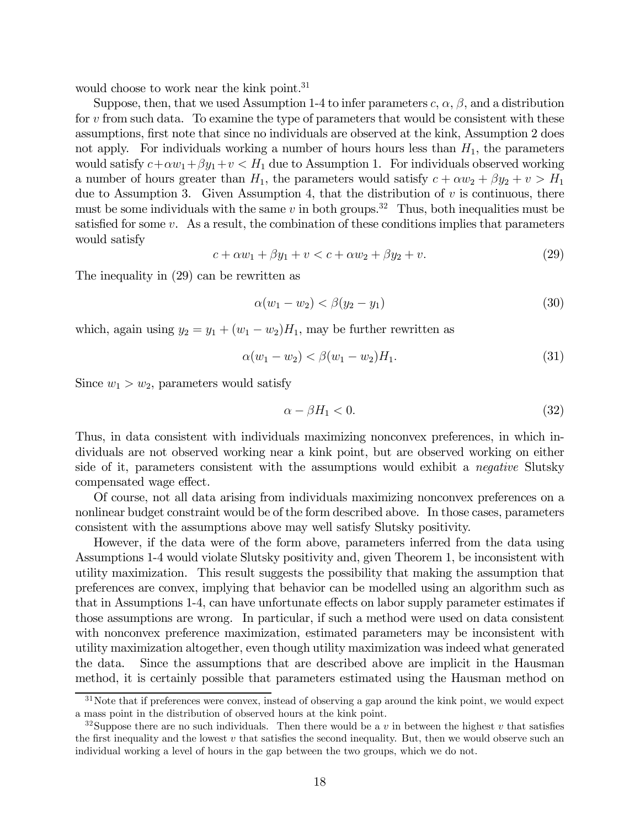would choose to work near the kink point.<sup>31</sup>

Suppose, then, that we used Assumption 1-4 to infer parameters  $c, \alpha, \beta$ , and a distribution for v from such data. To examine the type of parameters that would be consistent with these assumptions, first note that since no individuals are observed at the kink, Assumption 2 does not apply. For individuals working a number of hours hours less than  $H_1$ , the parameters would satisfy  $c+\alpha w_1+\beta y_1+v < H_1$  due to Assumption 1. For individuals observed working a number of hours greater than  $H_1$ , the parameters would satisfy  $c + \alpha w_2 + \beta y_2 + v > H_1$ due to Assumption 3. Given Assumption 4, that the distribution of  $v$  is continuous, there must be some individuals with the same v in both groups.<sup>32</sup> Thus, both inequalities must be satisfied for some  $v$ . As a result, the combination of these conditions implies that parameters would satisfy

$$
c + \alpha w_1 + \beta y_1 + v < c + \alpha w_2 + \beta y_2 + v. \tag{29}
$$

The inequality in (29) can be rewritten as

$$
\alpha(w_1 - w_2) < \beta(y_2 - y_1) \tag{30}
$$

which, again using  $y_2 = y_1 + (w_1 - w_2)H_1$ , may be further rewritten as

$$
\alpha(w_1 - w_2) < \beta(w_1 - w_2)H_1. \tag{31}
$$

Since  $w_1 > w_2$ , parameters would satisfy

$$
\alpha - \beta H_1 < 0. \tag{32}
$$

Thus, in data consistent with individuals maximizing nonconvex preferences, in which individuals are not observed working near a kink point, but are observed working on either side of it, parameters consistent with the assumptions would exhibit a *negative* Slutsky compensated wage effect.

Of course, not all data arising from individuals maximizing nonconvex preferences on a nonlinear budget constraint would be of the form described above. In those cases, parameters consistent with the assumptions above may well satisfy Slutsky positivity.

However, if the data were of the form above, parameters inferred from the data using Assumptions 1-4 would violate Slutsky positivity and, given Theorem 1, be inconsistent with utility maximization. This result suggests the possibility that making the assumption that preferences are convex, implying that behavior can be modelled using an algorithm such as that in Assumptions 1-4, can have unfortunate effects on labor supply parameter estimates if those assumptions are wrong. In particular, if such a method were used on data consistent with nonconvex preference maximization, estimated parameters may be inconsistent with utility maximization altogether, even though utility maximization was indeed what generated the data. Since the assumptions that are described above are implicit in the Hausman method, it is certainly possible that parameters estimated using the Hausman method on

<sup>&</sup>lt;sup>31</sup>Note that if preferences were convex, instead of observing a gap around the kink point, we would expect a mass point in the distribution of observed hours at the kink point.

<sup>&</sup>lt;sup>32</sup>Suppose there are no such individuals. Then there would be a v in between the highest v that satisfies the first inequality and the lowest v that satisfies the second inequality. But, then we would observe such an individual working a level of hours in the gap between the two groups, which we do not.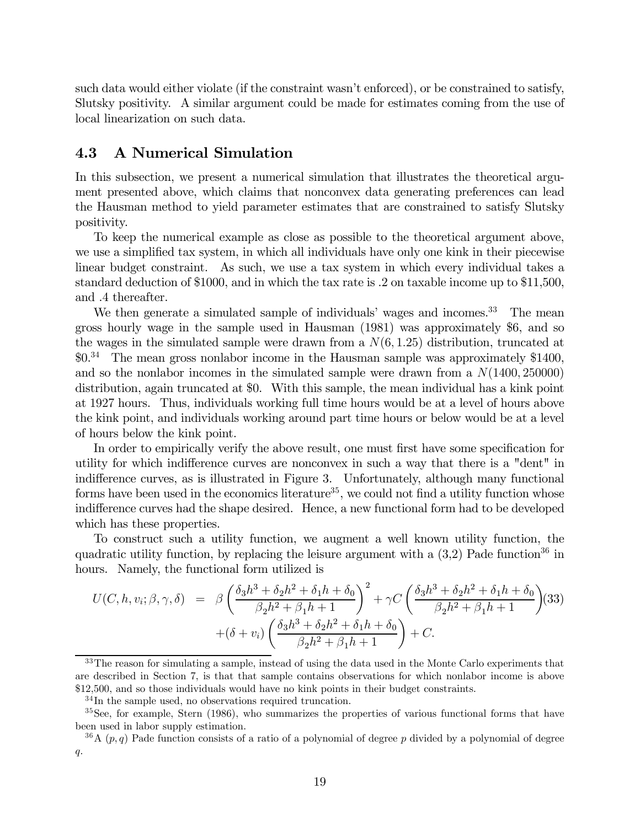such data would either violate (if the constraint wasn't enforced), or be constrained to satisfy, Slutsky positivity. A similar argument could be made for estimates coming from the use of local linearization on such data.

### 4.3 A Numerical Simulation

In this subsection, we present a numerical simulation that illustrates the theoretical argument presented above, which claims that nonconvex data generating preferences can lead the Hausman method to yield parameter estimates that are constrained to satisfy Slutsky positivity.

To keep the numerical example as close as possible to the theoretical argument above, we use a simplified tax system, in which all individuals have only one kink in their piecewise linear budget constraint. As such, we use a tax system in which every individual takes a standard deduction of \$1000, and in which the tax rate is .2 on taxable income up to \$11,500, and .4 thereafter.

We then generate a simulated sample of individuals' wages and incomes. $33$  The mean gross hourly wage in the sample used in Hausman (1981) was approximately \$6, and so the wages in the simulated sample were drawn from a  $N(6, 1.25)$  distribution, truncated at \$0.34 The mean gross nonlabor income in the Hausman sample was approximately \$1400, and so the nonlabor incomes in the simulated sample were drawn from a  $N(1400, 250000)$ distribution, again truncated at \$0. With this sample, the mean individual has a kink point at 1927 hours. Thus, individuals working full time hours would be at a level of hours above the kink point, and individuals working around part time hours or below would be at a level of hours below the kink point.

In order to empirically verify the above result, one must first have some specification for utility for which indifference curves are nonconvex in such a way that there is a "dent" in indifference curves, as is illustrated in Figure 3. Unfortunately, although many functional forms have been used in the economics literature<sup>35</sup>, we could not find a utility function whose indifference curves had the shape desired. Hence, a new functional form had to be developed which has these properties.

To construct such a utility function, we augment a well known utility function, the quadratic utility function, by replacing the leisure argument with a  $(3,2)$  Pade function<sup>36</sup> in hours. Namely, the functional form utilized is

$$
U(C, h, v_i; \beta, \gamma, \delta) = \beta \left( \frac{\delta_3 h^3 + \delta_2 h^2 + \delta_1 h + \delta_0}{\beta_2 h^2 + \beta_1 h + 1} \right)^2 + \gamma C \left( \frac{\delta_3 h^3 + \delta_2 h^2 + \delta_1 h + \delta_0}{\beta_2 h^2 + \beta_1 h + 1} \right) (33) + (\delta + v_i) \left( \frac{\delta_3 h^3 + \delta_2 h^2 + \delta_1 h + \delta_0}{\beta_2 h^2 + \beta_1 h + 1} \right) + C.
$$

<sup>&</sup>lt;sup>33</sup>The reason for simulating a sample, instead of using the data used in the Monte Carlo experiments that are described in Section 7, is that that sample contains observations for which nonlabor income is above \$12,500, and so those individuals would have no kink points in their budget constraints.

<sup>34</sup> In the sample used, no observations required truncation.

<sup>&</sup>lt;sup>35</sup>See, for example, Stern (1986), who summarizes the properties of various functional forms that have been used in labor supply estimation.

 $36A(p,q)$  Pade function consists of a ratio of a polynomial of degree p divided by a polynomial of degree q.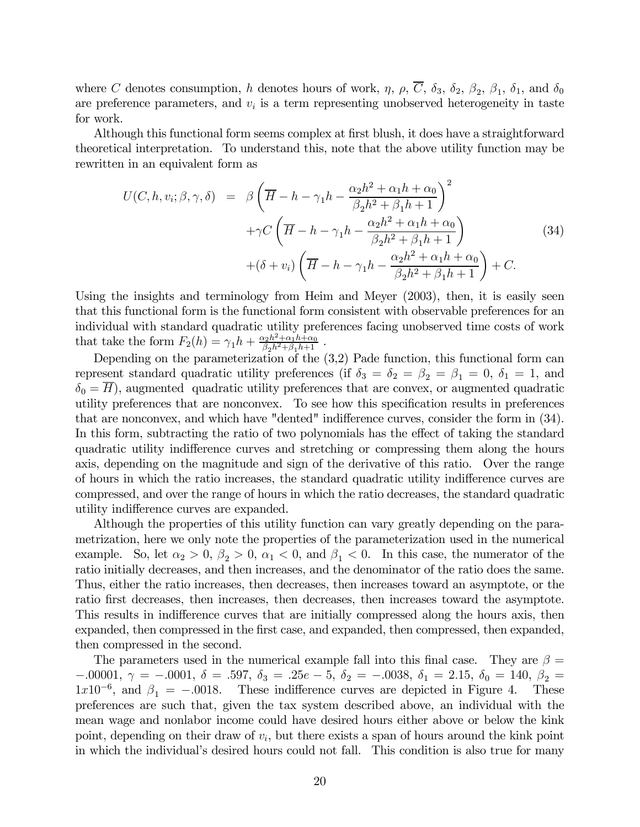where C denotes consumption, h denotes hours of work,  $\eta$ ,  $\rho$ ,  $\overline{C}$ ,  $\delta_3$ ,  $\delta_2$ ,  $\beta_2$ ,  $\beta_1$ ,  $\delta_1$ , and  $\delta_0$ are preference parameters, and  $v_i$  is a term representing unobserved heterogeneity in taste for work.

Although this functional form seems complex at first blush, it does have a straightforward theoretical interpretation. To understand this, note that the above utility function may be rewritten in an equivalent form as

$$
U(C, h, v_i; \beta, \gamma, \delta) = \beta \left( \overline{H} - h - \gamma_1 h - \frac{\alpha_2 h^2 + \alpha_1 h + \alpha_0}{\beta_2 h^2 + \beta_1 h + 1} \right)^2
$$
  
+
$$
\gamma C \left( \overline{H} - h - \gamma_1 h - \frac{\alpha_2 h^2 + \alpha_1 h + \alpha_0}{\beta_2 h^2 + \beta_1 h + 1} \right)
$$
(34)  
+
$$
(\delta + v_i) \left( \overline{H} - h - \gamma_1 h - \frac{\alpha_2 h^2 + \alpha_1 h + \alpha_0}{\beta_2 h^2 + \beta_1 h + 1} \right) + C.
$$

Using the insights and terminology from Heim and Meyer (2003), then, it is easily seen that this functional form is the functional form consistent with observable preferences for an individual with standard quadratic utility preferences facing unobserved time costs of work that take the form  $F_2(h) = \gamma_1 h + \frac{\alpha_2 h^2 + \alpha_1 h + \alpha_0}{\beta_2 h^2 + \beta_1 h + 1}$ .

Depending on the parameterization of the (3,2) Pade function, this functional form can represent standard quadratic utility preferences (if  $\delta_3 = \delta_2 = \beta_2 = \beta_1 = 0$ ,  $\delta_1 = 1$ , and  $\delta_0 = H$ ), augmented quadratic utility preferences that are convex, or augmented quadratic utility preferences that are nonconvex. To see how this specification results in preferences that are nonconvex, and which have "dented" indifference curves, consider the form in (34). In this form, subtracting the ratio of two polynomials has the effect of taking the standard quadratic utility indifference curves and stretching or compressing them along the hours axis, depending on the magnitude and sign of the derivative of this ratio. Over the range of hours in which the ratio increases, the standard quadratic utility indifference curves are compressed, and over the range of hours in which the ratio decreases, the standard quadratic utility indifference curves are expanded.

Although the properties of this utility function can vary greatly depending on the parametrization, here we only note the properties of the parameterization used in the numerical example. So, let  $\alpha_2 > 0$ ,  $\beta_2 > 0$ ,  $\alpha_1 < 0$ , and  $\beta_1 < 0$ . In this case, the numerator of the ratio initially decreases, and then increases, and the denominator of the ratio does the same. Thus, either the ratio increases, then decreases, then increases toward an asymptote, or the ratio first decreases, then increases, then decreases, then increases toward the asymptote. This results in indifference curves that are initially compressed along the hours axis, then expanded, then compressed in the first case, and expanded, then compressed, then expanded, then compressed in the second.

The parameters used in the numerical example fall into this final case. They are  $\beta =$  $-0.0001, γ = -0.001, δ = 0.597, δ<sub>3</sub> = 0.25e - 5, δ<sub>2</sub> = -0.0038, δ<sub>1</sub> = 2.15, δ<sub>0</sub> = 140, β<sub>2</sub> = 0.0001$  $1x10^{-6}$ , and  $\beta_1 = -.0018$ . These indifference curves are depicted in Figure 4. These preferences are such that, given the tax system described above, an individual with the mean wage and nonlabor income could have desired hours either above or below the kink point, depending on their draw of  $v_i$ , but there exists a span of hours around the kink point in which the individual's desired hours could not fall. This condition is also true for many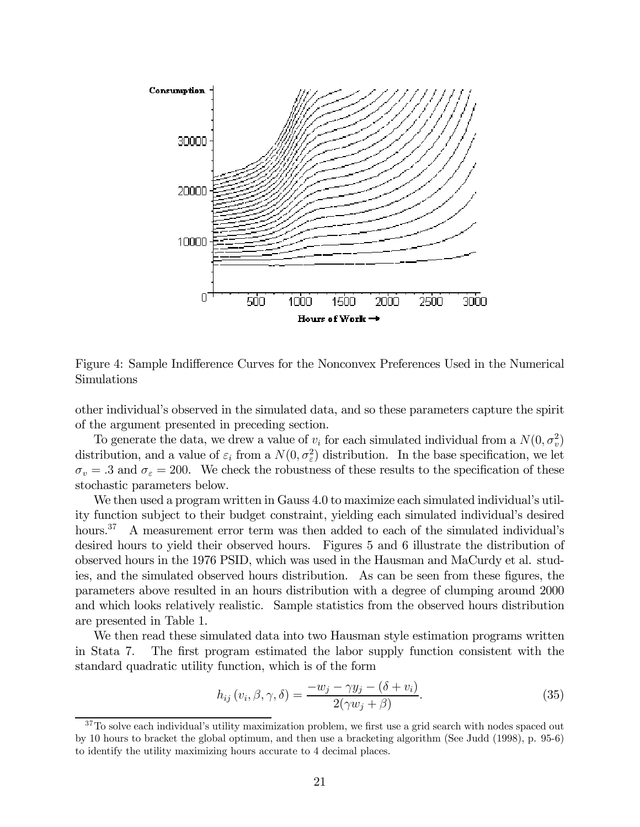

Figure 4: Sample Indifference Curves for the Nonconvex Preferences Used in the Numerical Simulations

other individual's observed in the simulated data, and so these parameters capture the spirit of the argument presented in preceding section.

To generate the data, we drew a value of  $v_i$  for each simulated individual from a  $N(0, \sigma_v^2)$ distribution, and a value of  $\varepsilon_i$  from a  $N(0, \sigma_{\varepsilon}^2)$  distribution. In the base specification, we let  $\sigma_v = .3$  and  $\sigma_{\varepsilon} = 200$ . We check the robustness of these results to the specification of these stochastic parameters below.

We then used a program written in Gauss 4.0 to maximize each simulated individual's utility function subject to their budget constraint, yielding each simulated individual's desired hours.<sup>37</sup> A measurement error term was then added to each of the simulated individual's desired hours to yield their observed hours. Figures 5 and 6 illustrate the distribution of observed hours in the 1976 PSID, which was used in the Hausman and MaCurdy et al. studies, and the simulated observed hours distribution. As can be seen from these figures, the parameters above resulted in an hours distribution with a degree of clumping around 2000 and which looks relatively realistic. Sample statistics from the observed hours distribution are presented in Table 1.

We then read these simulated data into two Hausman style estimation programs written in Stata 7. The first program estimated the labor supply function consistent with the standard quadratic utility function, which is of the form

$$
h_{ij}(v_i, \beta, \gamma, \delta) = \frac{-w_j - \gamma y_j - (\delta + v_i)}{2(\gamma w_j + \beta)}.
$$
\n(35)

 $37$ To solve each individual's utility maximization problem, we first use a grid search with nodes spaced out by 10 hours to bracket the global optimum, and then use a bracketing algorithm (See Judd (1998), p. 95-6) to identify the utility maximizing hours accurate to 4 decimal places.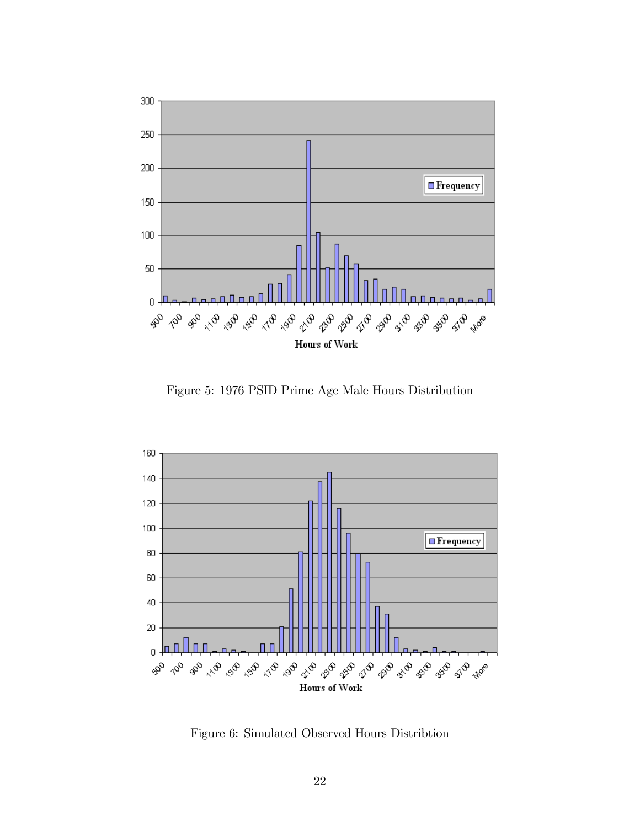

Figure 5: 1976 PSID Prime Age Male Hours Distribution



Figure 6: Simulated Observed Hours Distribtion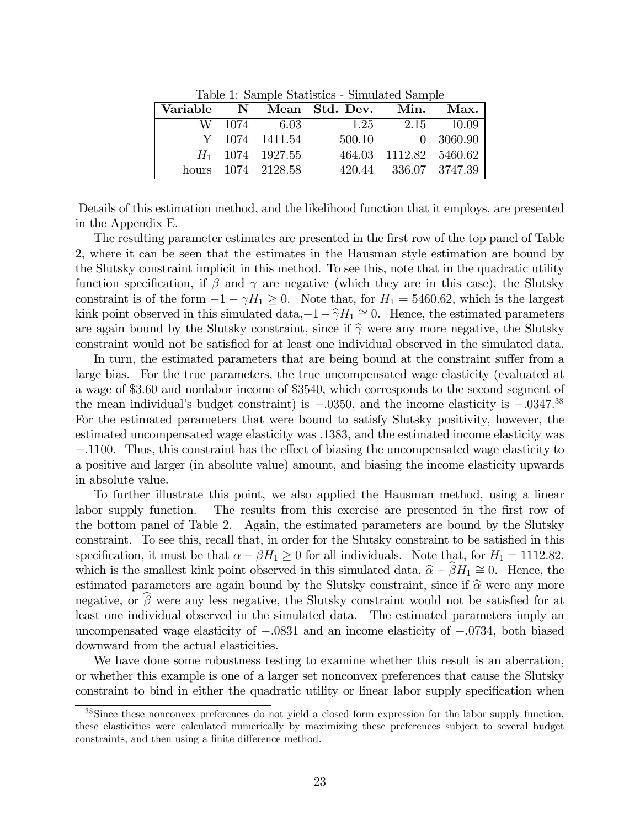Table 1: Sample Statistics - Simulated Sample

| Variable |                    | N Mean Std. Dev. | Min.                   | Max.       |
|----------|--------------------|------------------|------------------------|------------|
|          | W 1074 6.03        | 1.25             |                        | 2.15 10.09 |
|          | Y 1074 1411.54     |                  | 500.10 0 3060.90       |            |
|          | $H_1$ 1074 1927.55 |                  | 464.03 1112.82 5460.62 |            |
|          | hours 1074 2128.58 |                  | 420.44 336.07 3747.39  |            |

Details of this estimation method, and the likelihood function that it employs, are presented in the Appendix E.

The resulting parameter estimates are presented in the first row of the top panel of Table 2, where it can be seen that the estimates in the Hausman style estimation are bound by the Slutsky constraint implicit in this method. To see this, note that in the quadratic utility function specification, if  $\beta$  and  $\gamma$  are negative (which they are in this case), the Slutsky constraint is of the form  $-1 - \gamma H_1 \geq 0$ . Note that, for  $H_1 = 5460.62$ , which is the largest kink point observed in this simulated data,−1− $\hat{\gamma}H_1 \cong 0$ . Hence, the estimated parameters are again bound by the Slutsky constraint, since if  $\hat{\gamma}$  were any more negative, the Slutsky constraint would not be satisfied for at least one individual observed in the simulated data.

In turn, the estimated parameters that are being bound at the constraint suffer from a large bias. For the true parameters, the true uncompensated wage elasticity (evaluated at a wage of \$3.60 and nonlabor income of \$3540, which corresponds to the second segment of the mean individual's budget constraint) is  $-.0350$ , and the income elasticity is  $-.0347^{38}$ For the estimated parameters that were bound to satisfy Slutsky positivity, however, the estimated uncompensated wage elasticity was .1383, and the estimated income elasticity was −.1100. Thus, this constraint has the effect of biasing the uncompensated wage elasticity to a positive and larger (in absolute value) amount, and biasing the income elasticity upwards in absolute value.

To further illustrate this point, we also applied the Hausman method, using a linear labor supply function. The results from this exercise are presented in the first row of the bottom panel of Table 2. Again, the estimated parameters are bound by the Slutsky constraint. To see this, recall that, in order for the Slutsky constraint to be satisfied in this specification, it must be that  $\alpha - \beta H_1 \geq 0$  for all individuals. Note that, for  $H_1 = 1112.82$ , which is the smallest kink point observed in this simulated data,  $\hat{\alpha} - \hat{\beta}H_1 \cong 0$ . Hence, the estimated parameters are again bound by the Slutsky constraint, since if  $\hat{\alpha}$  were any more negative, or  $\beta$  were any less negative, the Slutsky constraint would not be satisfied for at least one individual observed in the simulated data. The estimated parameters imply an uncompensated wage elasticity of −.0831 and an income elasticity of −.0734, both biased downward from the actual elasticities.

We have done some robustness testing to examine whether this result is an aberration, or whether this example is one of a larger set nonconvex preferences that cause the Slutsky constraint to bind in either the quadratic utility or linear labor supply specification when

<sup>&</sup>lt;sup>38</sup>Since these nonconvex preferences do not yield a closed form expression for the labor supply function, these elasticities were calculated numerically by maximizing these preferences subject to several budget constraints, and then using a finite difference method.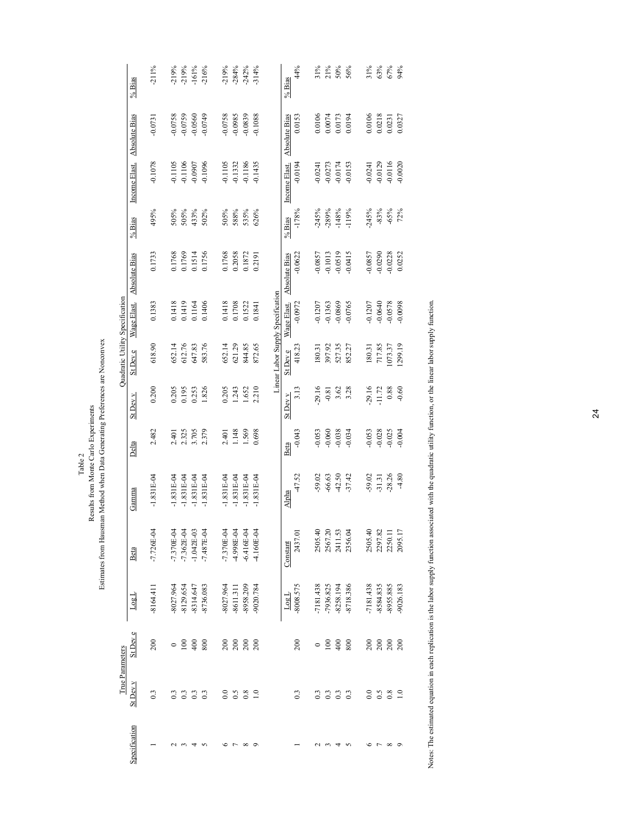|                                                                                                                                 |                                 | % Bias        | $-211%$        | $-219%$      | $-219%$        | $-161%$          | $-216%$      | $-219%$      | $-284%$        | $-242%$          | $-314%$          |                                   | % Bias        | 44%              | 31%         | 21%              | 50%       | 56%       | 31%       | 63%       | 67%              | 94%              |        |
|---------------------------------------------------------------------------------------------------------------------------------|---------------------------------|---------------|----------------|--------------|----------------|------------------|--------------|--------------|----------------|------------------|------------------|-----------------------------------|---------------|------------------|-------------|------------------|-----------|-----------|-----------|-----------|------------------|------------------|--------|
|                                                                                                                                 |                                 | Absolute Bias | $-0.0731$      | $-0.0758$    | $-0.0759$      | $-0.0560$        | $-0.0749$    | $-0.0758$    | $-0.0985$      | $-0.0839$        | $-0.1088$        |                                   | Absolute Bias | 0.0153           | 0.0106      | 0.0074           | 0.0173    | 0.0194    | 0.0106    | 0.0218    | 0.0231           | 0.0327           |        |
|                                                                                                                                 |                                 | Income Elast. | $-0.1078$      | $-0.1105$    | $-0.1106$      | -0.0907          | $-0.1096$    | $-0.1105$    | $-0.1332$      | $-0.1186$        | $-0.1435$        |                                   | Income Elast  | $-0.0194$        | $-0.0241$   | $-0.0273$        | $-0.0174$ | $-0.0153$ | $-0.0241$ | $-0.0129$ | $-0.0116$        | $-0.0020$        |        |
|                                                                                                                                 |                                 | $\%$ Bias     | 495%           | 505%         | 505%           | 433%             | 502%         | 505%         | 588%           | 535%             | 626%             |                                   | % Bias        | $-178%$          | $-245%$     | $-289%$          | $-148%$   | $-119%$   | $-245%$   | $-83%$    | $-65%$           | 72%              |        |
|                                                                                                                                 |                                 |               | Absolute Bias  | 0.1733       | 0.1768         | 0.1769           | 0.1514       | 0.1756       | 0.1768         | 0.2058           | 0.1872           | 0.2191                            |               | Absolute Bias    | $-0.0622$   | $-0.0857$        | $-0.1013$ | $-0.0519$ | $-0.0415$ | $-0.0857$ | $-0.0290$        | $-0.0228$        | 0.0252 |
|                                                                                                                                 |                                 | Wage Elast.   | 0.1383         | 0.1418       | 0.1419         | 0.1164           | 0.1406       | 0.1418       | 0.1708         | 0.1522           | 0.1841           | Linear Labor Supply Specification | Wage Elast.   | $-0.0972$        | $-0.1207$   | $-0.1363$        | $-0.0869$ | $-0.0765$ | $-0.1207$ | $-0.0640$ | $-0.0578$        | $-0.0098$        |        |
|                                                                                                                                 | Quadratic Utility Specification | St Dev e      | 618.90         | 652.14       | 612.76         | 647.83           | 583.76       | 652.14       | 621.29         | 844.85           | 872.65           |                                   | St Dev e      | 418.23           | 180.31      | 397.92           | 527.35    | 852.27    | 180.31    | 717.85    | 1073.37          | 1299.19          |        |
|                                                                                                                                 |                                 | St Dev v      | 0.200          | 0.205        | 0.195          | 0.253            | 1.826        | 0.205        | 1.243          | 1.652            | 2.210            |                                   | St Dev v      | 3.13             | 29.16       | $-0.81$          | 3.62      | 3.28      | 29.16     | 11.72     | 0.88             | $-0.60$          |        |
|                                                                                                                                 |                                 | Delta         | 2.482          | 2.401        | 2.325          | 3.705            | 2.379        | 2.401        | 1.148          | 1.569            | 0.698            |                                   | Beta          | $-0.043$         | $-0.053$    | $-0.060$         | $-0.038$  | $-0.034$  | $-0.053$  | $-0.028$  | $-0.025$         | $-0.004$         |        |
| Estimates from Hausman Method when Data Generating Preferences are Nonconvex<br>Results from Monte Carlo Experiments<br>Table 2 |                                 | Gamma         | $-1.831E-04$   | $-1.831E-04$ | $-1.831E-04$   | $-1.831E-04$     | $-1.831E-04$ | $-1.831E-04$ | $-1.831E-04$   | $-1.831E-04$     | $-1.831E-04$     |                                   | Alpha         | $-47.52$         | $-59.02$    | $-66.63$         | $-42.50$  | $-37.42$  | $-59.02$  | $-31.31$  | $-28.26$         | $-4.80$          |        |
|                                                                                                                                 |                                 | Beta          | $-7.726E - 04$ | $-7.370E-04$ | $-7.362E - 04$ | $-1.042E-03$     | $-7.487E-04$ | $-7.370E-04$ | 4.998E-04      | $-6.416E - 04$   | 4.160E-04        |                                   | Constant      | 2437.01          | 2505.40     | 2567.20          | 2411.53   | 2356.04   | 2505.40   | 2297.82   | 2250.11          | 2095.17          |        |
|                                                                                                                                 |                                 | LogL          | $-8164.411$    | $-8027.964$  | 8129.654       | 8314.647         | -8736.083    | 8027.964     | -8611.311      | -8958.209        | $-9020.784$      |                                   | LogL          | $-8008.575$      | $-7181.438$ | -7936.825        | 8258.194  | -8718.386 | -7181.438 | 8584.835  | 8955.885         | $-9026.183$      |        |
|                                                                                                                                 |                                 | St Dev e      | 200            | $\circ$      | 100            | 400              | 800          | 200          | 200            | 200              | 200              |                                   |               | 200              | $\circ$     | $\overline{100}$ | 400       | 800       | 200       | 200       | 200              | 200              |        |
|                                                                                                                                 | True Parameters                 | St Dev v      | 0.3            | 0.3          | 0.3            | $0.\overline{3}$ | 0.3          | 0.0          | $\sim$         | $0.\overline{8}$ | $\overline{1.0}$ |                                   |               | $0.\overline{3}$ | 0.3         | 0.3              | 0.3       | 0.3       | 0.0       | 6.5       | $0.\overline{8}$ | $\overline{1.0}$ |        |
|                                                                                                                                 |                                 | Specification |                | $\sim$       | $\epsilon$     | 4                | $\sim$       | $\circ$      | $\overline{ }$ | ${}^{\circ}$     | $\circ$          |                                   |               |                  |             | $\sim$           | 4         | $\sim$    | ৩         |           | $\sim$ $\infty$  |                  |        |

Notes: The estimated equation in each replication is the labor supply function associated with the quadratic utility function, or the linear labor supply function. Notes: The estimated equation in each replication is the labor supply function associated with the quadratic utility function, or the linear labor supply function.

24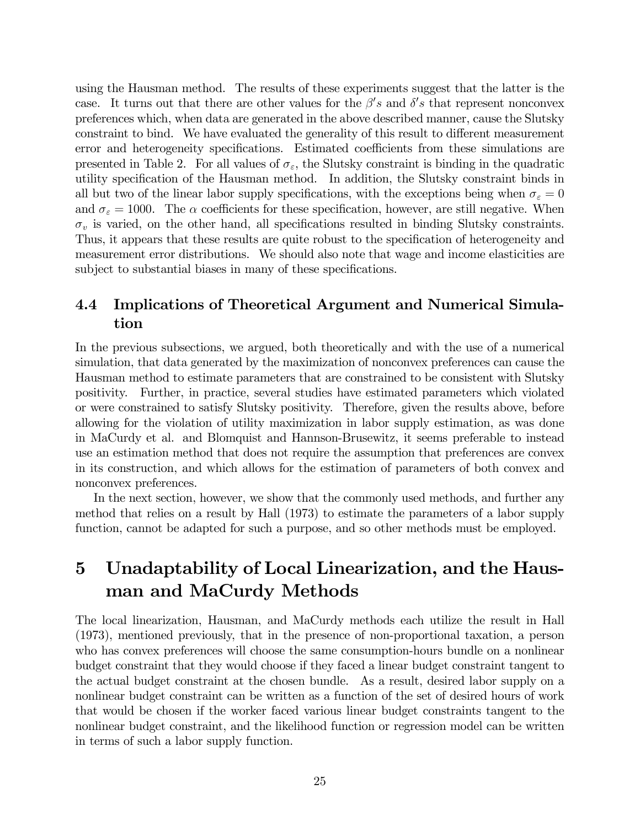using the Hausman method. The results of these experiments suggest that the latter is the case. It turns out that there are other values for the  $\beta's$  and  $\delta's$  that represent nonconvex preferences which, when data are generated in the above described manner, cause the Slutsky constraint to bind. We have evaluated the generality of this result to different measurement error and heterogeneity specifications. Estimated coefficients from these simulations are presented in Table 2. For all values of  $\sigma_{\varepsilon}$ , the Slutsky constraint is binding in the quadratic utility specification of the Hausman method. In addition, the Slutsky constraint binds in all but two of the linear labor supply specifications, with the exceptions being when  $\sigma_{\varepsilon} = 0$ and  $\sigma_{\varepsilon} = 1000$ . The  $\alpha$  coefficients for these specification, however, are still negative. When  $\sigma_v$  is varied, on the other hand, all specifications resulted in binding Slutsky constraints. Thus, it appears that these results are quite robust to the specification of heterogeneity and measurement error distributions. We should also note that wage and income elasticities are subject to substantial biases in many of these specifications.

## 4.4 Implications of Theoretical Argument and Numerical Simulation

In the previous subsections, we argued, both theoretically and with the use of a numerical simulation, that data generated by the maximization of nonconvex preferences can cause the Hausman method to estimate parameters that are constrained to be consistent with Slutsky positivity. Further, in practice, several studies have estimated parameters which violated or were constrained to satisfy Slutsky positivity. Therefore, given the results above, before allowing for the violation of utility maximization in labor supply estimation, as was done in MaCurdy et al. and Blomquist and Hannson-Brusewitz, it seems preferable to instead use an estimation method that does not require the assumption that preferences are convex in its construction, and which allows for the estimation of parameters of both convex and nonconvex preferences.

In the next section, however, we show that the commonly used methods, and further any method that relies on a result by Hall (1973) to estimate the parameters of a labor supply function, cannot be adapted for such a purpose, and so other methods must be employed.

# 5 Unadaptability of Local Linearization, and the Hausman and MaCurdy Methods

The local linearization, Hausman, and MaCurdy methods each utilize the result in Hall (1973), mentioned previously, that in the presence of non-proportional taxation, a person who has convex preferences will choose the same consumption-hours bundle on a nonlinear budget constraint that they would choose if they faced a linear budget constraint tangent to the actual budget constraint at the chosen bundle. As a result, desired labor supply on a nonlinear budget constraint can be written as a function of the set of desired hours of work that would be chosen if the worker faced various linear budget constraints tangent to the nonlinear budget constraint, and the likelihood function or regression model can be written in terms of such a labor supply function.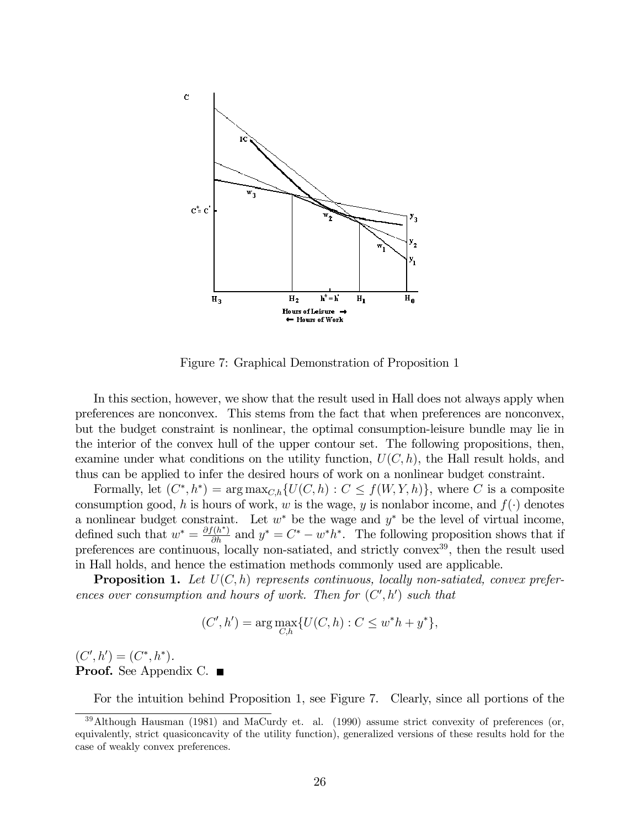

Figure 7: Graphical Demonstration of Proposition 1

In this section, however, we show that the result used in Hall does not always apply when preferences are nonconvex. This stems from the fact that when preferences are nonconvex, but the budget constraint is nonlinear, the optimal consumption-leisure bundle may lie in the interior of the convex hull of the upper contour set. The following propositions, then, examine under what conditions on the utility function,  $U(C, h)$ , the Hall result holds, and thus can be applied to infer the desired hours of work on a nonlinear budget constraint.

Formally, let  $(C^*, h^*) = \arg \max_{C,h} \{U(C, h) : C \leq f(W, Y, h)\}$ , where C is a composite consumption good, h is hours of work, w is the wage, y is nonlabor income, and  $f(\cdot)$  denotes a nonlinear budget constraint. Let  $w^*$  be the wage and  $y^*$  be the level of virtual income, defined such that  $w^* = \frac{\partial f(h^*)}{\partial h}$  and  $y^* = C^* - w^* h^*$ . The following proposition shows that if preferences are continuous, locally non-satiated, and strictly convex<sup>39</sup>, then the result used in Hall holds, and hence the estimation methods commonly used are applicable.

**Proposition 1.** Let  $U(C, h)$  represents continuous, locally non-satiated, convex preferences over consumption and hours of work. Then for  $(C', h')$  such that

$$
(C', h') = \arg \max_{C, h} \{ U(C, h) : C \le w^* h + y^* \},
$$

 $(C', h') = (C^*, h^*).$ **Proof.** See Appendix C. ■

For the intuition behind Proposition 1, see Figure 7. Clearly, since all portions of the

<sup>&</sup>lt;sup>39</sup>Although Hausman (1981) and MaCurdy et. al. (1990) assume strict convexity of preferences (or, equivalently, strict quasiconcavity of the utility function), generalized versions of these results hold for the case of weakly convex preferences.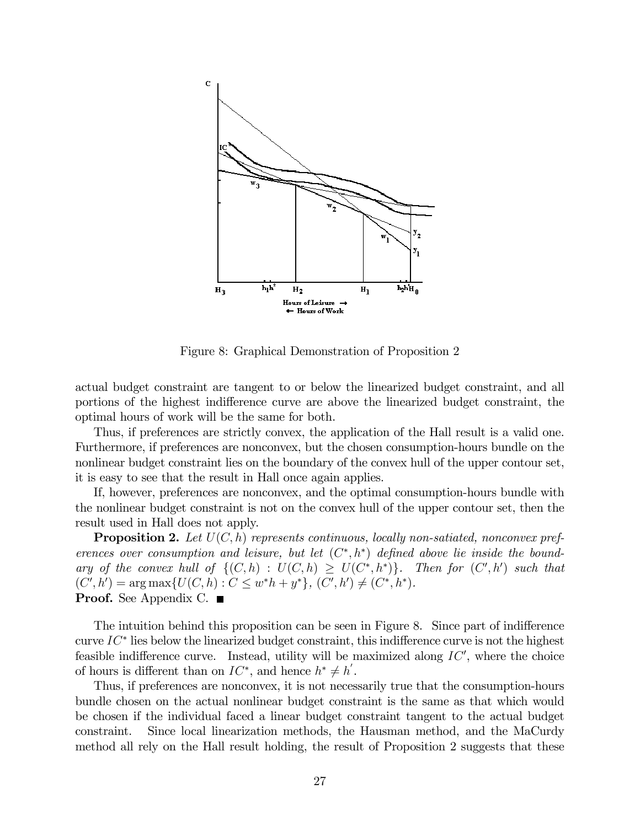

Figure 8: Graphical Demonstration of Proposition 2

actual budget constraint are tangent to or below the linearized budget constraint, and all portions of the highest indifference curve are above the linearized budget constraint, the optimal hours of work will be the same for both.

Thus, if preferences are strictly convex, the application of the Hall result is a valid one. Furthermore, if preferences are nonconvex, but the chosen consumption-hours bundle on the nonlinear budget constraint lies on the boundary of the convex hull of the upper contour set, it is easy to see that the result in Hall once again applies.

If, however, preferences are nonconvex, and the optimal consumption-hours bundle with the nonlinear budget constraint is not on the convex hull of the upper contour set, then the result used in Hall does not apply.

**Proposition 2.** Let  $U(C, h)$  represents continuous, locally non-satiated, nonconvex preferences over consumption and leisure, but let  $(C^*, h^*)$  defined above lie inside the boundary of the convex hull of  $\{(C, h) : U(C, h) \geq U(C^*, h^*)\}$ . Then for  $(C', h')$  such that  $(C', h') = \arg \max \{U(C, h) : C \leq w^*h + y^*\}, (C', h') \neq (C^*, h^*)$ . **Proof.** See Appendix C.  $\blacksquare$ 

The intuition behind this proposition can be seen in Figure 8. Since part of indifference curve  $IC^*$  lies below the linearized budget constraint, this indifference curve is not the highest feasible indifference curve. Instead, utility will be maximized along  $IC'$ , where the choice of hours is different than on  $IC^*$ , and hence  $h^* \neq h'$ .

Thus, if preferences are nonconvex, it is not necessarily true that the consumption-hours bundle chosen on the actual nonlinear budget constraint is the same as that which would be chosen if the individual faced a linear budget constraint tangent to the actual budget constraint. Since local linearization methods, the Hausman method, and the MaCurdy method all rely on the Hall result holding, the result of Proposition 2 suggests that these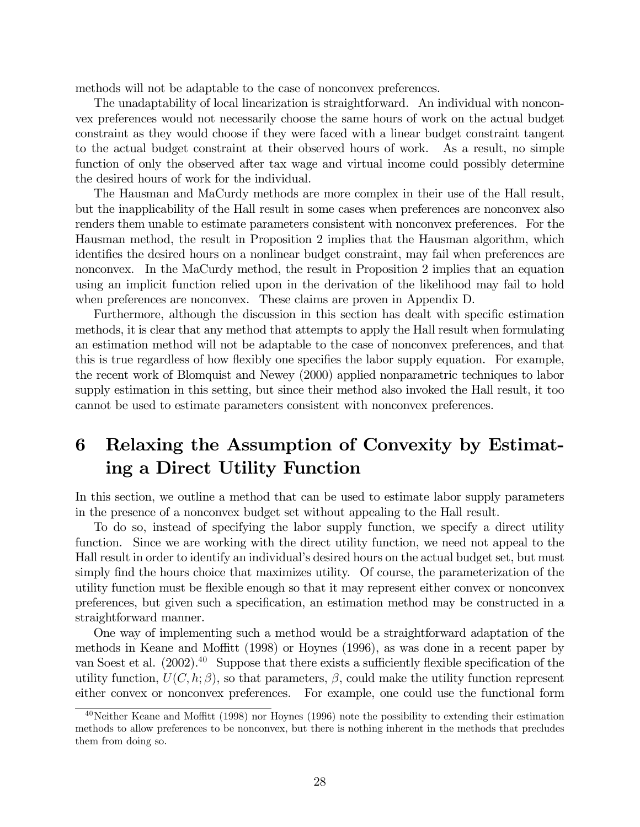methods will not be adaptable to the case of nonconvex preferences.

The unadaptability of local linearization is straightforward. An individual with nonconvex preferences would not necessarily choose the same hours of work on the actual budget constraint as they would choose if they were faced with a linear budget constraint tangent to the actual budget constraint at their observed hours of work. As a result, no simple function of only the observed after tax wage and virtual income could possibly determine the desired hours of work for the individual.

The Hausman and MaCurdy methods are more complex in their use of the Hall result, but the inapplicability of the Hall result in some cases when preferences are nonconvex also renders them unable to estimate parameters consistent with nonconvex preferences. For the Hausman method, the result in Proposition 2 implies that the Hausman algorithm, which identifies the desired hours on a nonlinear budget constraint, may fail when preferences are nonconvex. In the MaCurdy method, the result in Proposition 2 implies that an equation using an implicit function relied upon in the derivation of the likelihood may fail to hold when preferences are nonconvex. These claims are proven in Appendix D.

Furthermore, although the discussion in this section has dealt with specific estimation methods, it is clear that any method that attempts to apply the Hall result when formulating an estimation method will not be adaptable to the case of nonconvex preferences, and that this is true regardless of how flexibly one specifies the labor supply equation. For example, the recent work of Blomquist and Newey (2000) applied nonparametric techniques to labor supply estimation in this setting, but since their method also invoked the Hall result, it too cannot be used to estimate parameters consistent with nonconvex preferences.

# 6 Relaxing the Assumption of Convexity by Estimating a Direct Utility Function

In this section, we outline a method that can be used to estimate labor supply parameters in the presence of a nonconvex budget set without appealing to the Hall result.

To do so, instead of specifying the labor supply function, we specify a direct utility function. Since we are working with the direct utility function, we need not appeal to the Hall result in order to identify an individual's desired hours on the actual budget set, but must simply find the hours choice that maximizes utility. Of course, the parameterization of the utility function must be flexible enough so that it may represent either convex or nonconvex preferences, but given such a specification, an estimation method may be constructed in a straightforward manner.

One way of implementing such a method would be a straightforward adaptation of the methods in Keane and Moffitt (1998) or Hoynes (1996), as was done in a recent paper by van Soest et al.  $(2002)$ <sup>40</sup> Suppose that there exists a sufficiently flexible specification of the utility function,  $U(C, h; \beta)$ , so that parameters,  $\beta$ , could make the utility function represent either convex or nonconvex preferences. For example, one could use the functional form

 $^{40}$ Neither Keane and Moffitt (1998) nor Hoynes (1996) note the possibility to extending their estimation methods to allow preferences to be nonconvex, but there is nothing inherent in the methods that precludes them from doing so.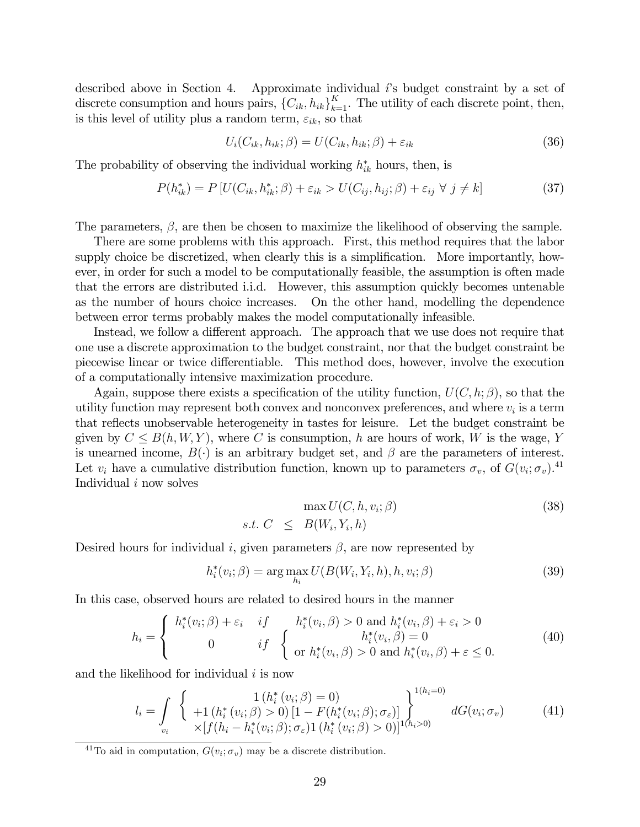described above in Section 4. Approximate individual  $i$ 's budget constraint by a set of discrete consumption and hours pairs,  ${C_{ik}, h_{ik}}_{k=1}^K$ . The utility of each discrete point, then, is this level of utility plus a random term,  $\varepsilon_{ik}$ , so that

$$
U_i(C_{ik}, h_{ik}; \beta) = U(C_{ik}, h_{ik}; \beta) + \varepsilon_{ik}
$$
\n(36)

The probability of observing the individual working  $h_{ik}^*$  hours, then, is

$$
P(h_{ik}^*) = P\left[U(C_{ik}, h_{ik}^*; \beta) + \varepsilon_{ik} > U(C_{ij}, h_{ij}; \beta) + \varepsilon_{ij} \ \forall \ j \neq k\right]
$$
\n
$$
\tag{37}
$$

The parameters,  $\beta$ , are then be chosen to maximize the likelihood of observing the sample.

There are some problems with this approach. First, this method requires that the labor supply choice be discretized, when clearly this is a simplification. More importantly, however, in order for such a model to be computationally feasible, the assumption is often made that the errors are distributed i.i.d. However, this assumption quickly becomes untenable as the number of hours choice increases. On the other hand, modelling the dependence between error terms probably makes the model computationally infeasible.

Instead, we follow a different approach. The approach that we use does not require that one use a discrete approximation to the budget constraint, nor that the budget constraint be piecewise linear or twice differentiable. This method does, however, involve the execution of a computationally intensive maximization procedure.

Again, suppose there exists a specification of the utility function,  $U(C, h; \beta)$ , so that the utility function may represent both convex and nonconvex preferences, and where  $v_i$  is a term that reflects unobservable heterogeneity in tastes for leisure. Let the budget constraint be given by  $C \leq B(h, W, Y)$ , where C is consumption, h are hours of work, W is the wage, Y is unearned income,  $B(\cdot)$  is an arbitrary budget set, and  $\beta$  are the parameters of interest. Let  $v_i$  have a cumulative distribution function, known up to parameters  $\sigma_v$ , of  $G(v_i; \sigma_v)$ .<sup>41</sup> Individual i now solves

$$
\max U(C, h, v_i; \beta) \tag{38}
$$
  
s.t.  $C \leq B(W_i, Y_i, h)$ 

Desired hours for individual i, given parameters  $\beta$ , are now represented by

$$
h_i^*(v_i; \beta) = \arg \max_{h_i} U(B(W_i, Y_i, h), h, v_i; \beta)
$$
\n(39)

In this case, observed hours are related to desired hours in the manner

$$
h_i = \begin{cases} h_i^*(v_i; \beta) + \varepsilon_i & \text{if } h_i^*(v_i, \beta) > 0 \text{ and } h_i^*(v_i, \beta) + \varepsilon_i > 0\\ 0 & \text{if } \begin{cases} h_i^*(v_i, \beta) = 0\\ \text{or } h_i^*(v_i, \beta) > 0 \text{ and } h_i^*(v_i, \beta) + \varepsilon \le 0. \end{cases} \end{cases}
$$
(40)

and the likelihood for individual  $i$  is now

$$
l_i = \int_{v_i} \left\{ \begin{array}{l} 1\left(h_i^*(v_i; \beta) = 0\right) \\ +1\left(h_i^*(v_i; \beta) > 0\right) [1 - F(h_i^*(v_i; \beta); \sigma_{\varepsilon})] \\ \times [f(h_i - h_i^*(v_i; \beta); \sigma_{\varepsilon}) 1\left(h_i^*(v_i; \beta) > 0\right)]^{1(h_i > 0)} \end{array} \right. dG(v_i; \sigma_v) \tag{41}
$$

<sup>41</sup>To aid in computation,  $G(v_i; \sigma_v)$  may be a discrete distribution.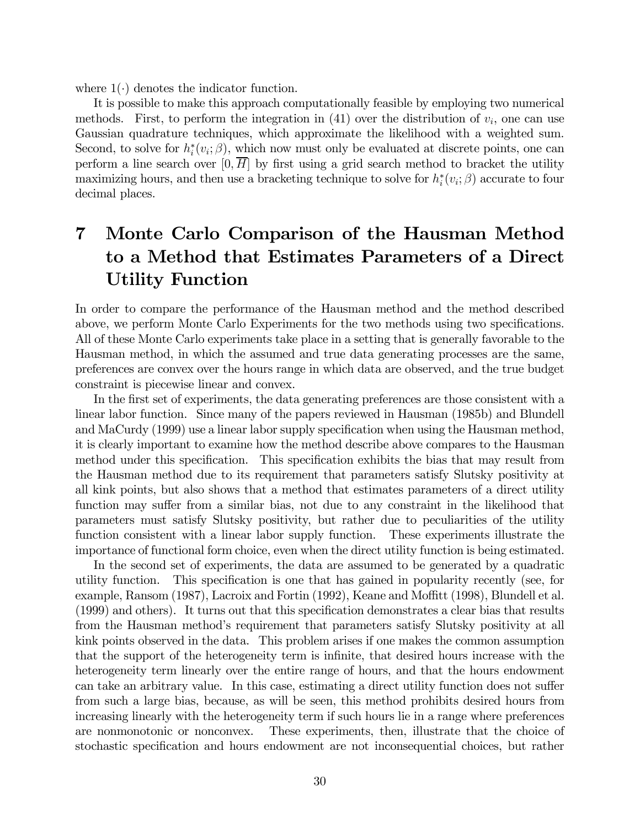where  $1(\cdot)$  denotes the indicator function.

It is possible to make this approach computationally feasible by employing two numerical methods. First, to perform the integration in  $(41)$  over the distribution of  $v_i$ , one can use Gaussian quadrature techniques, which approximate the likelihood with a weighted sum. Second, to solve for  $h_i^*(v_i; \beta)$ , which now must only be evaluated at discrete points, one can perform a line search over  $[0, H]$  by first using a grid search method to bracket the utility maximizing hours, and then use a bracketing technique to solve for  $h_i^*(v_i; \beta)$  accurate to four decimal places.

# 7 Monte Carlo Comparison of the Hausman Method to a Method that Estimates Parameters of a Direct Utility Function

In order to compare the performance of the Hausman method and the method described above, we perform Monte Carlo Experiments for the two methods using two specifications. All of these Monte Carlo experiments take place in a setting that is generally favorable to the Hausman method, in which the assumed and true data generating processes are the same, preferences are convex over the hours range in which data are observed, and the true budget constraint is piecewise linear and convex.

In the first set of experiments, the data generating preferences are those consistent with a linear labor function. Since many of the papers reviewed in Hausman (1985b) and Blundell and MaCurdy (1999) use a linear labor supply specification when using the Hausman method, it is clearly important to examine how the method describe above compares to the Hausman method under this specification. This specification exhibits the bias that may result from the Hausman method due to its requirement that parameters satisfy Slutsky positivity at all kink points, but also shows that a method that estimates parameters of a direct utility function may suffer from a similar bias, not due to any constraint in the likelihood that parameters must satisfy Slutsky positivity, but rather due to peculiarities of the utility function consistent with a linear labor supply function. These experiments illustrate the importance of functional form choice, even when the direct utility function is being estimated.

In the second set of experiments, the data are assumed to be generated by a quadratic utility function. This specification is one that has gained in popularity recently (see, for example, Ransom (1987), Lacroix and Fortin (1992), Keane and Moffitt (1998), Blundell et al. (1999) and others). It turns out that this specification demonstrates a clear bias that results from the Hausman method's requirement that parameters satisfy Slutsky positivity at all kink points observed in the data. This problem arises if one makes the common assumption that the support of the heterogeneity term is infinite, that desired hours increase with the heterogeneity term linearly over the entire range of hours, and that the hours endowment can take an arbitrary value. In this case, estimating a direct utility function does not suffer from such a large bias, because, as will be seen, this method prohibits desired hours from increasing linearly with the heterogeneity term if such hours lie in a range where preferences are nonmonotonic or nonconvex. These experiments, then, illustrate that the choice of stochastic specification and hours endowment are not inconsequential choices, but rather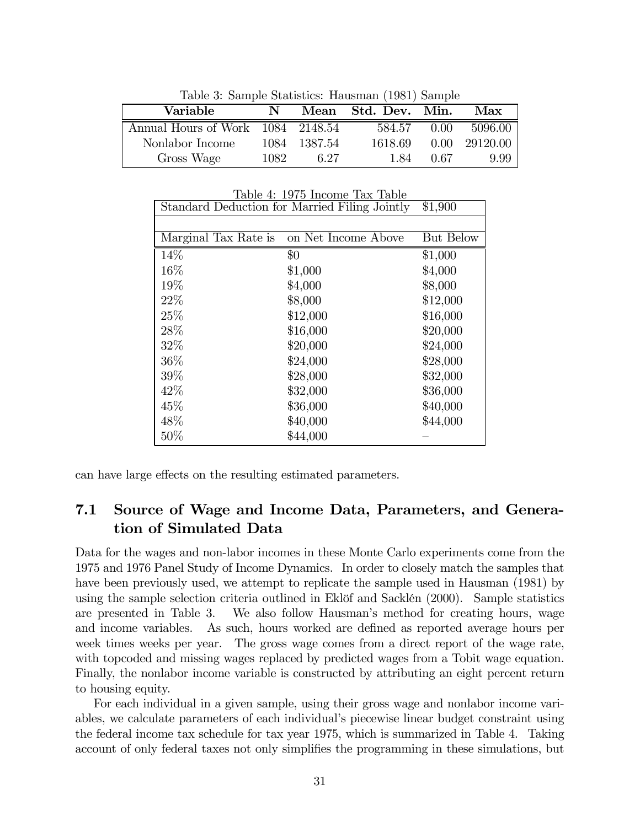| Table 5: Sample Statistics: Hausman (1901) Sample |       |              |                     |                |          |  |  |  |  |  |  |
|---------------------------------------------------|-------|--------------|---------------------|----------------|----------|--|--|--|--|--|--|
| Variable                                          | N     |              | Mean Std. Dev. Min. |                | Max      |  |  |  |  |  |  |
| Annual Hours of Work 1084 2148.54                 |       |              | 584.57              | 0.00           | 5096.00  |  |  |  |  |  |  |
| Nonlabor Income                                   |       | 1084 1387.54 | 1618.69             | $0.00^{\circ}$ | 29120.00 |  |  |  |  |  |  |
| Gross Wage                                        | 1082. | 6.27         | 184                 | 0.67           | 9.99     |  |  |  |  |  |  |

Table 3: Sample Statistics: Hausman (1981) Sample

|                      | rapie 4: 1970 income fax fapie                |           |
|----------------------|-----------------------------------------------|-----------|
|                      | Standard Deduction for Married Filing Jointly | \$1,900   |
|                      |                                               |           |
| Marginal Tax Rate is | on Net Income Above                           | But Below |
| 14%                  | \$0                                           | \$1,000   |
| 16%                  | \$1,000                                       | \$4,000   |
| 19%                  | \$4,000                                       | \$8,000   |
| 22\%                 | \$8,000                                       | \$12,000  |
| 25\%                 | \$12,000                                      | \$16,000  |
| 28\%                 | \$16,000                                      | \$20,000  |
| 32%                  | \$20,000                                      | \$24,000  |
| 36\%                 | \$24,000                                      | \$28,000  |
| 39%                  | \$28,000                                      | \$32,000  |
| 42\%                 | \$32,000                                      | \$36,000  |
| 45\%                 | \$36,000                                      | \$40,000  |
| 48\%                 | \$40,000                                      | \$44,000  |
| 50%                  | \$44,000                                      |           |

Table 4: 1975 Income Tax Table

can have large effects on the resulting estimated parameters.

### 7.1 Source of Wage and Income Data, Parameters, and Generation of Simulated Data

Data for the wages and non-labor incomes in these Monte Carlo experiments come from the 1975 and 1976 Panel Study of Income Dynamics. In order to closely match the samples that have been previously used, we attempt to replicate the sample used in Hausman (1981) by using the sample selection criteria outlined in Eklöf and Sacklén (2000). Sample statistics are presented in Table 3. We also follow Hausman's method for creating hours, wage and income variables. As such, hours worked are defined as reported average hours per week times weeks per year. The gross wage comes from a direct report of the wage rate, with topcoded and missing wages replaced by predicted wages from a Tobit wage equation. Finally, the nonlabor income variable is constructed by attributing an eight percent return to housing equity.

For each individual in a given sample, using their gross wage and nonlabor income variables, we calculate parameters of each individual's piecewise linear budget constraint using the federal income tax schedule for tax year 1975, which is summarized in Table 4. Taking account of only federal taxes not only simplifies the programming in these simulations, but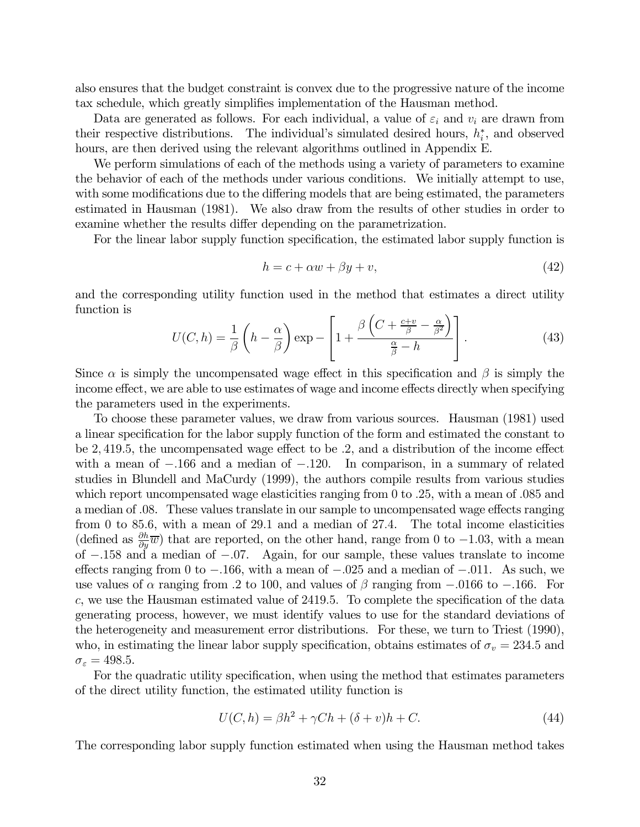also ensures that the budget constraint is convex due to the progressive nature of the income tax schedule, which greatly simplifies implementation of the Hausman method.

Data are generated as follows. For each individual, a value of  $\varepsilon_i$  and  $v_i$  are drawn from their respective distributions. The individual's simulated desired hours,  $h_i^*$ , and observed hours, are then derived using the relevant algorithms outlined in Appendix E.

We perform simulations of each of the methods using a variety of parameters to examine the behavior of each of the methods under various conditions. We initially attempt to use, with some modifications due to the differing models that are being estimated, the parameters estimated in Hausman (1981). We also draw from the results of other studies in order to examine whether the results differ depending on the parametrization.

For the linear labor supply function specification, the estimated labor supply function is

$$
h = c + \alpha w + \beta y + v,\tag{42}
$$

and the corresponding utility function used in the method that estimates a direct utility function is

$$
U(C,h) = \frac{1}{\beta} \left( h - \frac{\alpha}{\beta} \right) \exp \left[ 1 + \frac{\beta \left( C + \frac{c+v}{\beta} - \frac{\alpha}{\beta^2} \right)}{\frac{\alpha}{\beta} - h} \right].
$$
 (43)

Since  $\alpha$  is simply the uncompensated wage effect in this specification and  $\beta$  is simply the income effect, we are able to use estimates of wage and income effects directly when specifying the parameters used in the experiments.

To choose these parameter values, we draw from various sources. Hausman (1981) used a linear specification for the labor supply function of the form and estimated the constant to be 2, 419.5, the uncompensated wage effect to be .2, and a distribution of the income effect with a mean of  $-.166$  and a median of  $-.120$ . In comparison, in a summary of related studies in Blundell and MaCurdy (1999), the authors compile results from various studies which report uncompensated wage elasticities ranging from 0 to .25, with a mean of .085 and a median of .08. These values translate in our sample to uncompensated wage effects ranging from 0 to 85.6, with a mean of 29.1 and a median of 27.4. The total income elasticities (defined as  $\frac{\partial h}{\partial y}(\overline{w})$ ) that are reported, on the other hand, range from 0 to -1.03, with a mean of −.158 and a median of −.07. Again, for our sample, these values translate to income effects ranging from 0 to  $-.166$ , with a mean of  $-.025$  and a median of  $-.011$ . As such, we use values of  $\alpha$  ranging from 0.2 to 100, and values of  $\beta$  ranging from  $-.0166$  to  $-.166$ . For c, we use the Hausman estimated value of 2419.5. To complete the specification of the data generating process, however, we must identify values to use for the standard deviations of the heterogeneity and measurement error distributions. For these, we turn to Triest (1990), who, in estimating the linear labor supply specification, obtains estimates of  $\sigma_v = 234.5$  and  $\sigma_{\varepsilon} = 498.5.$ 

For the quadratic utility specification, when using the method that estimates parameters of the direct utility function, the estimated utility function is

$$
U(C,h) = \beta h^2 + \gamma Ch + (\delta + v)h + C.
$$
\n(44)

The corresponding labor supply function estimated when using the Hausman method takes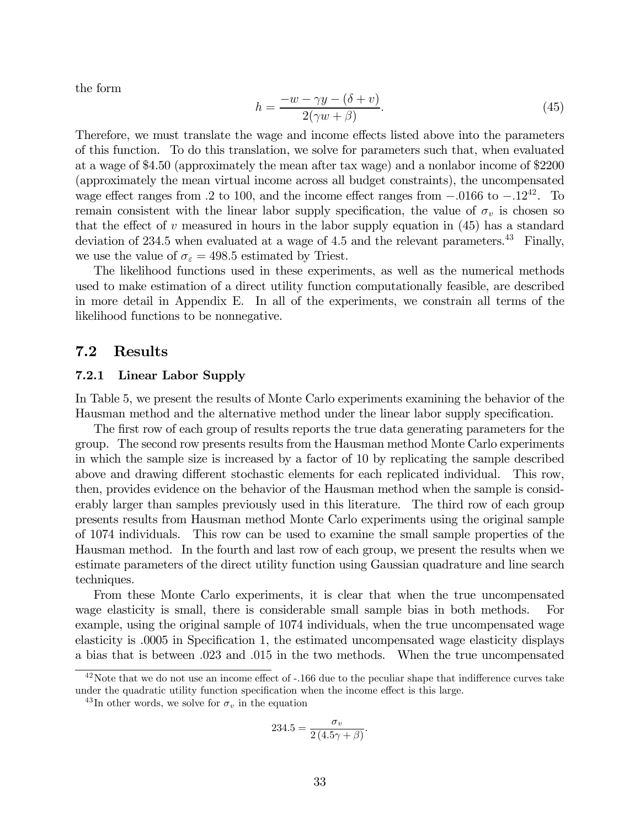the form

$$
h = \frac{-w - \gamma y - (\delta + v)}{2(\gamma w + \beta)}.
$$
\n(45)

Therefore, we must translate the wage and income effects listed above into the parameters of this function. To do this translation, we solve for parameters such that, when evaluated at a wage of \$4.50 (approximately the mean after tax wage) and a nonlabor income of \$2200 (approximately the mean virtual income across all budget constraints), the uncompensated wage effect ranges from .2 to 100, and the income effect ranges from  $-.0166$  to  $-.12^{42}$ . To remain consistent with the linear labor supply specification, the value of  $\sigma_v$  is chosen so that the effect of  $v$  measured in hours in the labor supply equation in  $(45)$  has a standard deviation of 234.5 when evaluated at a wage of 4.5 and the relevant parameters.<sup>43</sup> Finally, we use the value of  $\sigma_{\varepsilon} = 498.5$  estimated by Triest.

The likelihood functions used in these experiments, as well as the numerical methods used to make estimation of a direct utility function computationally feasible, are described in more detail in Appendix E. In all of the experiments, we constrain all terms of the likelihood functions to be nonnegative.

#### 7.2 Results

#### 7.2.1 Linear Labor Supply

In Table 5, we present the results of Monte Carlo experiments examining the behavior of the Hausman method and the alternative method under the linear labor supply specification.

The first row of each group of results reports the true data generating parameters for the group. The second row presents results from the Hausman method Monte Carlo experiments in which the sample size is increased by a factor of 10 by replicating the sample described above and drawing different stochastic elements for each replicated individual. This row, then, provides evidence on the behavior of the Hausman method when the sample is considerably larger than samples previously used in this literature. The third row of each group presents results from Hausman method Monte Carlo experiments using the original sample of 1074 individuals. This row can be used to examine the small sample properties of the Hausman method. In the fourth and last row of each group, we present the results when we estimate parameters of the direct utility function using Gaussian quadrature and line search techniques.

From these Monte Carlo experiments, it is clear that when the true uncompensated wage elasticity is small, there is considerable small sample bias in both methods. For example, using the original sample of 1074 individuals, when the true uncompensated wage elasticity is .0005 in Specification 1, the estimated uncompensated wage elasticity displays a bias that is between .023 and .015 in the two methods. When the true uncompensated

$$
234.5 = \frac{\sigma_v}{2(4.5\gamma + \beta)}.
$$

 $^{42}$ Note that we do not use an income effect of  $-166$  due to the peculiar shape that indifference curves take under the quadratic utility function specification when the income effect is this large.

<sup>&</sup>lt;sup>43</sup>In other words, we solve for  $\sigma_v$  in the equation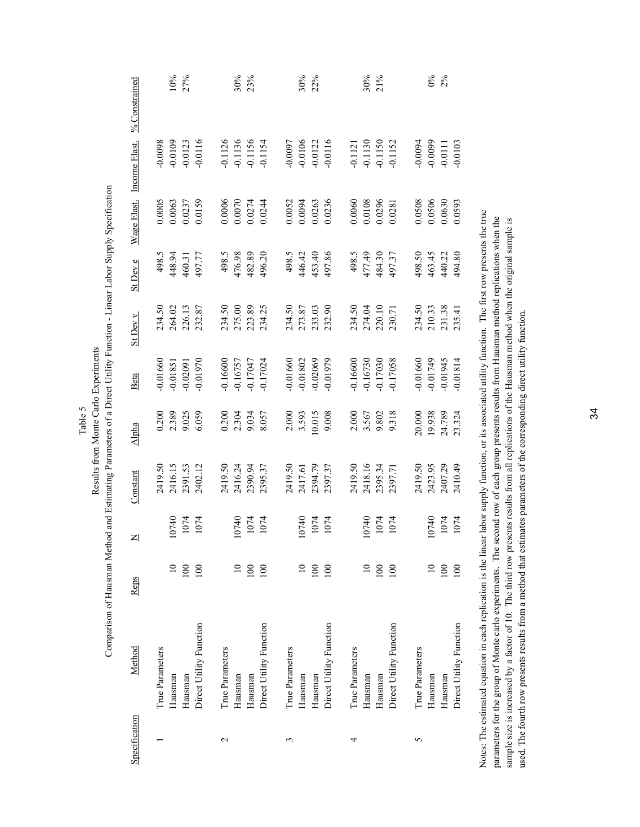| $%$ Constrained           | 10%<br>27%                                                          | 30%<br>23%                                                       | 30%<br>22%                                                       | 30%<br>21%                                                       | $\frac{8}{2}$ %                                                  |
|---------------------------|---------------------------------------------------------------------|------------------------------------------------------------------|------------------------------------------------------------------|------------------------------------------------------------------|------------------------------------------------------------------|
| Wage Elast. Income Elast. | $-0.0109$<br>$-0.0116$<br>0.0098<br>$-0.0123$                       | $-0.1126$<br>$-0.1136$<br>$-0.1156$<br>$-0.1154$                 | $-0.0106$<br>$-0.0122$<br>$-0.0097$<br>$-0.0116$                 | -0.1121<br>-0.1130<br>-0.1150<br>-0.1152                         | $-0.0094$<br>$-0.0103$<br>$-0.0111$                              |
|                           | 0.0159<br>$\begin{array}{c} 0.0005 \\ 0.0063 \\ 0.0237 \end{array}$ | 0.0006<br>0.0070<br>0.0274<br>0.0244                             | 0.0236<br>0.0052<br>0.0094<br>0.0263                             | 0.0108<br>0.0296<br>0.0060<br>0.0281                             | 0.0508<br>0.0506<br>0.0630<br>0.0593                             |
| St Dev e                  | 498.5<br>448.94<br>460.31<br>497.77                                 | 498.5<br>476.98<br>482.89<br>496.20                              | 446.42<br>453.40<br>497.86<br>498.5                              | 477.49<br>477.49<br>484.30<br>497.37                             | 498.50<br>463.45<br>440.22<br>494.80                             |
| St Dev v                  | 226.13<br>234.50<br>264.02                                          | 234.50<br>275.00<br>223.89<br>234.25                             | 234.50<br>273.87<br>233.03<br>232.90                             | 234.50<br>274.04<br>220.10<br>230.71                             | 234.50<br>210.33<br>231.38<br>235.41                             |
| Beta                      | -0.01970<br>$-0.01660$<br>$-0.01851$<br>$-0.02091$                  | $-0.16600$<br>$-0.16757$<br>$-0.17047$<br>$-0.17024$             | $-0.01802$<br>0.01979<br>$-0.01660$                              | $-0.16730$<br>$-0.17030$<br>$-0.17058$<br>0.16600                | $-0.01660$<br>$-0.01749$<br>$-0.01945$<br>$-0.01814$             |
| Alpha                     | 0.200<br>2.389<br>9.025<br>6.059                                    | $0.200$<br>$2.304$<br>$9.034$<br>8.057                           | 2.000<br>3.593<br>10.015<br>9.008                                | 2.000<br>3.567<br>9.802<br>9.318                                 | 20.000<br>19.938<br>24.789<br>23.324                             |
| Constant                  | 2416.15<br>2391.53<br>2402.12<br>2419.50                            | 2419.50<br>2416.24<br>2390.94<br>2395.37                         | 2419.50<br>2417.61<br>2394.79<br>2397.37                         | 2418.16<br>2419.50<br>2395.34<br>2397.71                         | 2423.95<br>2407.29<br>2419.50<br>2410.49                         |
| $\mathsf{z}$              | 0740<br>1074<br>1074                                                | 0740<br>1074<br>1074                                             | 0740<br>1074<br>1074                                             | 0740<br>1074<br>1074                                             | 0740<br>1074<br>1074                                             |
| Reps                      | $\Xi$<br>100<br>100                                                 | 100<br>$\Xi$<br>100                                              | $\equiv$<br>100<br>100                                           | $\equiv$<br>100<br>100                                           | 100<br>100<br>$\Xi$                                              |
| Method                    | Direct Utility Function<br>True Parameters<br>Hausman<br>Hausman    | Direct Utility Function<br>True Parameters<br>Hausman<br>Hausman | Direct Utility Function<br>True Parameters<br>Hausman<br>Hausman | Direct Utility Function<br>True Parameters<br>Hausman<br>Hausman | Direct Utility Function<br>True Parameters<br>Hausman<br>Hausman |
| Specification             |                                                                     | $\mathbf{\Omega}$                                                | 3                                                                | 4                                                                | 5                                                                |

Notes: The estimated equation in each replication is the linear labor supply function, or its associated utility function. The first row presents the true Notes: The estimated equation in each replication is the linear labor supply function, or its associated utility function. The first row presents the true parameters for the group of Monte carlo experiments. The second row of each group presents results from Hausman method replications when the parameters for the group of Monte carlo experiments. The second row of each group presents results from Hausman method replications when the sample size is increased by a factor of 10. The third row presents results from all replications of the Hausman method when the original sample is sample size is increased by a factor of 10. The third row presents results from all replications of the Hausman method when the original sample is used. The fourth row presents results from a method that estimates parameters of the corresponding direct utility function. used. The fourth row presents results from a method that estimates parameters of the corresponding direct utility function.

Results from Monte Carlo Experiments Results from Monte Carlo Experiments Table 5

Comparison of Hausman Method and Estimating Parameters of a Direct Utility Function - Linear Labor Supply Specification Comparison of Hausman Method and Estimating Parameters of a Direct Utility Function - Linear Labor Supply Specification

34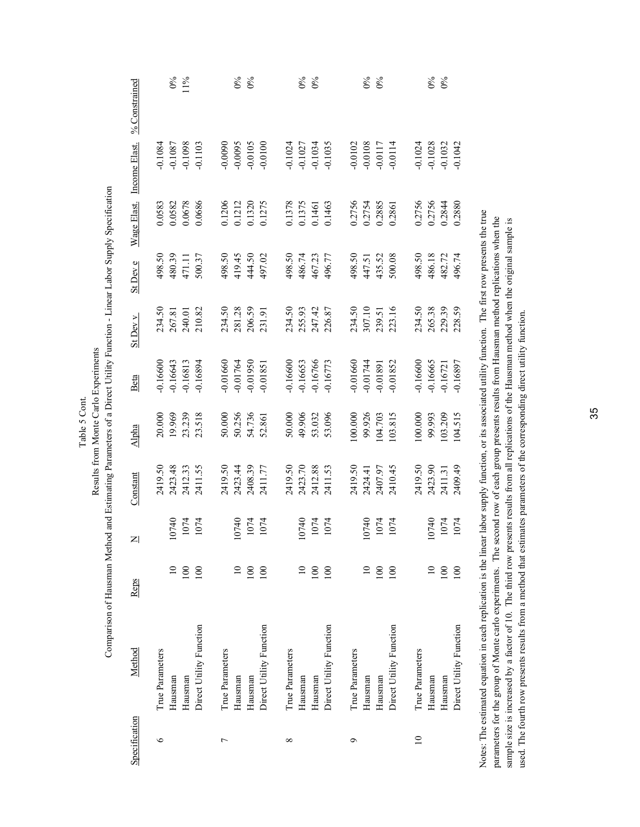| $%$ Constrained           | $0\%$<br>$11\%$                                                  | $0\%$<br>$0\%$                                                   | $\delta^{\circ}$<br>$0\%$                                        | $\frac{6}{6}$                                                    | $\frac{6}{6}$                                                    |
|---------------------------|------------------------------------------------------------------|------------------------------------------------------------------|------------------------------------------------------------------|------------------------------------------------------------------|------------------------------------------------------------------|
|                           | $-0.1087$<br>$-0.1098$<br>$-0.1103$<br>$-0.1084$                 | $-0.0090$<br>$-0.0095$<br>$-0.0105$<br>$-0.0100$                 | $-0.1024$<br>$-0.1027$<br>$-0.1034$<br>$-0.1035$                 | $-0.0102$<br>$-0.0108$<br>$-0.0117$<br>$-0.0114$                 | $-0.1028$<br>$-0.1032$<br>$-0.1042$<br>$-0.1024$                 |
| Wage Elast. Income Elast. | 0.0678<br>0.0686<br>0.0582<br>0.583                              | 0.1206<br>0.1212<br>0.1320<br>0.1275                             | 0.1378<br>0.1375<br>0.1461<br>0.1463                             | 0.2756<br>0.2754<br>0.2885<br>0.2861                             | 0.2756<br>0.2756<br>0.2844<br>0.2880                             |
| St Dev e                  | 480.39<br>500.37<br>498.50<br>471.11                             | 498.50<br>419.45<br>444.50<br>497.02                             | 498.50<br>496.77<br>486.74<br>467.23                             | 498.50<br>447.51<br>435.52<br>500.08                             | 498.50<br>486.18<br>482.72<br>496.74                             |
| St Dev v                  | 240.01<br>210.82<br>267.81<br>234.50                             | 234.50<br>281.28<br>206.59<br>231.91                             | 234.50<br>255.93<br>247.42<br>226.87                             | 234.50<br>307.10<br>239.51<br>223.16                             | 265.38<br>229.39<br>234.50<br>228.59                             |
| Beta                      | $-0.16643$<br>$-0.16813$<br>$-0.16894$<br>0.16600                | $-0.01660$<br>$-0.01764$<br>$-0.01950$<br>$-0.01851$             | $-0.16600$<br>$-0.16653$<br>$-0.16766$<br>$-0.16773$             | $-0.01660$<br>$-0.01744$<br>$-0.01891$<br>$-0.01852$             | $-0.16665$<br>$-0.16721$<br>$-0.16897$<br>0.16600                |
| Alpha                     | 20.000<br>19.969<br>23.239<br>23.518                             | 50.000<br>50.256<br>54.736<br>52.861                             | 50.000<br>49.906<br>53.032<br>53.096                             | 100.000<br>99.926<br>103.815                                     | 99.993<br>103.209<br>100.000<br>104.515                          |
| Constant                  | 2423.48<br>2412.33<br>2411.55<br>2419.50                         | 2423.44<br>2408.39<br>2419.50<br>2411.77                         | 2423.70<br>2412.88<br>2411.53<br>2419.50                         | 2419.50<br>2410.45<br>2407.97<br>2424.41                         | 2409.49<br>2423.90<br>2411.31<br>2419.50                         |
| $\mathsf{z}$              | 0740<br>1074<br>1074                                             | 0740<br>1074<br>1074                                             | 0740<br>1074<br>1074                                             | 0740<br>1074<br>1074                                             | 0740<br>1074<br>1074                                             |
| Reps                      | $\Xi$<br>100<br>100                                              | $\Xi$<br>100<br>100                                              | $\equiv$<br>100<br>100                                           | $\Xi$<br>100<br>100                                              | $\Xi$<br>100<br>100                                              |
| Method                    | Direct Utility Function<br>True Parameters<br>Hausman<br>Hausman | Direct Utility Function<br>True Parameters<br>Hausman<br>Hausman | Direct Utility Function<br>True Parameters<br>Hausman<br>Hausman | Direct Utility Function<br>True Parameters<br>Hausman<br>Hausman | Direct Utility Function<br>True Parameters<br>Hausman<br>Hausman |
| Specification             | $\circ$                                                          | ↽                                                                | $^{\circ}$                                                       | Ó                                                                | $\overline{10}$                                                  |

Notes: The estimated equation in each replication is the linear labor supply function, or its associated utility function. The first row presents the true Notes: The estimated equation in each replication is the linear labor supply function, or its associated utility function. The first row presents the true parameters for the group of Monte carlo experiments. The second row of each group presents results from Hausman method replications when the parameters for the group of Monte carlo experiments. The second row of each group presents results from Hausman method replications when the sample size is increased by a factor of 10. The third row presents results from all replications of the Hausman method when the original sample is sample size is increased by a factor of 10. The third row presents results from all replications of the Hausman method when the original sample is used. The fourth row presents results from a method that estimates parameters of the corresponding direct utility function. used. The fourth row presents results from a method that estimates parameters of the corresponding direct utility function.

Comparison of Hausman Method and Estimating Parameters of a Direct Utility Function - Linear Labor Supply Specification Comparison of Hausman Method and Estimating Parameters of a Direct Utility Function - Linear Labor Supply Specification Results from Monte Carlo Experiments Results from Monte Carlo Experiments

Table 5 Cont.

Table 5 Cont.

35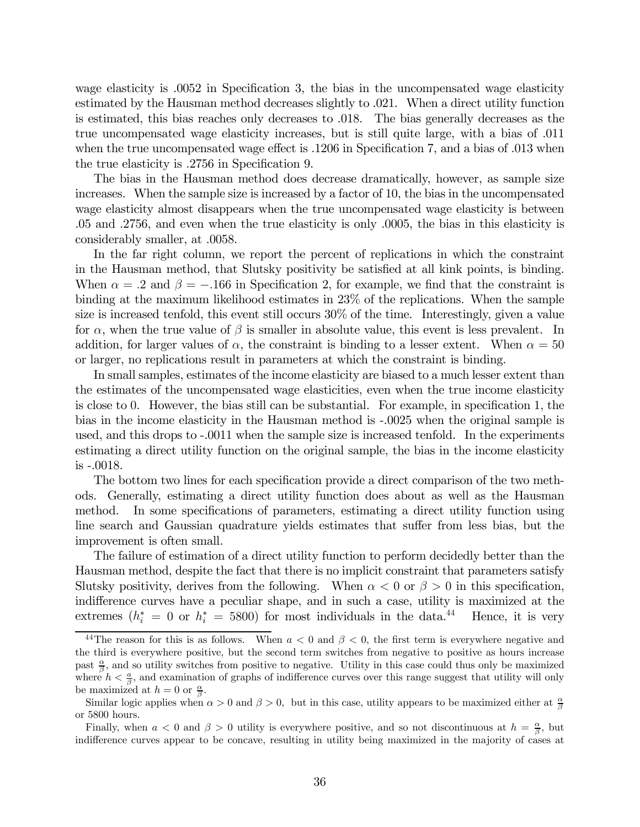wage elasticity is .0052 in Specification 3, the bias in the uncompensated wage elasticity estimated by the Hausman method decreases slightly to .021. When a direct utility function is estimated, this bias reaches only decreases to .018. The bias generally decreases as the true uncompensated wage elasticity increases, but is still quite large, with a bias of .011 when the true uncompensated wage effect is  $.1206$  in Specification 7, and a bias of  $.013$  when the true elasticity is .2756 in Specification 9.

The bias in the Hausman method does decrease dramatically, however, as sample size increases. When the sample size is increased by a factor of 10, the bias in the uncompensated wage elasticity almost disappears when the true uncompensated wage elasticity is between .05 and .2756, and even when the true elasticity is only .0005, the bias in this elasticity is considerably smaller, at .0058.

In the far right column, we report the percent of replications in which the constraint in the Hausman method, that Slutsky positivity be satisfied at all kink points, is binding. When  $\alpha = .2$  and  $\beta = -.166$  in Specification 2, for example, we find that the constraint is binding at the maximum likelihood estimates in 23% of the replications. When the sample size is increased tenfold, this event still occurs 30% of the time. Interestingly, given a value for  $\alpha$ , when the true value of  $\beta$  is smaller in absolute value, this event is less prevalent. In addition, for larger values of  $\alpha$ , the constraint is binding to a lesser extent. When  $\alpha = 50$ or larger, no replications result in parameters at which the constraint is binding.

In small samples, estimates of the income elasticity are biased to a much lesser extent than the estimates of the uncompensated wage elasticities, even when the true income elasticity is close to 0. However, the bias still can be substantial. For example, in specification 1, the bias in the income elasticity in the Hausman method is -.0025 when the original sample is used, and this drops to -.0011 when the sample size is increased tenfold. In the experiments estimating a direct utility function on the original sample, the bias in the income elasticity is -.0018.

The bottom two lines for each specification provide a direct comparison of the two methods. Generally, estimating a direct utility function does about as well as the Hausman method. In some specifications of parameters, estimating a direct utility function using line search and Gaussian quadrature yields estimates that suffer from less bias, but the improvement is often small.

The failure of estimation of a direct utility function to perform decidedly better than the Hausman method, despite the fact that there is no implicit constraint that parameters satisfy Slutsky positivity, derives from the following. When  $\alpha < 0$  or  $\beta > 0$  in this specification, indifference curves have a peculiar shape, and in such a case, utility is maximized at the extremes  $(h_i^* = 0 \text{ or } h_i^* = 5800)$  for most individuals in the data.<sup>44</sup> Hence, it is very

<sup>&</sup>lt;sup>44</sup>The reason for this is as follows. When  $a < 0$  and  $\beta < 0$ , the first term is everywhere negative and the third is everywhere positive, but the second term switches from negative to positive as hours increase past  $\frac{\alpha}{\beta}$ , and so utility switches from positive to negative. Utility in this case could thus only be maximized where  $h < \frac{a}{\beta}$ , and examination of graphs of indifference curves over this range suggest that utility will only be maximized at  $h = 0$  or  $\frac{\alpha}{\beta}$ .

Similar logic applies when  $\alpha > 0$  and  $\beta > 0$ , but in this case, utility appears to be maximized either at  $\frac{\alpha}{\beta}$ or 5800 hours.

Finally, when  $a < 0$  and  $\beta > 0$  utility is everywhere positive, and so not discontinuous at  $h = \frac{\alpha}{\beta}$ , but indifference curves appear to be concave, resulting in utility being maximized in the majority of cases at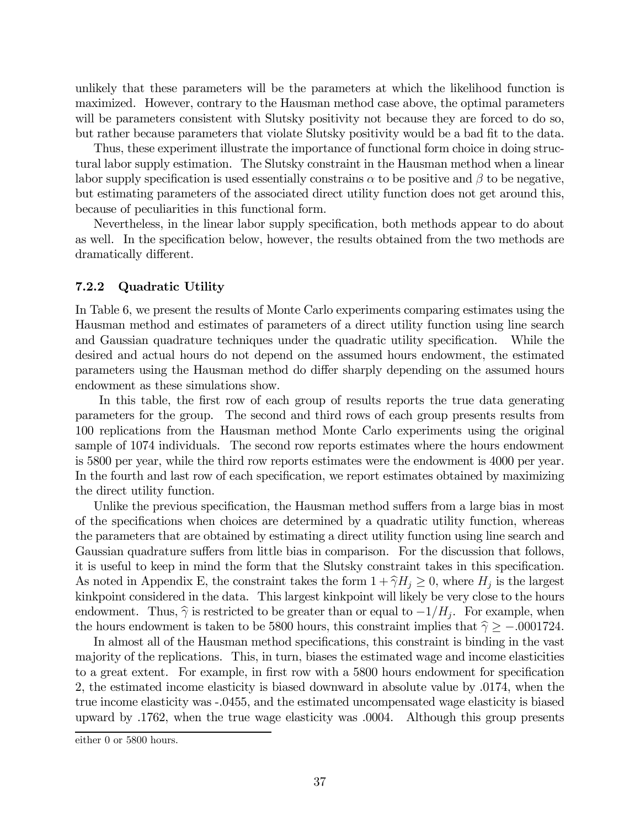unlikely that these parameters will be the parameters at which the likelihood function is maximized. However, contrary to the Hausman method case above, the optimal parameters will be parameters consistent with Slutsky positivity not because they are forced to do so, but rather because parameters that violate Slutsky positivity would be a bad fit to the data.

Thus, these experiment illustrate the importance of functional form choice in doing structural labor supply estimation. The Slutsky constraint in the Hausman method when a linear labor supply specification is used essentially constrains  $\alpha$  to be positive and  $\beta$  to be negative, but estimating parameters of the associated direct utility function does not get around this, because of peculiarities in this functional form.

Nevertheless, in the linear labor supply specification, both methods appear to do about as well. In the specification below, however, the results obtained from the two methods are dramatically different.

#### 7.2.2 Quadratic Utility

In Table 6, we present the results of Monte Carlo experiments comparing estimates using the Hausman method and estimates of parameters of a direct utility function using line search and Gaussian quadrature techniques under the quadratic utility specification. While the desired and actual hours do not depend on the assumed hours endowment, the estimated parameters using the Hausman method do differ sharply depending on the assumed hours endowment as these simulations show.

In this table, the first row of each group of results reports the true data generating parameters for the group. The second and third rows of each group presents results from 100 replications from the Hausman method Monte Carlo experiments using the original sample of 1074 individuals. The second row reports estimates where the hours endowment is 5800 per year, while the third row reports estimates were the endowment is 4000 per year. In the fourth and last row of each specification, we report estimates obtained by maximizing the direct utility function.

Unlike the previous specification, the Hausman method suffers from a large bias in most of the specifications when choices are determined by a quadratic utility function, whereas the parameters that are obtained by estimating a direct utility function using line search and Gaussian quadrature suffers from little bias in comparison. For the discussion that follows, it is useful to keep in mind the form that the Slutsky constraint takes in this specification. As noted in Appendix E, the constraint takes the form  $1 + \hat{\gamma}H_j \ge 0$ , where  $H_j$  is the largest kinkpoint considered in the data. This largest kinkpoint will likely be very close to the hours endowment. Thus,  $\hat{\gamma}$  is restricted to be greater than or equal to  $-1/H_i$ . For example, when the hours endowment is taken to be 5800 hours, this constraint implies that  $\hat{\gamma} \ge -0.0001724$ .

In almost all of the Hausman method specifications, this constraint is binding in the vast majority of the replications. This, in turn, biases the estimated wage and income elasticities to a great extent. For example, in first row with a 5800 hours endowment for specification 2, the estimated income elasticity is biased downward in absolute value by .0174, when the true income elasticity was -.0455, and the estimated uncompensated wage elasticity is biased upward by .1762, when the true wage elasticity was .0004. Although this group presents

either 0 or 5800 hours.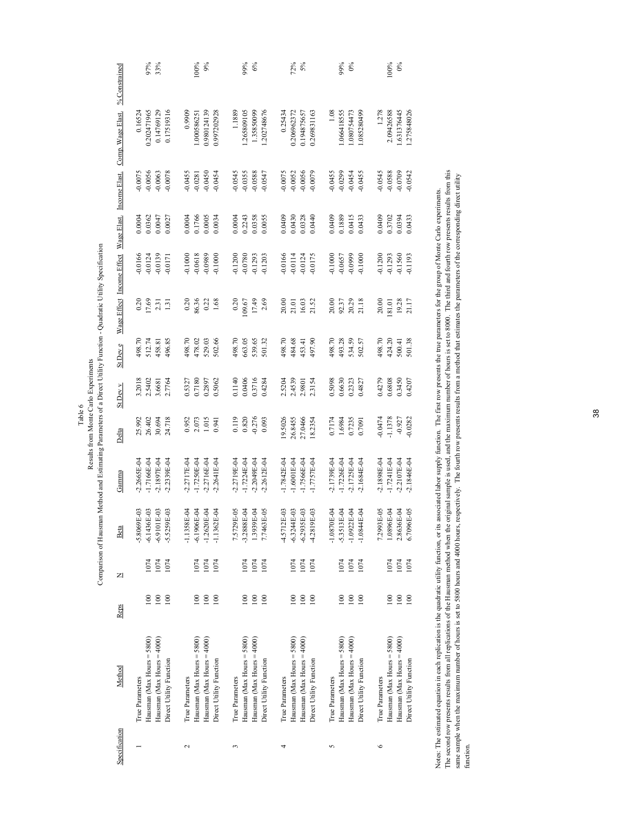| % Constrained             |                 | 97%                          | 33%                           |                         |                 | 100%                         | 9%                                  |                         |                 | 99%                          | $6\%$                               |                         |                 | 72%                          | 5%                            |                         |                 | 99%                          | $0\%$                         |                         |                 | 100%                         | $0\%$                         |                         |
|---------------------------|-----------------|------------------------------|-------------------------------|-------------------------|-----------------|------------------------------|-------------------------------------|-------------------------|-----------------|------------------------------|-------------------------------------|-------------------------|-----------------|------------------------------|-------------------------------|-------------------------|-----------------|------------------------------|-------------------------------|-------------------------|-----------------|------------------------------|-------------------------------|-------------------------|
| Comp. Wage Elast.         | 0.16524         | 0.202471965                  | 0.14769129                    | 0.17519316              | 0.9909          | 1.000586251                  | 0.980124139                         | 0.997202928             | 1.1889          | 1.265809105                  | 1.35850099                          | 1.202748676             | 0.25434         | 0.206962372                  | 0.194875657                   | 0.269831163             | 1.08            | 1.066418555                  | 1.080754473                   | 1.085280499             | 1.278           | 2.09426588                   | 1.631376445                   | 1.275848026             |
| Income Elast.             | $-0.0075$       | $-0.0056$                    | $-0.0063$                     | $-0.0078$               | $-0.0455$       | $-0.0281$                    | $-0.0450$                           | $-0.0454$               | $-0.0545$       | $-0.0355$                    | $-0.0588$                           | $-0.0547$               | $-0.0075$       | $-0.0052$                    | $-0.0056$                     | $-0.0079$               | $-0.0455$       | $-0.0299$                    | $-0.0454$                     | $-0.0455$               | $-0.0545$       | $-0.0588$                    | $-0.0709$                     | $-0.0542$               |
| Wage Elast.               | 0.0004          | 0.0362                       | 0.0047                        | 0.0027                  | 0.0004          | 0.1766                       | 0.0005                              | 0.0034                  | 0.0004          | 0.2243                       | 0.0358                              | 0.0055                  | 0.0409          | 0.0430                       | 0.0328                        | 0.0440                  | 0.0409          | 0.1889                       | 0.0415                        | 0.0433                  | 0.0409          | 0.3702                       | 0.0394                        | 0.0433                  |
|                           | $-0.0166$       | $-0.0124$                    | $-0.0139$                     | $-0.0171$               |                 |                              | $-0.1000$<br>$-0.0618$<br>$-0.0989$ | $-0.1000$               | $-0.1200$       |                              | $-0.0780$<br>$-0.1293$<br>$-0.1203$ |                         | $-0.0166$       | $-0.0114$                    | $-0.0124$                     | $-0.0175$               | $-0.1000$       | $-0.0657$                    | $-0.0999$                     | $-0.1000$               |                 | $-0.1200$<br>$-0.1293$       | $-0.1560$                     | $-0.1193$               |
| Wage Effect Income Effect | 0.20            |                              | $\frac{17.69}{2.31}$          |                         | 0.20            | 86.36                        | $0.22$<br>1.68                      |                         | 0.20            | 109.67                       | 17.49                               | 2.69                    | 20.00           | 21.01                        | 16.03                         | 21.52                   | 20.00           | 92.37                        | 20.29                         |                         | 20.00           | 181.01                       | 19.28                         |                         |
| St Dev e                  | 498.70          | 512.74                       | 158.81                        | 496.85                  | 498.70          | 478.02                       | 529.03                              | 502.66                  | 498.70          | 663.05                       | 539.65                              | 501.32                  | 498.70          | 484.68                       | 453.41                        | 497.90                  | 498.70          | 493.28                       | 534.59                        | 502.57                  | 498.70          | 424.20                       | 500.41                        | 501.38                  |
| St Dev v                  | 3.2018          | 2.5402                       | 3.6681                        | 2.7764                  | 0.5327          |                              | 0.7180<br>0.2897                    | 0.5062                  | 0.1140          | 0.0406                       | 0.3716                              | 0.4284                  | 2.5204          | 2.4539                       | 2.9801                        | 2.3154                  | 0.5098          | 0.6630                       | 0.2323                        | 0.4827                  | 0.4279          | 0.6808                       | 0.3450                        | 0.4207                  |
| Delta                     | 25.992          | 26.402                       | 30.694                        | 24.718                  | 0.952           | 2.073                        | 1.015                               | 0.941                   | 0.119           |                              | $0.820$<br>$-0.276$<br>$0.093$      |                         | 19.5026         | 26.8455                      | 27.0466                       | 18.2354                 | 0.7174          | 1.6984                       | 0.7235                        | 0.7091                  | $-0.0474$       | 1.1378                       | $-0.927$                      | $-0.0282$               |
| Gamma                     | $-2.2665E - 04$ | 1.7166E-04                   | $-2.1897E - 04$               | $-2.2339E-04$           | $-2.2717E - 04$ | $-1.7250E - 04$              | $-2.2716E - 04$                     | $-2.2641E - 04$         | $2.2719E-04$    | $1.7224E-04$                 | $-2.2049E - 04$                     | $-2.2612E-04$           | $-1.7842E - 04$ | $-1.6001E-04$                | $-1.7566E - 04$               | $-1.7757E-04$           | -2.1739E-04     | $-1.7226E - 04$              | $-2.1725E - 04$               | $-2.1684E-04$           | $-2.1898E - 04$ | $-1.7241E-04$                | $-2.2107E - 04$               | $-2.1846E - 04$         |
| Beta                      | $-5.8069E-03$   | $-6.1436E-03$                | $01E-03$<br>$-6.91$           | $-5.5259E-03$           | $-1.1358E - 04$ | $-6.1906E - 04$              | $-1.2620E - 04$                     | $-1.1362E-04$           | 7.5729E-05      | $-3.2888E - 04$              | 1.3939E-04                          | 7.7463E-05              | 4.5712E-03      | $-6.3244E-03$                | $-6.2935E-03$                 | 4.2819E-03              | $-1.0870E-04$   | $-5.3513E-04$                | $-1.0922E-04$                 | $-1.0844E-04$           | 7.2993E-05      | 1.0896E-04                   | 2.8636E-04                    | 6.7096E-05              |
| ZI                        |                 | 1074                         | 1074                          | 1074                    |                 | 1074                         | 1074                                | 1074                    |                 | 1074                         | 1074                                | 1074                    |                 | 1074                         | 1074                          | 1074                    |                 | 1074                         | 1074                          | 1074                    |                 | 1074                         | 1074                          | 1074                    |
| <b>Reps</b>               |                 | 100                          | 100                           | 100                     |                 | 100                          | 100                                 | 100                     |                 | 100                          | 100                                 | 100                     |                 | 100                          | 100                           | 100                     |                 | 100                          | 100                           | 100                     |                 | 100                          | 100                           | 100                     |
| Method                    | True Parameters | Hausman (Max Hours $=$ 5800) | Hausman (Max Hours = $4000$ ) | Direct Utility Function | True Parameters | Hausman (Max Hours $=$ 5800) | Hausman (Max Hours $=$ 4000)        | Direct Utility Function | True Parameters | Hausman (Max Hours $=$ 5800) | Hausman (Max Hours = $4000$ )       | Direct Utility Function | True Parameters | Hausman (Max Hours $=$ 5800) | Hausman (Max Hours = $4000$ ) | Direct Utility Function | True Parameters | Hausman (Max Hours $=$ 5800) | Hausman (Max Hours = $4000$ ) | Direct Utility Function | True Parameters | Hausman (Max Hours $=$ 5800) | Hausman (Max Hours = $4000$ ) | Direct Utility Function |
| Specification             |                 |                              |                               |                         | $\sim$          |                              |                                     |                         | 3               |                              |                                     |                         | 4               |                              |                               |                         | 5               |                              |                               |                         | $\circ$         |                              |                               |                         |

Notes: The estimated equation in each replication is the quadratic utility function, or its associated labor supply function. The first row presents the true parameters for the group of Monte Carlo experiments.<br>The second The second row presents results from all replications of the Hausman method when the original sample is used, and the maximum number of hours is set to 8000. The third and fourth row presents results from this sampe sample when the maximum number of hours is set to 5800 hours and 4000 hours, respectively. The fourth row presents results from a method that estimates the parameters of the corresponding direct utility Notes: The estimated equation in each replication is the quadratic utility function, or its associated labor supply function. The first row presents the true parameters for the group of Monte Carlo experiments. function.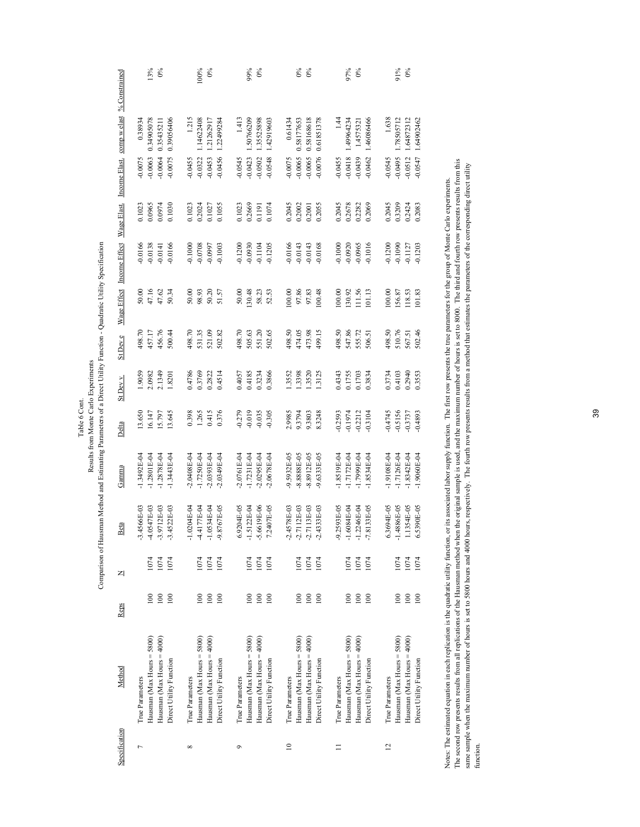| Wage Effect Income Effect Wage Elast. Income Elast. comp w elast % Constrained | 13%                                                              | 100%                                                                  | 99%                                                          | $0\%$                                                              | 97%                                                              | $91\%$                                                           |
|--------------------------------------------------------------------------------|------------------------------------------------------------------|-----------------------------------------------------------------------|--------------------------------------------------------------|--------------------------------------------------------------------|------------------------------------------------------------------|------------------------------------------------------------------|
|                                                                                | $0\%$                                                            | $0\%$                                                                 | $0\%$                                                        | 0%                                                                 | $\delta$                                                         | $0\%$                                                            |
|                                                                                | 0.34905078                                                       | 1.215                                                                 | 1.413                                                        | 0.58168618                                                         | 1.44                                                             | 1.638                                                            |
|                                                                                | 0.39056406                                                       | 1.14622408                                                            | 1.35525898                                                   | 0.61851378                                                         | 1.46086466                                                       | 1.78505712                                                       |
|                                                                                | 0.38934                                                          | 1.21262917                                                            | 1.50766209                                                   | 0.61434                                                            | 1.49964234                                                       | 1.64872312                                                       |
|                                                                                | 0.35435211                                                       | 1.22499284                                                            | 1.42919603                                                   | 0.58177653                                                         | 1.4575321                                                        | 1.64902462                                                       |
|                                                                                | $-0.0063$                                                        | $-0.0456$                                                             | $-0.0502$                                                    | $-0.0065$                                                          | $-0.0439$                                                        | $-0.0547$                                                        |
|                                                                                | $-0.0064$                                                        | $-0.0453$                                                             | $-0.0423$                                                    | $-0.0065$                                                          | $-0.0418$                                                        | $-0.0512$                                                        |
|                                                                                | $-0.0075$                                                        | $-0.0322$                                                             | $-0.0548$                                                    | $-0.0076$                                                          | $-0.0462$                                                        | -0.0495                                                          |
|                                                                                | $-0.0075$                                                        | $-0.0455$                                                             | 0.0545                                                       | $-0.0075$                                                          | $-0.0455$                                                        | $-0.0545$                                                        |
|                                                                                | 0.0965<br>0.0974<br>0.1030<br>0.1023                             | 0.1023<br>0.1055<br>0.2024<br>0.1027                                  | 0.2669<br>0.1074<br>0.1023<br>0.1191                         | 0.2045<br>0.2002<br>0.2055<br>0.2001                               | 0.2045<br>0.2678<br>0.2282<br>0.2069                             | 0.2045<br>0.3209<br>0.2083<br>0.2424                             |
|                                                                                | $-0.0166$                                                        | $-0.1000$                                                             | $-0.1205$                                                    | $-0.0166$                                                          | $-0.1016$                                                        | $-0.1200$                                                        |
|                                                                                | $-0.0166$                                                        | $-0.0708$                                                             | $-0.1200$                                                    | $-0.0143$                                                          | $-0.0965$                                                        | $-0.1090$                                                        |
|                                                                                | $-0.0138$                                                        | -0.0997                                                               | $-0.0930$                                                    | $-0.0143$                                                          | $-0.1000$                                                        | $-0.1127$                                                        |
|                                                                                | $-0.0141$                                                        | $-0.1003$                                                             | $-0.1104$                                                    | $-0.0168$                                                          | $-0.0920$                                                        | $-0.1203$                                                        |
|                                                                                | 47.16                                                            | 50.00                                                                 | (30.48)                                                      | 00.00                                                              | 00.00                                                            | 00.00                                                            |
|                                                                                | 47.62                                                            | 50.20                                                                 | 52.53                                                        | 97.86                                                              | 130.92                                                           | 156.87                                                           |
|                                                                                | 50.00                                                            | 98.93                                                                 | 50.00                                                        | 97.83                                                              | 11.56                                                            | 118.53                                                           |
|                                                                                | 50.34                                                            | 51.57                                                                 | 58.23                                                        | (00.48)                                                            | 101.13                                                           | 101.83                                                           |
| St Dev e                                                                       | 456.76                                                           | 498.70                                                                | 498.70                                                       | 498.50                                                             | 498.50                                                           | 498.50                                                           |
|                                                                                | 457.17                                                           | 531.35                                                                | 505.63                                                       | 473.98                                                             | 547.86                                                           | 510.76                                                           |
|                                                                                | 500.44                                                           | 521.09                                                                | 551.20                                                       | 499.15                                                             | 555.72                                                           | 502.46                                                           |
|                                                                                | 498.70                                                           | 502.82                                                                | 502.65                                                       | 474.05                                                             | 506.51                                                           | 567.51                                                           |
| St Dev v                                                                       | 2.0982                                                           | 0.4786                                                                | 0.4057                                                       | .3552                                                              | 0.4343                                                           | 0.3734                                                           |
|                                                                                | 2.1349                                                           | 0.3769                                                                | 0.4185                                                       | .3398                                                              | 0.1755                                                           | 0.4103                                                           |
|                                                                                | 1.9059                                                           | 0.2822                                                                | 0.3234                                                       | 1.3520                                                             | 0.1703                                                           | 0.2940                                                           |
|                                                                                | 1.8201                                                           | 0.4514                                                                | 0.3866                                                       | 1.3125                                                             | 0.3834                                                           | 0.3553                                                           |
| Delta                                                                          | 13.645                                                           | 0.415                                                                 | $-0.279$                                                     | 2.9985                                                             | $-0.2212$                                                        | $-0.4745$                                                        |
|                                                                                | 16.147                                                           | 0.398                                                                 | $-0.019$                                                     | 8.3248                                                             | $-0.2593$                                                        | $-0.5156$                                                        |
|                                                                                | 15.797                                                           | 1.265                                                                 | $-0.035$                                                     | 9.3794                                                             | $-0.3104$                                                        | $-0.3737$                                                        |
|                                                                                | 13.650                                                           | 0.376                                                                 | $-0.305$                                                     | 9.3803                                                             | $-0.1974$                                                        | $-0.4893$                                                        |
| Gamma                                                                          | $-1.3492E - 04$                                                  | $-2.0408E - 04$                                                       | $-2.0295E - 04$                                              | -8.8888E-05                                                        | $-1.7999E-04$                                                    | $-1.9108E - 04$                                                  |
|                                                                                | $-1.2801E-04$                                                    | $-1.7250E - 04$                                                       | $-2.0761E - 04$                                              | $-8.8912E-05$                                                      | $-1.8519E - 04$                                                  | $-1.7126E - 04$                                                  |
|                                                                                | $-1.2878E - 04$                                                  | $-2.0393E-04$                                                         | $-1.7231E-04$                                                | -9.5932E-05                                                        | $-1.7172E-04$                                                    | $-1.8342E - 04$                                                  |
|                                                                                | $-1.3443E - 04$                                                  | $-2.0349E - 04$                                                       | $-2.0678E - 04$                                              | $-9.6333E-05$                                                      | $-1.8534E-04$                                                    | $-1.9060E - 04$                                                  |
| Beta                                                                           | $-3.4566E - 03$<br>-4.0547E-03<br>$-3.9712E-03$<br>$-3.4522E-03$ | $-1.0204E-04$<br>767E-05<br>$-1.0534E-04$<br>$-4.4177E-04$<br>$-9.87$ | $-5.6619E - 06$<br>6.9204E-05<br>7.2407E-05<br>$-1.5122E-04$ | $-2.4578E - 03$<br>$-2.4333E-03$<br>$-2.7112E-03$<br>$-2.7113E-03$ | -9.2593E-05<br>$-7.8133E-05$<br>$-1.2246E - 04$<br>$-1.6084E-04$ | 6-34E<br>$-1.4886E - 05$<br>54E-05<br>6.5390E-05<br>6.36<br>1.13 |
| Z                                                                              | 1074                                                             | 1074                                                                  | 1074                                                         | 1074                                                               | 1074                                                             | 1074                                                             |
|                                                                                | 1074                                                             | 1074                                                                  | 1074                                                         | 1074                                                               | 1074                                                             | 1074                                                             |
|                                                                                | 1074                                                             | 1074                                                                  | 1074                                                         | 1074                                                               | 1074                                                             | 1074                                                             |
| Reps                                                                           | 100                                                              | 100                                                                   | 100                                                          | 100                                                                | $100\,$                                                          | 100                                                              |
|                                                                                | 100                                                              | 100                                                                   | 100                                                          | 100                                                                | 100                                                              | 100                                                              |
|                                                                                | 100                                                              | 100                                                                   | 100                                                          | 100                                                                | 100                                                              | 100                                                              |
| Method                                                                         | Hausman (Max Hours = 5800)                                       | Hausman (Max Hours = 5800)                                            | Hausman (Max Hours = $5800$ )                                | Hausman (Max Hours = $4000$ )                                      | Hausman (Max Hours = $4000$ )                                    | Hausman (Max Hours = $4000$ )                                    |
|                                                                                | Hausman (Max Hours = $4000$ )                                    | Hausman (Max Hours = $4000$ )                                         | Hausman (Max Hours = $4000$ )                                | Hausman (Max Hours = $5800$ )                                      | Hausman (Max Hours = $5800$ )                                    | Hausman (Max Hours = 5800)                                       |
|                                                                                | Direct Utility Function                                          | Direct Utility Function                                               | Direct Utility Function                                      | Direct Utility Function                                            | Direct Utility Function                                          | Direct Utility Function                                          |
|                                                                                | True Parameters                                                  | True Parameters                                                       | True Parameters                                              | True Parameters                                                    | True Parameters                                                  | True Parameters                                                  |
| Specification                                                                  | Γ                                                                | ${}^{\circ}$                                                          | $\circ$                                                      | $\approx$                                                          | $\equiv$                                                         | $\overline{c}$                                                   |

Table 6 Cont. Results from Monte Carlo Experiments Comparison of Hausman Method and Estimating Parameters of a Direct Utility Function - Quadratic Utility Specification

Comparison of Hausman Method and Estimating Parameters of a Direct Utility Function - Quadratic Utility Specification Results from Monte Carlo Experiments Table 6 Cont.

Notes: The estimated equation in each replication is the quadratic utility function, or its associated labor supply function. The first row presents the true parameters for the group of Monte Carlo experiments. The second row presents results from all replications of the Hausman method when the original sample is used, and the maximum number of hours is set to 8000. The third and fourth row presents results from this same sample when the maximum number of hours is set to 5800 hours, and 4000 hours, respectively. The fourth row presents results from a method that estimates the parameters of the corresponding direct utility Notes: The estimated equation in each replication is the quadratic utility function, or is associated labor supply function. The first row presents the true parameters for the group of Monte Carlo experiments.<br>The second r

39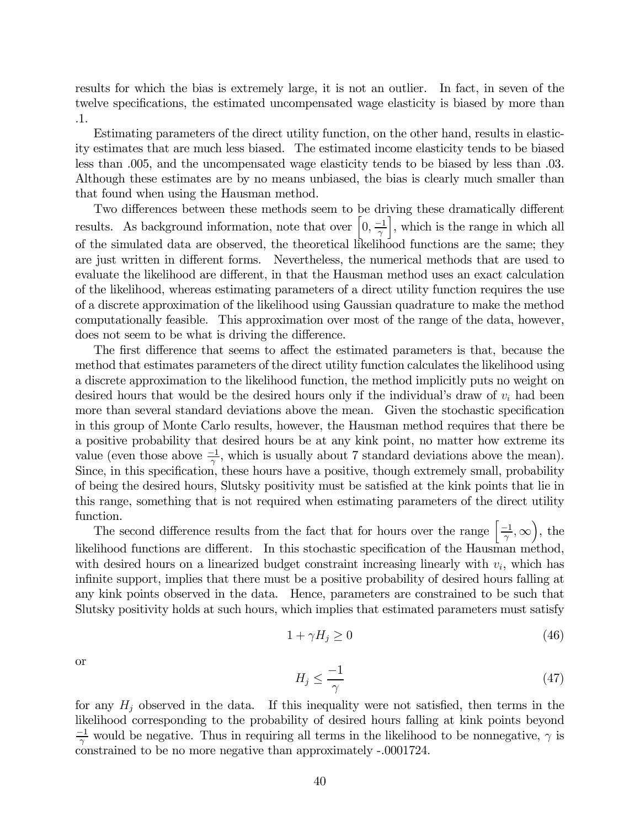results for which the bias is extremely large, it is not an outlier. In fact, in seven of the twelve specifications, the estimated uncompensated wage elasticity is biased by more than .1.

Estimating parameters of the direct utility function, on the other hand, results in elasticity estimates that are much less biased. The estimated income elasticity tends to be biased less than .005, and the uncompensated wage elasticity tends to be biased by less than .03. Although these estimates are by no means unbiased, the bias is clearly much smaller than that found when using the Hausman method.

Two differences between these methods seem to be driving these dramatically different results. As background information, note that over  $\left[0, \frac{-1}{\gamma}\right]$ |, which is the range in which all of the simulated data are observed, the theoretical likelihood functions are the same; they are just written in different forms. Nevertheless, the numerical methods that are used to evaluate the likelihood are different, in that the Hausman method uses an exact calculation of the likelihood, whereas estimating parameters of a direct utility function requires the use of a discrete approximation of the likelihood using Gaussian quadrature to make the method computationally feasible. This approximation over most of the range of the data, however, does not seem to be what is driving the difference.

The first difference that seems to affect the estimated parameters is that, because the method that estimates parameters of the direct utility function calculates the likelihood using a discrete approximation to the likelihood function, the method implicitly puts no weight on desired hours that would be the desired hours only if the individual's draw of  $v_i$  had been more than several standard deviations above the mean. Given the stochastic specification in this group of Monte Carlo results, however, the Hausman method requires that there be a positive probability that desired hours be at any kink point, no matter how extreme its value (even those above  $\frac{-1}{\gamma}$ , which is usually about 7 standard deviations above the mean). Since, in this specification, these hours have a positive, though extremely small, probability of being the desired hours, Slutsky positivity must be satisfied at the kink points that lie in this range, something that is not required when estimating parameters of the direct utility function.

The second difference results from the fact that for hours over the range  $\left[\frac{-1}{\gamma}, \infty\right)$ , the likelihood functions are different. In this stochastic specification of the Hausman method, with desired hours on a linearized budget constraint increasing linearly with  $v_i$ , which has infinite support, implies that there must be a positive probability of desired hours falling at any kink points observed in the data. Hence, parameters are constrained to be such that Slutsky positivity holds at such hours, which implies that estimated parameters must satisfy

$$
1 + \gamma H_j \ge 0 \tag{46}
$$

or

$$
H_j \le \frac{-1}{\gamma} \tag{47}
$$

for any  $H_j$  observed in the data. If this inequality were not satisfied, then terms in the likelihood corresponding to the probability of desired hours falling at kink points beyond  $\frac{-1}{\gamma}$  would be negative. Thus in requiring all terms in the likelihood to be nonnegative,  $\gamma$  is constrained to be no more negative than approximately -.0001724.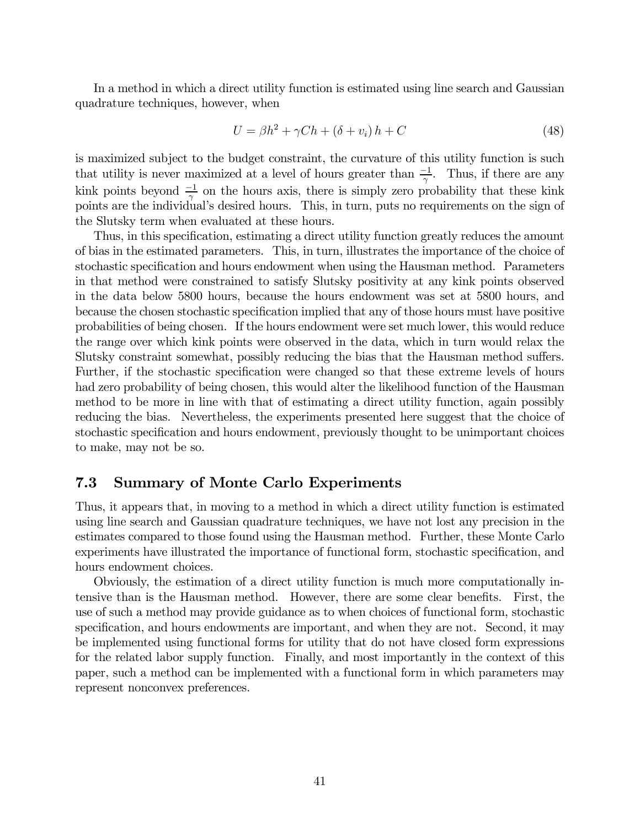In a method in which a direct utility function is estimated using line search and Gaussian quadrature techniques, however, when

$$
U = \beta h^2 + \gamma Ch + (\delta + v_i) h + C \tag{48}
$$

is maximized subject to the budget constraint, the curvature of this utility function is such that utility is never maximized at a level of hours greater than  $\frac{-1}{\gamma}$ . Thus, if there are any kink points beyond  $\frac{-1}{\gamma}$  on the hours axis, there is simply zero probability that these kink points are the individual's desired hours. This, in turn, puts no requirements on the sign of the Slutsky term when evaluated at these hours.

Thus, in this specification, estimating a direct utility function greatly reduces the amount of bias in the estimated parameters. This, in turn, illustrates the importance of the choice of stochastic specification and hours endowment when using the Hausman method. Parameters in that method were constrained to satisfy Slutsky positivity at any kink points observed in the data below 5800 hours, because the hours endowment was set at 5800 hours, and because the chosen stochastic specification implied that any of those hours must have positive probabilities of being chosen. If the hours endowment were set much lower, this would reduce the range over which kink points were observed in the data, which in turn would relax the Slutsky constraint somewhat, possibly reducing the bias that the Hausman method suffers. Further, if the stochastic specification were changed so that these extreme levels of hours had zero probability of being chosen, this would alter the likelihood function of the Hausman method to be more in line with that of estimating a direct utility function, again possibly reducing the bias. Nevertheless, the experiments presented here suggest that the choice of stochastic specification and hours endowment, previously thought to be unimportant choices to make, may not be so.

#### 7.3 Summary of Monte Carlo Experiments

Thus, it appears that, in moving to a method in which a direct utility function is estimated using line search and Gaussian quadrature techniques, we have not lost any precision in the estimates compared to those found using the Hausman method. Further, these Monte Carlo experiments have illustrated the importance of functional form, stochastic specification, and hours endowment choices.

Obviously, the estimation of a direct utility function is much more computationally intensive than is the Hausman method. However, there are some clear benefits. First, the use of such a method may provide guidance as to when choices of functional form, stochastic specification, and hours endowments are important, and when they are not. Second, it may be implemented using functional forms for utility that do not have closed form expressions for the related labor supply function. Finally, and most importantly in the context of this paper, such a method can be implemented with a functional form in which parameters may represent nonconvex preferences.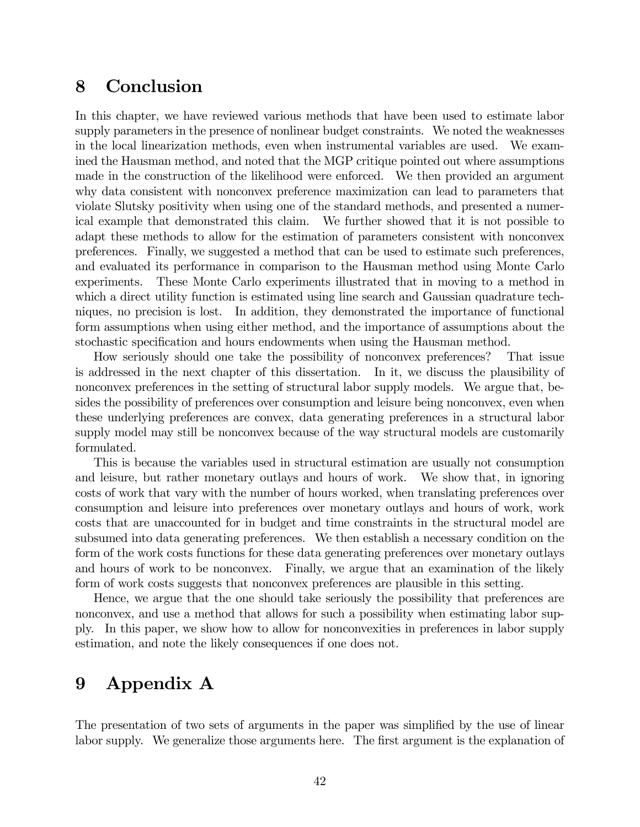## 8 Conclusion

In this chapter, we have reviewed various methods that have been used to estimate labor supply parameters in the presence of nonlinear budget constraints. We noted the weaknesses in the local linearization methods, even when instrumental variables are used. We examined the Hausman method, and noted that the MGP critique pointed out where assumptions made in the construction of the likelihood were enforced. We then provided an argument why data consistent with nonconvex preference maximization can lead to parameters that violate Slutsky positivity when using one of the standard methods, and presented a numerical example that demonstrated this claim. We further showed that it is not possible to adapt these methods to allow for the estimation of parameters consistent with nonconvex preferences. Finally, we suggested a method that can be used to estimate such preferences, and evaluated its performance in comparison to the Hausman method using Monte Carlo experiments. These Monte Carlo experiments illustrated that in moving to a method in which a direct utility function is estimated using line search and Gaussian quadrature techniques, no precision is lost. In addition, they demonstrated the importance of functional form assumptions when using either method, and the importance of assumptions about the stochastic specification and hours endowments when using the Hausman method.

How seriously should one take the possibility of nonconvex preferences? That issue is addressed in the next chapter of this dissertation. In it, we discuss the plausibility of nonconvex preferences in the setting of structural labor supply models. We argue that, besides the possibility of preferences over consumption and leisure being nonconvex, even when these underlying preferences are convex, data generating preferences in a structural labor supply model may still be nonconvex because of the way structural models are customarily formulated.

This is because the variables used in structural estimation are usually not consumption and leisure, but rather monetary outlays and hours of work. We show that, in ignoring costs of work that vary with the number of hours worked, when translating preferences over consumption and leisure into preferences over monetary outlays and hours of work, work costs that are unaccounted for in budget and time constraints in the structural model are subsumed into data generating preferences. We then establish a necessary condition on the form of the work costs functions for these data generating preferences over monetary outlays and hours of work to be nonconvex. Finally, we argue that an examination of the likely form of work costs suggests that nonconvex preferences are plausible in this setting.

Hence, we argue that the one should take seriously the possibility that preferences are nonconvex, and use a method that allows for such a possibility when estimating labor supply. In this paper, we show how to allow for nonconvexities in preferences in labor supply estimation, and note the likely consequences if one does not.

## 9 Appendix A

The presentation of two sets of arguments in the paper was simplified by the use of linear labor supply. We generalize those arguments here. The first argument is the explanation of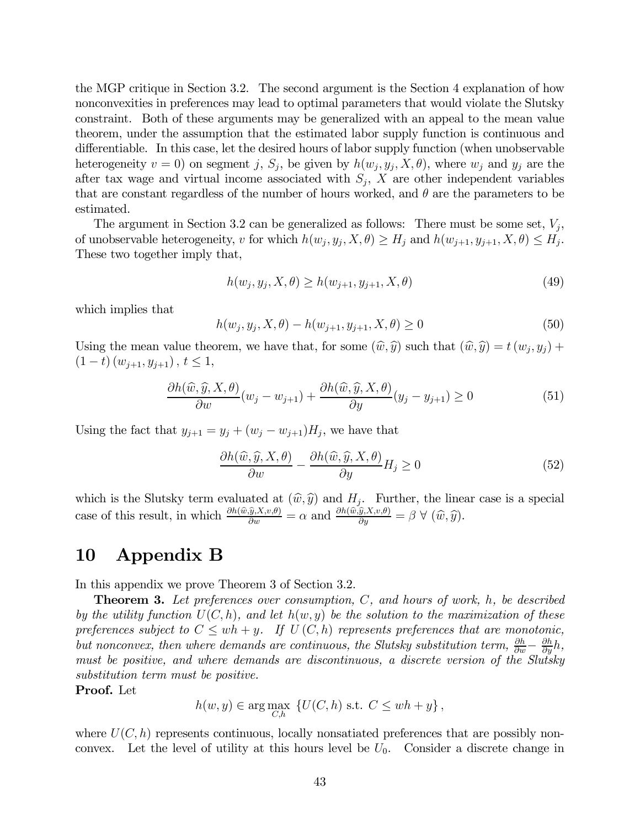the MGP critique in Section 3.2. The second argument is the Section 4 explanation of how nonconvexities in preferences may lead to optimal parameters that would violate the Slutsky constraint. Both of these arguments may be generalized with an appeal to the mean value theorem, under the assumption that the estimated labor supply function is continuous and differentiable. In this case, let the desired hours of labor supply function (when unobservable heterogeneity  $v = 0$ ) on segment j,  $S_j$ , be given by  $h(w_j, y_j, X, \theta)$ , where  $w_j$  and  $y_j$  are the after tax wage and virtual income associated with  $S_j$ , X are other independent variables that are constant regardless of the number of hours worked, and  $\theta$  are the parameters to be estimated.

The argument in Section 3.2 can be generalized as follows: There must be some set,  $V_j$ , of unobservable heterogeneity, v for which  $h(w_j, y_j, X, \theta) \ge H_j$  and  $h(w_{j+1}, y_{j+1}, X, \theta) \le H_j$ . These two together imply that,

$$
h(w_j, y_j, X, \theta) \ge h(w_{j+1}, y_{j+1}, X, \theta)
$$
\n(49)

which implies that

$$
h(w_j, y_j, X, \theta) - h(w_{j+1}, y_{j+1}, X, \theta) \ge 0
$$
\n(50)

Using the mean value theorem, we have that, for some  $(\widehat{w}, \widehat{y})$  such that  $(\widehat{w}, \widehat{y}) = t(w_j, y_j) +$  $(1-t)(w_{i+1}, y_{i+1}), t \leq 1,$ 

$$
\frac{\partial h(\widehat{w}, \widehat{y}, X, \theta)}{\partial w}(w_j - w_{j+1}) + \frac{\partial h(\widehat{w}, \widehat{y}, X, \theta)}{\partial y}(y_j - y_{j+1}) \ge 0
$$
\n(51)

Using the fact that  $y_{j+1} = y_j + (w_j - w_{j+1})H_j$ , we have that

$$
\frac{\partial h(\widehat{w}, \widehat{y}, X, \theta)}{\partial w} - \frac{\partial h(\widehat{w}, \widehat{y}, X, \theta)}{\partial y} H_j \ge 0
$$
\n(52)

which is the Slutsky term evaluated at  $(\widehat{w}, \widehat{y})$  and  $H_j$ . Further, the linear case is a special case of this result, in which  $\frac{\partial h(\hat{w}, \hat{y}, X, v, \theta)}{\partial w} = \alpha$  and  $\frac{\partial h(\hat{w}, \hat{y}, X, v, \theta)}{\partial y} = \beta \ \forall \ (\hat{w}, \hat{y})$ .

## 10 Appendix B

In this appendix we prove Theorem 3 of Section 3.2.

**Theorem 3.** Let preferences over consumption,  $C$ , and hours of work,  $h$ , be described by the utility function  $U(C, h)$ , and let  $h(w, y)$  be the solution to the maximization of these preferences subject to  $C \le wh + y$ . If  $U(C, h)$  represents preferences that are monotonic, but nonconvex, then where demands are continuous, the Slutsky substitution term,  $\frac{\partial h}{\partial w} - \frac{\partial h}{\partial y}h$ , must be positive, and where demands are discontinuous, a discrete version of the Slutsky substitution term must be positive.

Proof. Let

$$
h(w, y) \in \arg\max_{C, h} \{ U(C, h) \text{ s.t. } C \le wh + y \},
$$

where  $U(C, h)$  represents continuous, locally nonsatiated preferences that are possibly nonconvex. Let the level of utility at this hours level be  $U_0$ . Consider a discrete change in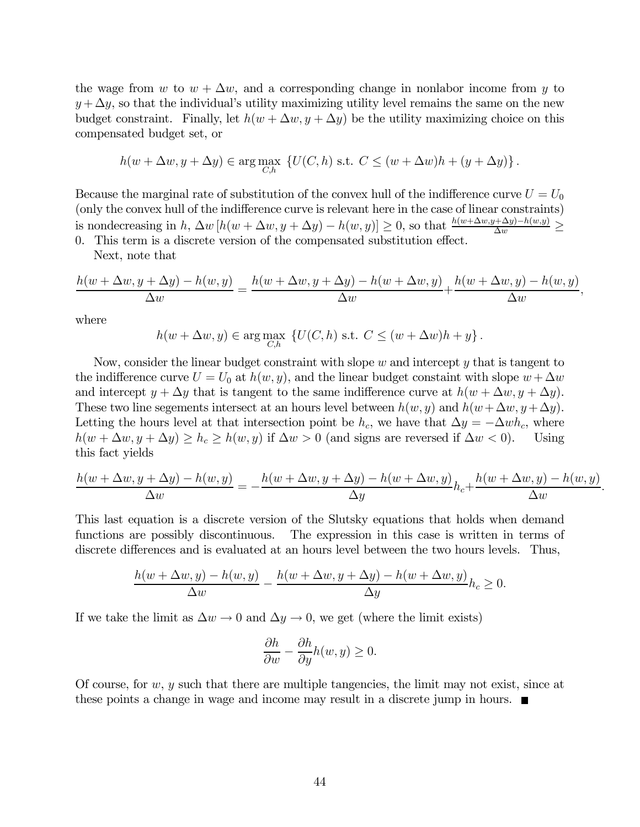the wage from w to  $w + \Delta w$ , and a corresponding change in nonlabor income from y to  $y + \Delta y$ , so that the individual's utility maximizing utility level remains the same on the new budget constraint. Finally, let  $h(w + \Delta w, y + \Delta y)$  be the utility maximizing choice on this compensated budget set, or

$$
h(w + \Delta w, y + \Delta y) \in \arg\max_{C,h} \left\{ U(C, h) \text{ s.t. } C \le (w + \Delta w)h + (y + \Delta y) \right\}.
$$

Because the marginal rate of substitution of the convex hull of the indifference curve  $U = U_0$ (only the convex hull of the indifference curve is relevant here in the case of linear constraints) is nondecreasing in h,  $\Delta w [h(w + \Delta w, y + \Delta y) - h(w, y)] \ge 0$ , so that  $\frac{h(w + \Delta w, y + \Delta y) - h(w, y)}{\Delta w} \ge$ 0. This term is a discrete version of the compensated substitution effect.

Next, note that

$$
\frac{h(w + \Delta w, y + \Delta y) - h(w, y)}{\Delta w} = \frac{h(w + \Delta w, y + \Delta y) - h(w + \Delta w, y)}{\Delta w} + \frac{h(w + \Delta w, y) - h(w, y)}{\Delta w},
$$

where

 $h(w + \Delta w, y) \in \arg\max_{C, h} \{U(C, h) \text{ s.t. } C \leq (w + \Delta w)h + y\}.$ 

Now, consider the linear budget constraint with slope  $w$  and intercept  $y$  that is tangent to the indifference curve  $U = U_0$  at  $h(w, y)$ , and the linear budget constaint with slope  $w + \Delta w$ and intercept  $y + \Delta y$  that is tangent to the same indifference curve at  $h(w + \Delta w, y + \Delta y)$ . These two line segements intersect at an hours level between  $h(w, y)$  and  $h(w + \Delta w, y + \Delta y)$ . Letting the hours level at that intersection point be  $h_c$ , we have that  $\Delta y = -\Delta wh_c$ , where  $h(w + \Delta w, u + \Delta u) \geq h_c \geq h(w, u)$  if  $\Delta w > 0$  (and signs are reversed if  $\Delta w < 0$ ). Using  $h(w + \Delta w, y + \Delta y) \ge h_c \ge h(w, y)$  if  $\Delta w > 0$  (and signs are reversed if  $\Delta w < 0$ ). this fact yields

$$
\frac{h(w + \Delta w, y + \Delta y) - h(w, y)}{\Delta w} = -\frac{h(w + \Delta w, y + \Delta y) - h(w + \Delta w, y)}{\Delta y}h_c + \frac{h(w + \Delta w, y) - h(w, y)}{\Delta w}.
$$

This last equation is a discrete version of the Slutsky equations that holds when demand functions are possibly discontinuous. The expression in this case is written in terms of discrete differences and is evaluated at an hours level between the two hours levels. Thus,

$$
\frac{h(w + \Delta w, y) - h(w, y)}{\Delta w} - \frac{h(w + \Delta w, y + \Delta y) - h(w + \Delta w, y)}{\Delta y} h_c \ge 0.
$$

If we take the limit as  $\Delta w \to 0$  and  $\Delta y \to 0$ , we get (where the limit exists)

$$
\frac{\partial h}{\partial w} - \frac{\partial h}{\partial y} h(w, y) \ge 0.
$$

Of course, for  $w, y$  such that there are multiple tangencies, the limit may not exist, since at these points a change in wage and income may result in a discrete jump in hours.  $\blacksquare$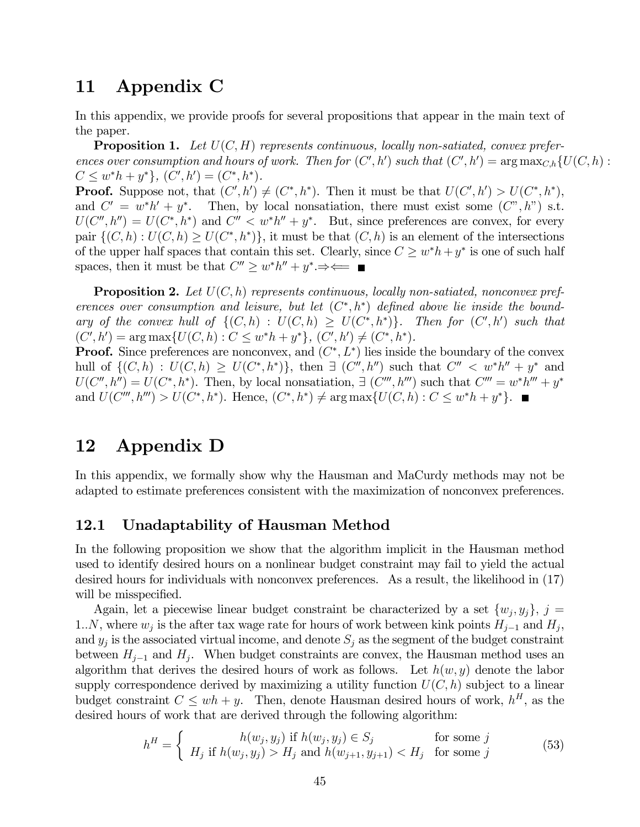## 11 Appendix C

In this appendix, we provide proofs for several propositions that appear in the main text of the paper.

**Proposition 1.** Let  $U(C, H)$  represents continuous, locally non-satiated, convex preferences over consumption and hours of work. Then for  $(C', h')$  such that  $(C', h') = \arg \max_{C, h} \{U(C, h) :$  $C \leq w^*h + y^* \}, (C', h') = (C^*, h^*).$ 

**Proof.** Suppose not, that  $(C', h') \neq (C^*, h^*)$ . Then it must be that  $U(C', h') > U(C^*, h^*)$ , and  $C' = w^*h' + y^*$ . Then, by local nonsatiation, there must exist some  $(C'', h'')$  s.t.  $U(C'', h'') = U(C^*, h^*)$  and  $C'' < w^*h'' + y^*$ . But, since preferences are convex, for every pair  $\{(C, h): U(C, h) \geq U(C^*, h^*)\}$ , it must be that  $(C, h)$  is an element of the intersections of the upper half spaces that contain this set. Clearly, since  $C \geq w^*h + y^*$  is one of such half spaces, then it must be that  $C'' \geq w^*h'' + y^* \Rightarrow \Longleftarrow$ 

**Proposition 2.** Let  $U(C, h)$  represents continuous, locally non-satiated, nonconvex preferences over consumption and leisure, but let  $(C^*, h^*)$  defined above lie inside the boundary of the convex hull of  $\{(C, h) : U(C, h) \geq U(C^*, h^*)\}$ . Then for  $(C', h')$  such that  $(C', h') = \arg \max \{U(C, h) : C \leq w^*h + y^*\}, (C', h') \neq (C^*, h^*)$ .

**Proof.** Since preferences are nonconvex, and  $(C^*, L^*)$  lies inside the boundary of the convex hull of  $\{(C, h): U(C, h) \geq U(C^*, h^*)\}$ , then  $\exists (C'', h'')$  such that  $C'' < w^*h'' + y^*$  and  $U(C'', h'') = U(C^*, h^*)$ . Then, by local nonsatiation,  $\exists (C''', h''')$  such that  $C''' = w^*h''' + y^*$ and  $U(C''', h''') > U(C^*, h^*)$ . Hence,  $(C^*, h^*) \neq \arg \max \{U(C, h) : C \leq w^*h + y^*\}.$ 

## 12 Appendix D

In this appendix, we formally show why the Hausman and MaCurdy methods may not be adapted to estimate preferences consistent with the maximization of nonconvex preferences.

#### 12.1 Unadaptability of Hausman Method

In the following proposition we show that the algorithm implicit in the Hausman method used to identify desired hours on a nonlinear budget constraint may fail to yield the actual desired hours for individuals with nonconvex preferences. As a result, the likelihood in (17) will be misspecified.

Again, let a piecewise linear budget constraint be characterized by a set  $\{w_i, y_i\}, j =$ 1..N, where  $w_j$  is the after tax wage rate for hours of work between kink points  $H_{j-1}$  and  $H_j$ , and  $y_j$  is the associated virtual income, and denote  $S_j$  as the segment of the budget constraint between  $H_{j-1}$  and  $H_j$ . When budget constraints are convex, the Hausman method uses an algorithm that derives the desired hours of work as follows. Let  $h(w, y)$  denote the labor supply correspondence derived by maximizing a utility function  $U(C, h)$  subject to a linear budget constraint  $C \le wh + y$ . Then, denote Hausman desired hours of work,  $h^H$ , as the desired hours of work that are derived through the following algorithm:

$$
h^H = \begin{cases} h(w_j, y_j) & \text{if } h(w_j, y_j) \in S_j \\ H_j & \text{if } h(w_j, y_j) > H_j \text{ and } h(w_{j+1}, y_{j+1}) < H_j \quad \text{for some } j \end{cases} \tag{53}
$$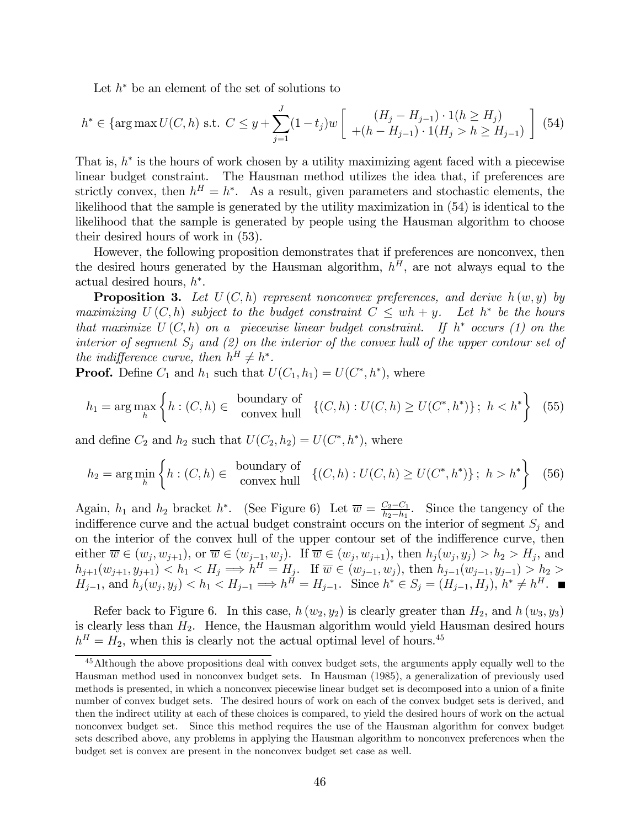Let  $h^*$  be an element of the set of solutions to

$$
h^* \in \left\{ \arg \max U(C, h) \text{ s.t. } C \leq y + \sum_{j=1}^J (1 - t_j) w \left[ \begin{array}{c} (H_j - H_{j-1}) \cdot 1(h \geq H_j) \\ + (h - H_{j-1}) \cdot 1(H_j > h \geq H_{j-1}) \end{array} \right] \right\}
$$
(54)

That is,  $h^*$  is the hours of work chosen by a utility maximizing agent faced with a piecewise linear budget constraint. The Hausman method utilizes the idea that, if preferences are strictly convex, then  $h^H = h^*$ . As a result, given parameters and stochastic elements, the likelihood that the sample is generated by the utility maximization in (54) is identical to the likelihood that the sample is generated by people using the Hausman algorithm to choose their desired hours of work in (53).

However, the following proposition demonstrates that if preferences are nonconvex, then the desired hours generated by the Hausman algorithm,  $h^H$ , are not always equal to the actual desired hours,  $h^*$ .

**Proposition 3.** Let  $U(C, h)$  represent nonconvex preferences, and derive  $h(w, y)$  by maximizing  $U(C, h)$  subject to the budget constraint  $C \le wh + y$ . Let  $h^*$  be the hours that maximize  $U(C, h)$  on a piecewise linear budget constraint. If  $h^*$  occurs (1) on the interior of segment  $S_i$  and (2) on the interior of the convex hull of the upper contour set of the indifference curve, then  $h^H \neq h^*$ .

**Proof.** Define  $C_1$  and  $h_1$  such that  $U(C_1, h_1) = U(C^*, h^*)$ , where

$$
h_1 = \arg\max_h \left\{ h : (C, h) \in \begin{array}{c} \text{boundary of} \\ \text{convex hull} \end{array} \right\} \left\{ (C, h) : U(C, h) \ge U(C^*, h^*) \right\};\ h < h^* \right\} \tag{55}
$$

and define  $C_2$  and  $h_2$  such that  $U(C_2, h_2) = U(C^*, h^*)$ , where

$$
h_2 = \arg\min_h \left\{ h : (C, h) \in \begin{array}{c} \text{boundary of} \\ \text{convex hull} \end{array} \right\} \left\{ (C, h) : U(C, h) \ge U(C^*, h^*) \right\};\ h > h^* \right\} \tag{56}
$$

Again,  $h_1$  and  $h_2$  bracket  $h^*$ . (See Figure 6) Let  $\overline{w} = \frac{C_2 - C_1}{h_2 - h_1}$ . Since the tangency of the indifference curve and the actual budget constraint occurs on the interior of segment  $S_i$  and on the interior of the convex hull of the upper contour set of the indifference curve, then either  $\overline{w} \in (w_j, w_{j+1}),$  or  $\overline{w} \in (w_{j-1}, w_j)$ . If  $\overline{w} \in (w_j, w_{j+1}),$  then  $h_j(w_j, y_j) > h_2 > H_j$ , and  $h_{j+1}(w_{j+1}, y_{j+1}) < h_1 < H_j \Longrightarrow h^H = H_j$ . If  $\overline{w} \in (w_{j-1}, w_j)$ , then  $h_{j-1}(w_{j-1}, y_{j-1}) > h_2 >$  $H_{j-1}$ , and  $h_j(w_j, y_j) < h_1 < H_{j-1} \Longrightarrow h^H = H_{j-1}$ . Since  $h^* \in S_j = (H_{j-1}, H_j)$ ,  $h^* \neq h^H$ .

Refer back to Figure 6. In this case,  $h(w_2, y_2)$  is clearly greater than  $H_2$ , and  $h(w_3, y_3)$ is clearly less than  $H_2$ . Hence, the Hausman algorithm would yield Hausman desired hours  $h^H = H_2$ , when this is clearly not the actual optimal level of hours.<sup>45</sup>

<sup>&</sup>lt;sup>45</sup>Although the above propositions deal with convex budget sets, the arguments apply equally well to the Hausman method used in nonconvex budget sets. In Hausman (1985), a generalization of previously used methods is presented, in which a nonconvex piecewise linear budget set is decomposed into a union of a finite number of convex budget sets. The desired hours of work on each of the convex budget sets is derived, and then the indirect utility at each of these choices is compared, to yield the desired hours of work on the actual nonconvex budget set. Since this method requires the use of the Hausman algorithm for convex budget sets described above, any problems in applying the Hausman algorithm to nonconvex preferences when the budget set is convex are present in the nonconvex budget set case as well.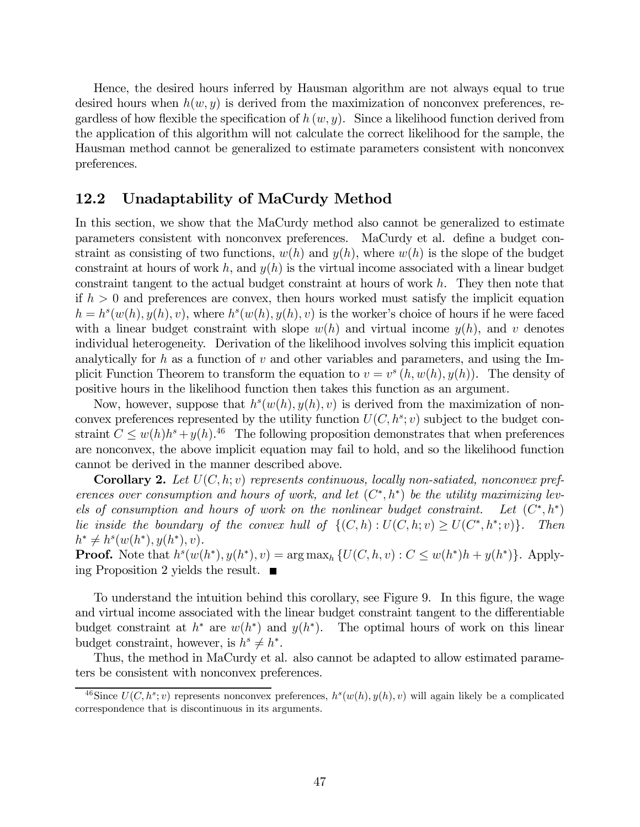Hence, the desired hours inferred by Hausman algorithm are not always equal to true desired hours when  $h(w, y)$  is derived from the maximization of nonconvex preferences, regardless of how flexible the specification of  $h(w, y)$ . Since a likelihood function derived from the application of this algorithm will not calculate the correct likelihood for the sample, the Hausman method cannot be generalized to estimate parameters consistent with nonconvex preferences.

#### 12.2 Unadaptability of MaCurdy Method

In this section, we show that the MaCurdy method also cannot be generalized to estimate parameters consistent with nonconvex preferences. MaCurdy et al. define a budget constraint as consisting of two functions,  $w(h)$  and  $y(h)$ , where  $w(h)$  is the slope of the budget constraint at hours of work h, and  $y(h)$  is the virtual income associated with a linear budget constraint tangent to the actual budget constraint at hours of work h. They then note that if  $h > 0$  and preferences are convex, then hours worked must satisfy the implicit equation  $h = h<sup>s</sup>(w(h), y(h), v)$ , where  $h<sup>s</sup>(w(h), y(h), v)$  is the worker's choice of hours if he were faced with a linear budget constraint with slope  $w(h)$  and virtual income  $y(h)$ , and v denotes individual heterogeneity. Derivation of the likelihood involves solving this implicit equation analytically for h as a function of v and other variables and parameters, and using the Implicit Function Theorem to transform the equation to  $v = v^s(h, w(h), y(h))$ . The density of positive hours in the likelihood function then takes this function as an argument.

Now, however, suppose that  $h^s(w(h), y(h), v)$  is derived from the maximization of nonconvex preferences represented by the utility function  $U(C, h^s; v)$  subject to the budget constraint  $C \leq w(h)h^s + y(h).$ <sup>46</sup> The following proposition demonstrates that when preferences are nonconvex, the above implicit equation may fail to hold, and so the likelihood function cannot be derived in the manner described above.

**Corollary 2.** Let  $U(C, h; v)$  represents continuous, locally non-satiated, nonconvex preferences over consumption and hours of work, and let  $(C^*, h^*)$  be the utility maximizing levels of consumption and hours of work on the nonlinear budget constraint. Let  $(C^*, h^*)$ lie inside the boundary of the convex hull of  $\{(C, h): U(C, h; v) \geq U(C^*, h^*; v)\}.$  Then  $h^* \neq h^s(w(h^*), y(h^*), v).$ 

**Proof.** Note that  $h^s(w(h^*), y(h^*), v) = \arg \max_h \{U(C, h, v) : C \leq w(h^*)h + y(h^*)\}$ . Applying Proposition 2 yields the result.

To understand the intuition behind this corollary, see Figure 9. In this figure, the wage and virtual income associated with the linear budget constraint tangent to the differentiable budget constraint at  $h^*$  are  $w(h^*)$  and  $y(h^*)$ . The optimal hours of work on this linear budget constraint, however, is  $h^s \neq h^*$ .

Thus, the method in MaCurdy et al. also cannot be adapted to allow estimated parameters be consistent with nonconvex preferences.

<sup>&</sup>lt;sup>46</sup>Since  $U(C, h^s; v)$  represents nonconvex preferences,  $h^s(w(h), y(h), v)$  will again likely be a complicated correspondence that is discontinuous in its arguments.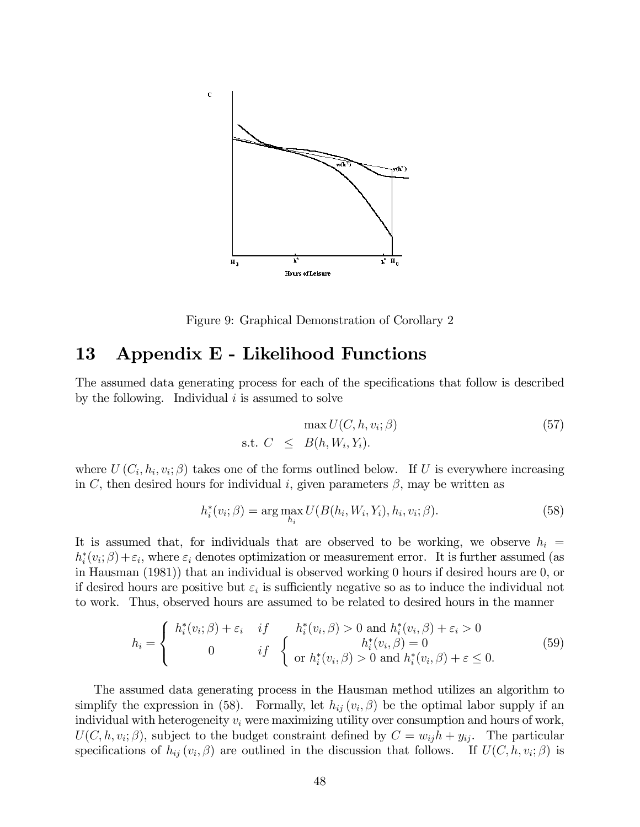

Figure 9: Graphical Demonstration of Corollary 2

## 13 Appendix E - Likelihood Functions

The assumed data generating process for each of the specifications that follow is described by the following. Individual  $i$  is assumed to solve

$$
\max U(C, h, v_i; \beta)
$$
  
s.t.  $C \leq B(h, W_i, Y_i)$ . (57)

where  $U(C_i, h_i, v_i; \beta)$  takes one of the forms outlined below. If U is everywhere increasing in C, then desired hours for individual i, given parameters  $\beta$ , may be written as

$$
h_i^*(v_i; \beta) = \arg \max_{h_i} U(B(h_i, W_i, Y_i), h_i, v_i; \beta).
$$
 (58)

It is assumed that, for individuals that are observed to be working, we observe  $h_i =$  $h_i^*(v_i; \beta) + \varepsilon_i$ , where  $\varepsilon_i$  denotes optimization or measurement error. It is further assumed (as in Hausman (1981)) that an individual is observed working 0 hours if desired hours are 0, or if desired hours are positive but  $\varepsilon_i$  is sufficiently negative so as to induce the individual not to work. Thus, observed hours are assumed to be related to desired hours in the manner

$$
h_i = \begin{cases} h_i^*(v_i; \beta) + \varepsilon_i & if \quad h_i^*(v_i, \beta) > 0 \text{ and } h_i^*(v_i, \beta) + \varepsilon_i > 0 \\ 0 & if \quad \text{or } h_i^*(v_i, \beta) = 0 \\ \text{or } h_i^*(v_i, \beta) > 0 \text{ and } h_i^*(v_i, \beta) + \varepsilon \le 0. \end{cases}
$$
(59)

The assumed data generating process in the Hausman method utilizes an algorithm to simplify the expression in (58). Formally, let  $h_{ij}(v_i, \beta)$  be the optimal labor supply if an individual with heterogeneity  $v_i$  were maximizing utility over consumption and hours of work,  $U(C, h, v_i; \beta)$ , subject to the budget constraint defined by  $C = w_{ij}h + y_{ij}$ . The particular specifications of  $h_{ij}(v_i, \beta)$  are outlined in the discussion that follows. If  $U(C, h, v_i; \beta)$  is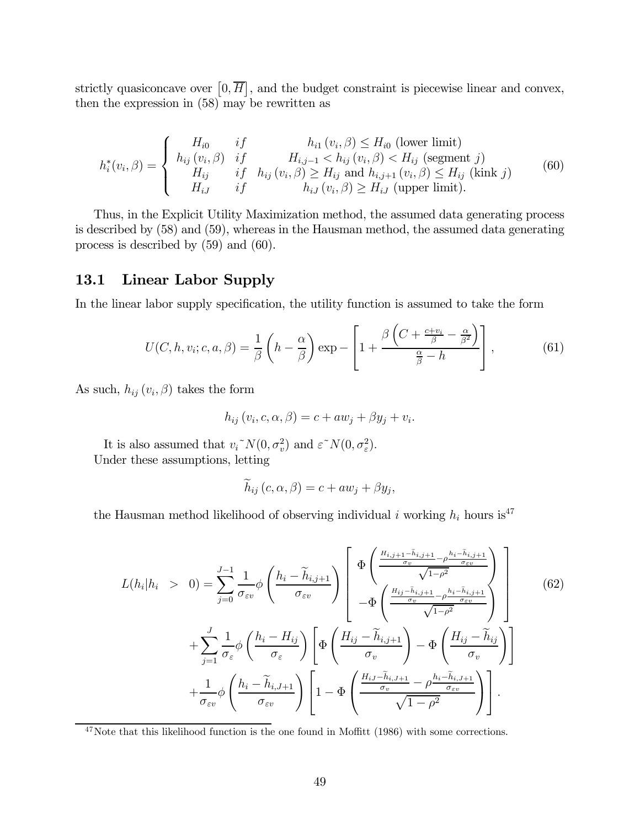strictly quasiconcave over  $[0, \overline{H}]$ , and the budget constraint is piecewise linear and convex, then the expression in (58) may be rewritten as

$$
h_i^*(v_i, \beta) = \begin{cases} H_{i0} & if & h_{i1}(v_i, \beta) \le H_{i0} \text{ (lower limit)} \\ h_{ij}(v_i, \beta) & if & H_{i,j-1} < h_{ij}(v_i, \beta) < H_{ij} \text{ (segment } j) \\ H_{ij} & if & h_{ij}(v_i, \beta) \ge H_{ij} \text{ and } h_{i,j+1}(v_i, \beta) \le H_{ij} \text{ (kink } j) \\ H_{iJ} & if & h_{iJ}(v_i, \beta) \ge H_{iJ} \text{ (upper limit)}. \end{cases} \tag{60}
$$

Thus, in the Explicit Utility Maximization method, the assumed data generating process is described by (58) and (59), whereas in the Hausman method, the assumed data generating process is described by (59) and (60).

### 13.1 Linear Labor Supply

In the linear labor supply specification, the utility function is assumed to take the form

$$
U(C, h, v_i; c, a, \beta) = \frac{1}{\beta} \left( h - \frac{\alpha}{\beta} \right) \exp \left[ 1 + \frac{\beta \left( C + \frac{c + v_i}{\beta} - \frac{\alpha}{\beta^2} \right)}{\frac{\alpha}{\beta} - h} \right],\tag{61}
$$

As such,  $h_{ij}(v_i, \beta)$  takes the form

$$
h_{ij}(v_i, c, \alpha, \beta) = c + aw_j + \beta y_j + v_i.
$$

It is also assumed that  $v_i^N(0, \sigma_v^2)$  and  $\varepsilon^N(0, \sigma_\varepsilon^2)$ . Under these assumptions, letting

$$
h_{ij}(c,\alpha,\beta) = c + aw_j + \beta y_j,
$$

the Hausman method likelihood of observing individual i working  $h_i$  hours is<sup>47</sup>

$$
L(h_i|h_i > 0) = \sum_{j=0}^{J-1} \frac{1}{\sigma_{\varepsilon v}} \phi \left(\frac{h_i - \widetilde{h}_{i,j+1}}{\sigma_{\varepsilon v}}\right) \left[\frac{\Phi\left(\frac{H_{i,j+1} - \widetilde{h}_{i,j+1}}{\sigma_{v}} - \rho^{\frac{h_i - \widetilde{h}_{i,j+1}}{\sigma_{\varepsilon v}}}\right)}{-\Phi\left(\frac{H_{ij} - \widetilde{h}_{i,j+1}}{\sigma_{v}} - \rho^{\frac{h_i - \widetilde{h}_{i,j+1}}{\sigma_{\varepsilon v}}}\right)}{-\Phi\left(\frac{H_{ij} - \widetilde{h}_{i,j+1}}{\sigma_{v}} - \rho^{\frac{h_i - \widetilde{h}_{i,j+1}}{\sigma_{\varepsilon v}}}}\right)}\right]
$$
(62)  
+ 
$$
\sum_{j=1}^{J} \frac{1}{\sigma_{\varepsilon}} \phi \left(\frac{h_i - H_{ij}}{\sigma_{\varepsilon}}\right) \left[\Phi\left(\frac{H_{ij} - \widetilde{h}_{i,j+1}}{\sigma_{v}}\right) - \Phi\left(\frac{H_{ij} - \widetilde{h}_{i,j}}{\sigma_{v}}\right)\right]
$$

$$
+ \frac{1}{\sigma_{\varepsilon v}} \phi \left(\frac{h_i - \widetilde{h}_{i,J+1}}{\sigma_{\varepsilon v}}\right) \left[1 - \Phi\left(\frac{\frac{H_{i,j} - \widetilde{h}_{i,j+1}}{\sigma_{v}} - \rho^{\frac{h_i - \widetilde{h}_{i,J+1}}{\sigma_{\varepsilon v}}}}{\sqrt{1 - \rho^2}}\right)\right].
$$

 $47$ Note that this likelihood function is the one found in Moffitt (1986) with some corrections.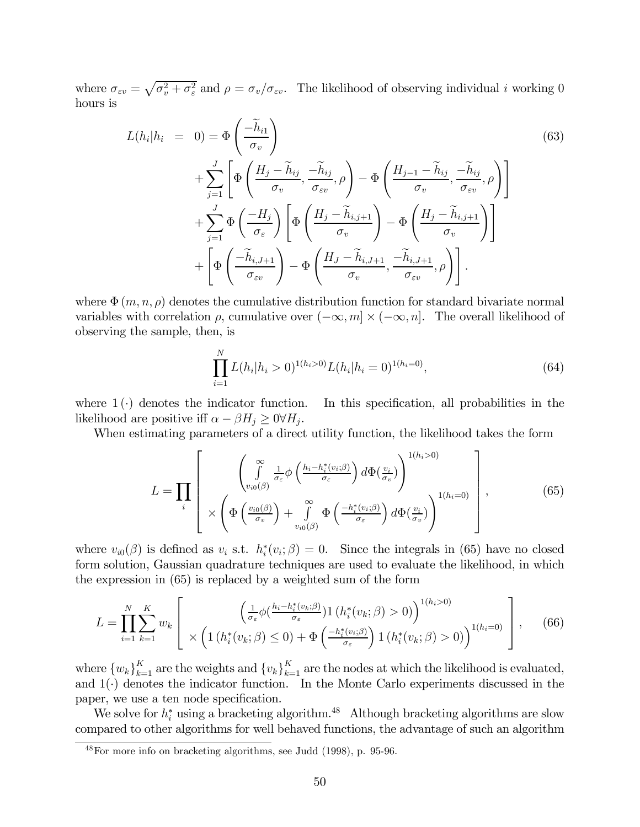where  $\sigma_{\varepsilon v} = \sqrt{\sigma_v^2 + \sigma_{\varepsilon}^2}$  and  $\rho = \sigma_v/\sigma_{\varepsilon v}$ . The likelihood of observing individual *i* working 0 hours is

$$
L(h_i|h_i = 0) = \Phi\left(\frac{-\widetilde{h}_{i1}}{\sigma_v}\right)
$$
  
+ 
$$
\sum_{j=1}^{J} \left[ \Phi\left(\frac{H_j - \widetilde{h}_{ij}}{\sigma_v}, \frac{-\widetilde{h}_{ij}}{\sigma_{\varepsilon v}}, \rho\right) - \Phi\left(\frac{H_{j-1} - \widetilde{h}_{ij}}{\sigma_v}, \frac{-\widetilde{h}_{ij}}{\sigma_{\varepsilon v}}, \rho\right) \right]
$$
  
+ 
$$
\sum_{j=1}^{J} \Phi\left(\frac{-H_j}{\sigma_{\varepsilon}}\right) \left[ \Phi\left(\frac{H_j - \widetilde{h}_{i,j+1}}{\sigma_v}\right) - \Phi\left(\frac{H_j - \widetilde{h}_{i,j+1}}{\sigma_v}\right) \right]
$$
  
+ 
$$
\left[ \Phi\left(\frac{-\widetilde{h}_{i,J+1}}{\sigma_{\varepsilon v}}\right) - \Phi\left(\frac{H_j - \widetilde{h}_{i,J+1}}{\sigma_v}, \frac{-\widetilde{h}_{i,J+1}}{\sigma_{\varepsilon v}}, \rho\right) \right].
$$
  
(63)

where  $\Phi(m, n, \rho)$  denotes the cumulative distribution function for standard bivariate normal variables with correlation  $\rho$ , cumulative over  $(-\infty, m] \times (-\infty, n]$ . The overall likelihood of observing the sample, then, is

$$
\prod_{i=1}^{N} L(h_i|h_i > 0)^{1(h_i > 0)} L(h_i|h_i = 0)^{1(h_i = 0)},
$$
\n(64)

where  $1(\cdot)$  denotes the indicator function. In this specification, all probabilities in the likelihood are positive iff  $\alpha - \beta H_i \geq 0 \forall H_i$ .

When estimating parameters of a direct utility function, the likelihood takes the form

$$
L = \prod_{i} \left[ \begin{array}{c} \left( \int_{v_{i0}(\beta)}^{\infty} \frac{1}{\sigma_{\varepsilon}} \phi \left( \frac{h_{i} - h_{i}^{*}(v_{i};\beta)}{\sigma_{\varepsilon}} \right) d\Phi(\frac{v_{i}}{\sigma_{v}}) \right)^{1(h_{i} > 0)} \\ \times \left( \Phi \left( \frac{v_{i0}(\beta)}{\sigma_{v}} \right) + \int_{v_{i0}(\beta)}^{\infty} \Phi \left( \frac{-h_{i}^{*}(v_{i};\beta)}{\sigma_{\varepsilon}} \right) d\Phi(\frac{v_{i}}{\sigma_{v}}) \right)^{1(h_{i} = 0)} \end{array} \right], \tag{65}
$$

where  $v_{i0}(\beta)$  is defined as  $v_i$  s.t.  $h_i^*(v_i;\beta)=0$ . Since the integrals in (65) have no closed form solution, Gaussian quadrature techniques are used to evaluate the likelihood, in which the expression in (65) is replaced by a weighted sum of the form

$$
L = \prod_{i=1}^{N} \sum_{k=1}^{K} w_k \left[ \left( \frac{\left(\frac{1}{\sigma_{\varepsilon}} \phi\left(\frac{h_i - h_i^*(v_k;\beta)}{\sigma_{\varepsilon}}\right) \mathbf{1}\left(h_i^*(v_k;\beta) > 0\right)\right)^{1(h_i > 0)}}{\times \left(1\left(h_i^*(v_k;\beta) \le 0\right) + \Phi\left(\frac{-h_i^*(v_i;\beta)}{\sigma_{\varepsilon}}\right) \mathbf{1}\left(h_i^*(v_k;\beta) > 0\right)\right)^{1(h_i = 0)} \right], \quad (66)
$$

where  $\{w_k\}_{k=1}^K$  are the weights and  $\{v_k\}_{k=1}^K$  are the nodes at which the likelihood is evaluated, and  $1(\cdot)$  denotes the indicator function. In the Monte Carlo experiments discussed in the paper, we use a ten node specification.

We solve for  $h_i^*$  using a bracketing algorithm.<sup>48</sup> Although bracketing algorithms are slow compared to other algorithms for well behaved functions, the advantage of such an algorithm

<sup>48</sup>For more info on bracketing algorithms, see Judd (1998), p. 95-96.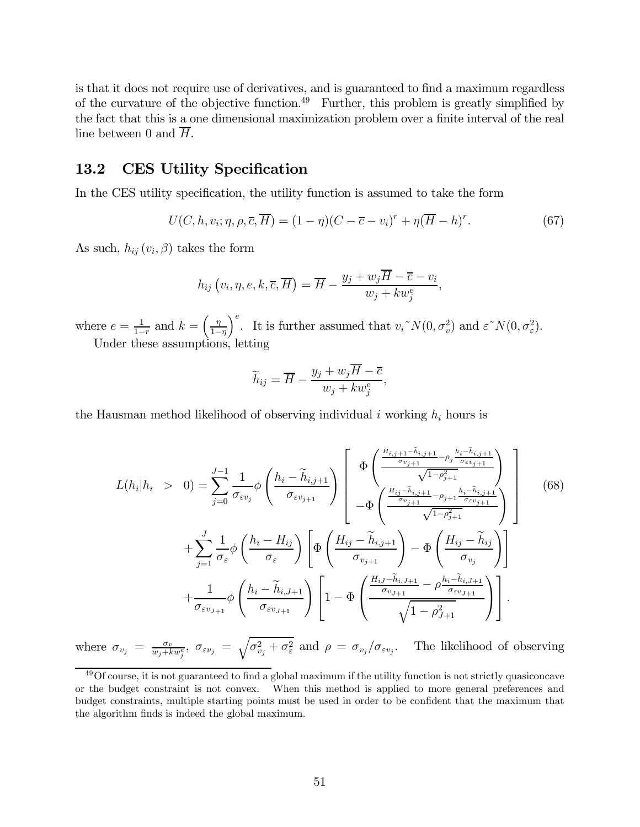is that it does not require use of derivatives, and is guaranteed to find a maximum regardless of the curvature of the objective function.<sup>49</sup> Further, this problem is greatly simplified by the fact that this is a one dimensional maximization problem over a finite interval of the real line between 0 and H.

#### 13.2 CES Utility Specification

In the CES utility specification, the utility function is assumed to take the form

$$
U(C, h, v_i; \eta, \rho, \overline{c}, \overline{H}) = (1 - \eta)(C - \overline{c} - v_i)^r + \eta(\overline{H} - h)^r.
$$
 (67)

As such,  $h_{ij}(v_i, \beta)$  takes the form

$$
h_{ij}(v_i, \eta, e, k, \overline{c}, \overline{H}) = \overline{H} - \frac{y_j + w_j \overline{H} - \overline{c} - v_i}{w_j + kw_j^e},
$$

where  $e = \frac{1}{1-r}$  and  $k = \left(\frac{\eta}{1-r}\right)$  $1-\eta$  $\int_{-\infty}^{\infty}$  It is further assumed that  $v_i^N(0, \sigma_v^2)$  and  $\varepsilon^N(0, \sigma_v^2)$ . Under these assumptions, letting

$$
\widetilde{h}_{ij} = \overline{H} - \frac{y_j + w_j \overline{H} - \overline{c}}{w_j + kw_j^e},
$$

the Hausman method likelihood of observing individual i working  $h_i$  hours is

$$
L(h_i|h_i > 0) = \sum_{j=0}^{J-1} \frac{1}{\sigma_{\varepsilon v_j}} \phi \left(\frac{h_i - \widetilde{h}_{i,j+1}}{\sigma_{\varepsilon v_{j+1}}}\right) \left[\begin{array}{c} \Phi\left(\frac{\frac{H_{i,j+1} - \widetilde{h}_{i,j+1}}{\sigma_{v_{j+1}}} - \rho_j \frac{h_i - \widetilde{h}_{i,j+1}}{\sigma_{\varepsilon v_{j+1}}}}{\sqrt{1 - \rho_{j+1}^2}}\right) \\ -\Phi\left(\frac{\frac{H_{ij} - \widetilde{h}_{i,j+1}}{\sigma_{v_{j+1}}} - \rho_{j+1} \frac{h_i - \widetilde{h}_{i,j+1}}{\sigma_{\varepsilon v_{j+1}}}}{\sqrt{1 - \rho_{j+1}^2}}\right) \end{array}\right] \tag{68}
$$
  
+ 
$$
\sum_{j=1}^{J} \frac{1}{\sigma_{\varepsilon}} \phi \left(\frac{h_i - H_{ij}}{\sigma_{\varepsilon}}\right) \left[\Phi\left(\frac{H_{ij} - \widetilde{h}_{i,j+1}}{\sigma_{v_{j+1}}}\right) - \Phi\left(\frac{H_{ij} - \widetilde{h}_{i,j}}{\sigma_{v_{j}}}\right)\right] + \frac{1}{\sigma_{\varepsilon v_{J+1}}} \phi \left(\frac{h_i - \widetilde{h}_{i,J+1}}{\sigma_{\varepsilon v_{J+1}}}\right) \left[1 - \Phi\left(\frac{\frac{H_{i,j} - \widetilde{h}_{i,J+1}}{\sigma_{v_{J+1}}} - \rho \frac{h_i - \widetilde{h}_{i,J+1}}{\sigma_{\varepsilon v_{J+1}}}}{\sqrt{1 - \rho_{J+1}^2}}\right)\right].
$$

where  $\sigma_{v_j} = \frac{\sigma_v}{w_j + k w_j^e}$ ,  $\sigma_{\varepsilon v_j} = \sqrt{\sigma_{v_j}^2 + \sigma_{\varepsilon}^2}$  and  $\rho = \sigma_{v_j}/\sigma_{\varepsilon v_j}$ . The likelihood of observing

<sup>49</sup>Of course, it is not guaranteed to find a global maximum if the utility function is not strictly quasiconcave or the budget constraint is not convex. When this method is applied to more general preferences and budget constraints, multiple starting points must be used in order to be confident that the maximum that the algorithm finds is indeed the global maximum.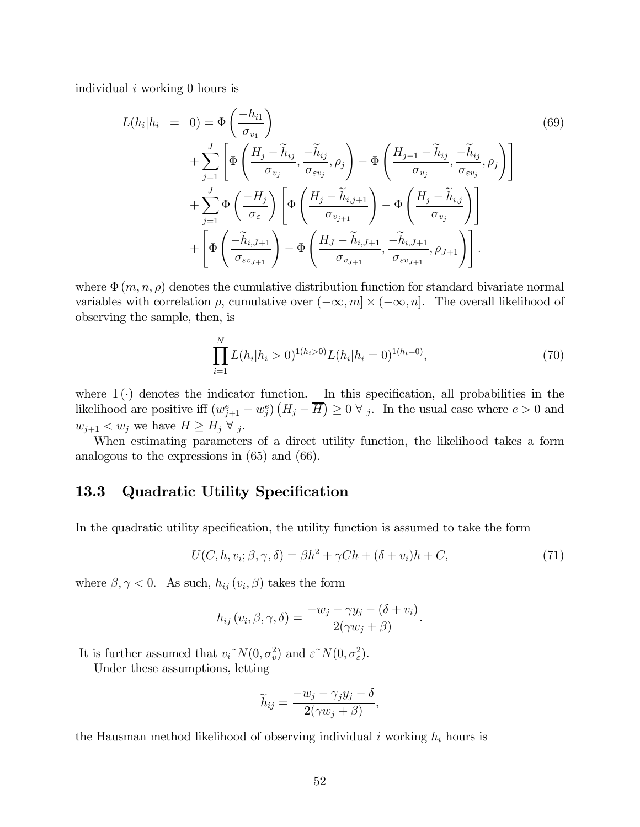individual i working 0 hours is

$$
L(h_i|h_i = 0) = \Phi\left(\frac{-h_{i1}}{\sigma_{v_1}}\right)
$$
  
+ 
$$
\sum_{j=1}^{J} \left[ \Phi\left(\frac{H_j - \tilde{h}_{ij}}{\sigma_{v_j}}, \frac{-\tilde{h}_{ij}}{\sigma_{\varepsilon v_j}}, \rho_j\right) - \Phi\left(\frac{H_{j-1} - \tilde{h}_{ij}}{\sigma_{v_j}}, \frac{-\tilde{h}_{ij}}{\sigma_{\varepsilon v_j}}, \rho_j\right) \right]
$$
  
+ 
$$
\sum_{j=1}^{J} \Phi\left(\frac{-H_j}{\sigma_{\varepsilon}}\right) \left[ \Phi\left(\frac{H_j - \tilde{h}_{i,j+1}}{\sigma_{v_{j+1}}}\right) - \Phi\left(\frac{H_j - \tilde{h}_{i,j}}{\sigma_{v_j}}\right) \right]
$$
  
+ 
$$
\left[ \Phi\left(\frac{-\tilde{h}_{i,J+1}}{\sigma_{\varepsilon v_{J+1}}}\right) - \Phi\left(\frac{H_j - \tilde{h}_{i,J+1}}{\sigma_{v_{J+1}}}, \frac{-\tilde{h}_{i,J+1}}{\sigma_{\varepsilon v_{J+1}}}, \rho_{J+1} \right) \right].
$$
  
(69)

where  $\Phi(m, n, \rho)$  denotes the cumulative distribution function for standard bivariate normal variables with correlation  $\rho$ , cumulative over  $(-\infty, m] \times (-\infty, n]$ . The overall likelihood of observing the sample, then, is

$$
\prod_{i=1}^{N} L(h_i|h_i > 0)^{1(h_i > 0)} L(h_i|h_i = 0)^{1(h_i = 0)},
$$
\n(70)

where  $1(\cdot)$  denotes the indicator function. In this specification, all probabilities in the likelihood are positive iff  $(w_{j+1}^e - w_j^e) (H_j - \overline{H}) \geq 0 \ \forall \ j$ . In the usual case where  $e > 0$  and  $w_{i+1} < w_i$  we have  $\overline{H} \geq H_i \ \forall i$ .

When estimating parameters of a direct utility function, the likelihood takes a form analogous to the expressions in (65) and (66).

#### 13.3 Quadratic Utility Specification

In the quadratic utility specification, the utility function is assumed to take the form

$$
U(C, h, v_i; \beta, \gamma, \delta) = \beta h^2 + \gamma C h + (\delta + v_i) h + C,\tag{71}
$$

where  $\beta, \gamma < 0$ . As such,  $h_{ij}(v_i, \beta)$  takes the form

$$
h_{ij}(v_i, \beta, \gamma, \delta) = \frac{-w_j - \gamma y_j - (\delta + v_i)}{2(\gamma w_j + \beta)}.
$$

It is further assumed that  $v_i^N(N(0, \sigma_v^2))$  and  $\varepsilon^N(N(0, \sigma_v^2))$ .

Under these assumptions, letting

$$
\widetilde{h}_{ij} = \frac{-w_j - \gamma_j y_j - \delta}{2(\gamma w_j + \beta)},
$$

the Hausman method likelihood of observing individual i working  $h_i$  hours is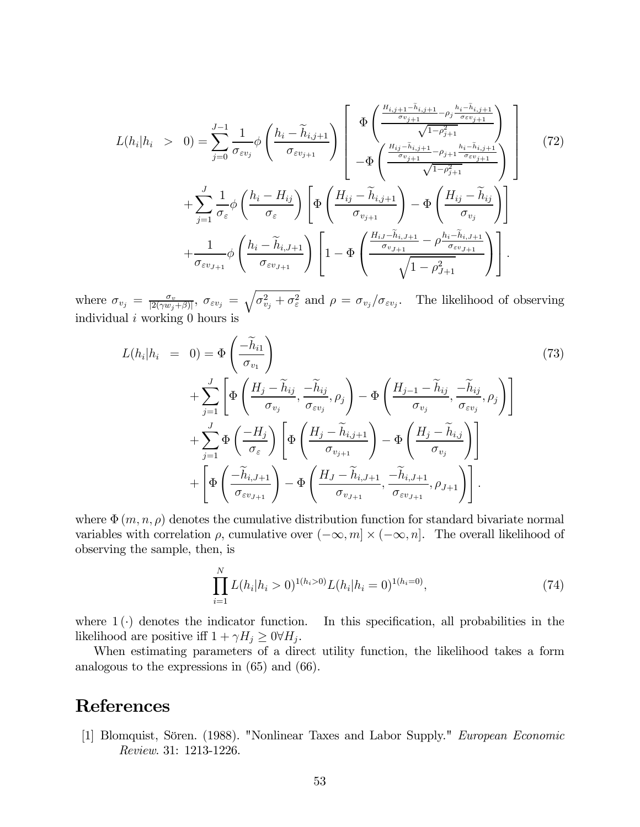$$
L(h_i|h_i > 0) = \sum_{j=0}^{J-1} \frac{1}{\sigma_{\varepsilon v_j}} \phi \left(\frac{h_i - \widetilde{h}_{i,j+1}}{\sigma_{\varepsilon v_{j+1}}}\right) \left[\begin{array}{c} \Phi\left(\frac{\frac{H_{i,j+1} - \widetilde{h}_{i,j+1}}{\sigma_{v_{j+1}}} - \rho_j \frac{h_i - \widetilde{h}_{i,j+1}}{\sigma_{\varepsilon v_{j+1}}}}{\sqrt{1 - \rho_{j+1}^2}}\right) \\ -\Phi\left(\frac{\frac{H_{ij} - \widetilde{h}_{i,j+1}}{\sigma_{v_{j+1}}} - \rho_{j+1} \frac{h_i - \widetilde{h}_{i,j+1}}{\sigma_{\varepsilon v_{j+1}}}}{\sqrt{1 - \rho_{j+1}^2}}\right) \end{array}\right] \tag{72}
$$
  
+ 
$$
\sum_{j=1}^{J} \frac{1}{\sigma_{\varepsilon}} \phi \left(\frac{h_i - H_{ij}}{\sigma_{\varepsilon}}\right) \left[\Phi\left(\frac{H_{ij} - \widetilde{h}_{i,j+1}}{\sigma_{v_{j+1}}}\right) - \Phi\left(\frac{H_{ij} - \widetilde{h}_{i,j}}{\sigma_{v_{j}}}\right)\right] + \frac{1}{\sigma_{\varepsilon v_{J+1}}} \phi \left(\frac{h_i - \widetilde{h}_{i,J+1}}{\sigma_{\varepsilon v_{J+1}}}\right) \left[1 - \Phi\left(\frac{\frac{H_{iJ} - \widetilde{h}_{i,J+1}}{\sigma_{v_{J+1}}} - \rho \frac{h_i - \widetilde{h}_{i,J+1}}{\sigma_{\varepsilon v_{J+1}}}}{\sqrt{1 - \rho_{J+1}^2}}\right)\right].
$$

where  $\sigma_{v_j} = \frac{\sigma_v}{|2(\gamma w_j + \beta)|}$ ,  $\sigma_{\varepsilon v_j} = \sqrt{\sigma_{v_j}^2 + \sigma_{\varepsilon}^2}$  and  $\rho = \sigma_{v_j}/\sigma_{\varepsilon v_j}$ . The likelihood of observing individual  $i$  working 0 hours is

$$
L(h_i|h_i = 0) = \Phi\left(\frac{-\widetilde{h}_{i1}}{\sigma_{v_1}}\right)
$$
  
+ 
$$
\sum_{j=1}^{J} \left[ \Phi\left(\frac{H_j - \widetilde{h}_{ij}}{\sigma_{v_j}}, \frac{-\widetilde{h}_{ij}}{\sigma_{\varepsilon v_j}}, \rho_j\right) - \Phi\left(\frac{H_{j-1} - \widetilde{h}_{ij}}{\sigma_{v_j}}, \frac{-\widetilde{h}_{ij}}{\sigma_{\varepsilon v_j}}, \rho_j\right) \right]
$$
  
+ 
$$
\sum_{j=1}^{J} \Phi\left(\frac{-H_j}{\sigma_{\varepsilon}}\right) \left[ \Phi\left(\frac{H_j - \widetilde{h}_{i,j+1}}{\sigma_{v_{j+1}}}\right) - \Phi\left(\frac{H_j - \widetilde{h}_{i,j}}{\sigma_{v_j}}\right) \right]
$$
  
+ 
$$
\left[ \Phi\left(\frac{-\widetilde{h}_{i,J+1}}{\sigma_{\varepsilon v_{J+1}}}\right) - \Phi\left(\frac{H_j - \widetilde{h}_{i,J+1}}{\sigma_{v_{J+1}}}, \frac{-\widetilde{h}_{i,J+1}}{\sigma_{\varepsilon v_{J+1}}}, \rho_{J+1} \right) \right].
$$
 (73)

where  $\Phi(m, n, \rho)$  denotes the cumulative distribution function for standard bivariate normal variables with correlation  $\rho$ , cumulative over  $(-\infty, m] \times (-\infty, n]$ . The overall likelihood of observing the sample, then, is

$$
\prod_{i=1}^{N} L(h_i|h_i > 0)^{1(h_i > 0)} L(h_i|h_i = 0)^{1(h_i = 0)},
$$
\n(74)

where  $1(\cdot)$  denotes the indicator function. In this specification, all probabilities in the likelihood are positive iff  $1 + \gamma H_j \geq 0 \forall H_j$ .

When estimating parameters of a direct utility function, the likelihood takes a form analogous to the expressions in (65) and (66).

## References

[1] Blomquist, Sören. (1988). "Nonlinear Taxes and Labor Supply." European Economic Review. 31: 1213-1226.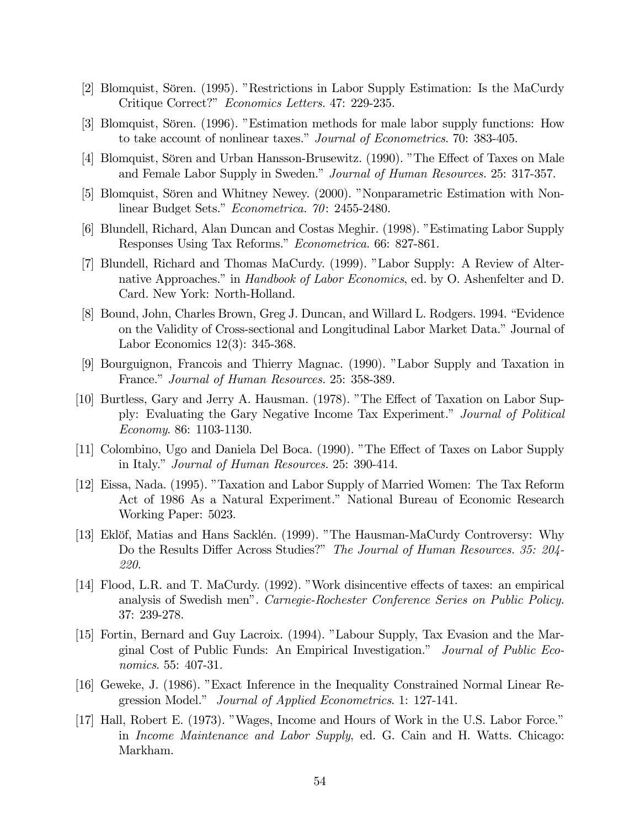- [2] Blomquist, Sören. (1995). "Restrictions in Labor Supply Estimation: Is the MaCurdy Critique Correct?" Economics Letters. 47: 229-235.
- [3] Blomquist, Sören. (1996). "Estimation methods for male labor supply functions: How to take account of nonlinear taxes." Journal of Econometrics. 70: 383-405.
- [4] Blomquist, Sören and Urban Hansson-Brusewitz. (1990). "The Effect of Taxes on Male and Female Labor Supply in Sweden." Journal of Human Resources. 25: 317-357.
- [5] Blomquist, Sören and Whitney Newey. (2000). "Nonparametric Estimation with Nonlinear Budget Sets." Econometrica. 70: 2455-2480.
- [6] Blundell, Richard, Alan Duncan and Costas Meghir. (1998). "Estimating Labor Supply Responses Using Tax Reforms." Econometrica. 66: 827-861.
- [7] Blundell, Richard and Thomas MaCurdy. (1999). "Labor Supply: A Review of Alternative Approaches." in *Handbook of Labor Economics*, ed. by O. Ashenfelter and D. Card. New York: North-Holland.
- [8] Bound, John, Charles Brown, Greg J. Duncan, and Willard L. Rodgers. 1994. "Evidence on the Validity of Cross-sectional and Longitudinal Labor Market Data." Journal of Labor Economics 12(3): 345-368.
- [9] Bourguignon, Francois and Thierry Magnac. (1990). "Labor Supply and Taxation in France." Journal of Human Resources. 25: 358-389.
- [10] Burtless, Gary and Jerry A. Hausman. (1978). "The Effect of Taxation on Labor Supply: Evaluating the Gary Negative Income Tax Experiment." Journal of Political Economy. 86: 1103-1130.
- [11] Colombino, Ugo and Daniela Del Boca. (1990). "The Effect of Taxes on Labor Supply in Italy." Journal of Human Resources. 25: 390-414.
- [12] Eissa, Nada. (1995). "Taxation and Labor Supply of Married Women: The Tax Reform Act of 1986 As a Natural Experiment." National Bureau of Economic Research Working Paper: 5023.
- [13] Eklöf, Matias and Hans Sacklén. (1999). "The Hausman-MaCurdy Controversy: Why Do the Results Differ Across Studies?" The Journal of Human Resources. 35: 204- 220.
- [14] Flood, L.R. and T. MaCurdy. (1992). "Work disincentive effects of taxes: an empirical analysis of Swedish men". Carnegie-Rochester Conference Series on Public Policy. 37: 239-278.
- [15] Fortin, Bernard and Guy Lacroix. (1994). "Labour Supply, Tax Evasion and the Marginal Cost of Public Funds: An Empirical Investigation." Journal of Public Economics. 55: 407-31.
- [16] Geweke, J. (1986). "Exact Inference in the Inequality Constrained Normal Linear Regression Model." Journal of Applied Econometrics. 1: 127-141.
- [17] Hall, Robert E. (1973). "Wages, Income and Hours of Work in the U.S. Labor Force." in Income Maintenance and Labor Supply, ed. G. Cain and H. Watts. Chicago: Markham.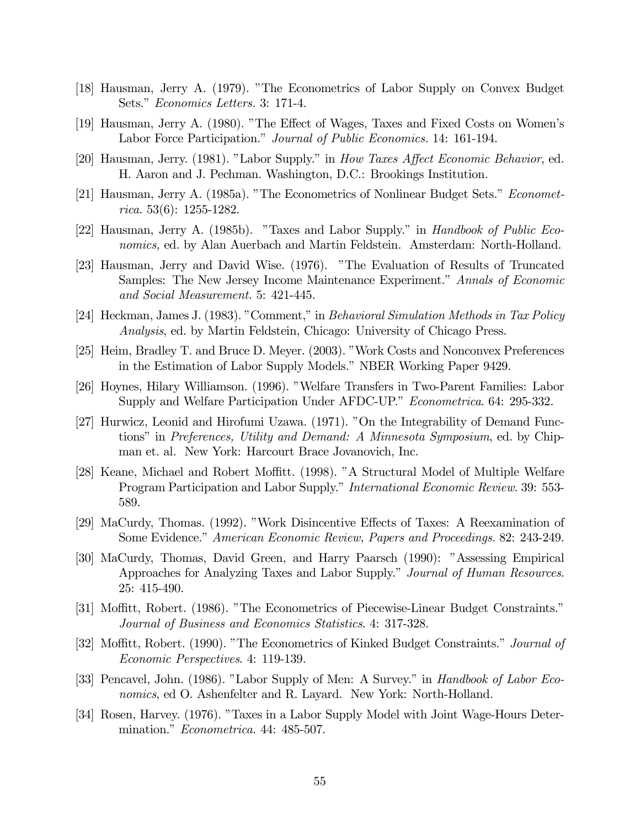- [18] Hausman, Jerry A. (1979). "The Econometrics of Labor Supply on Convex Budget Sets." Economics Letters. 3: 171-4.
- [19] Hausman, Jerry A. (1980). "The Effect of Wages, Taxes and Fixed Costs on Women's Labor Force Participation." Journal of Public Economics. 14: 161-194.
- [20] Hausman, Jerry. (1981). "Labor Supply." in How Taxes Affect Economic Behavior, ed. H. Aaron and J. Pechman. Washington, D.C.: Brookings Institution.
- [21] Hausman, Jerry A. (1985a). "The Econometrics of Nonlinear Budget Sets." Econometrica. 53(6): 1255-1282.
- [22] Hausman, Jerry A. (1985b). "Taxes and Labor Supply." in Handbook of Public Economics, ed. by Alan Auerbach and Martin Feldstein. Amsterdam: North-Holland.
- [23] Hausman, Jerry and David Wise. (1976). "The Evaluation of Results of Truncated Samples: The New Jersey Income Maintenance Experiment." Annals of Economic and Social Measurement. 5: 421-445.
- [24] Heckman, James J. (1983). "Comment," in Behavioral Simulation Methods in Tax Policy Analysis, ed. by Martin Feldstein, Chicago: University of Chicago Press.
- [25] Heim, Bradley T. and Bruce D. Meyer. (2003). "Work Costs and Nonconvex Preferences in the Estimation of Labor Supply Models." NBER Working Paper 9429.
- [26] Hoynes, Hilary Williamson. (1996). "Welfare Transfers in Two-Parent Families: Labor Supply and Welfare Participation Under AFDC-UP." Econometrica. 64: 295-332.
- [27] Hurwicz, Leonid and Hirofumi Uzawa. (1971). "On the Integrability of Demand Functions" in Preferences, Utility and Demand: A Minnesota Symposium, ed. by Chipman et. al. New York: Harcourt Brace Jovanovich, Inc.
- [28] Keane, Michael and Robert Moffitt. (1998). "A Structural Model of Multiple Welfare Program Participation and Labor Supply." International Economic Review. 39: 553- 589.
- [29] MaCurdy, Thomas. (1992). "Work Disincentive Effects of Taxes: A Reexamination of Some Evidence." American Economic Review, Papers and Proceedings. 82: 243-249.
- [30] MaCurdy, Thomas, David Green, and Harry Paarsch (1990): "Assessing Empirical Approaches for Analyzing Taxes and Labor Supply." Journal of Human Resources. 25: 415-490.
- [31] Moffitt, Robert. (1986). "The Econometrics of Piecewise-Linear Budget Constraints." Journal of Business and Economics Statistics. 4: 317-328.
- [32] Moffitt, Robert. (1990). "The Econometrics of Kinked Budget Constraints." Journal of Economic Perspectives. 4: 119-139.
- [33] Pencavel, John. (1986). "Labor Supply of Men: A Survey." in *Handbook of Labor Eco*nomics, ed O. Ashenfelter and R. Layard. New York: North-Holland.
- [34] Rosen, Harvey. (1976). "Taxes in a Labor Supply Model with Joint Wage-Hours Determination." *Econometrica*. 44: 485-507.